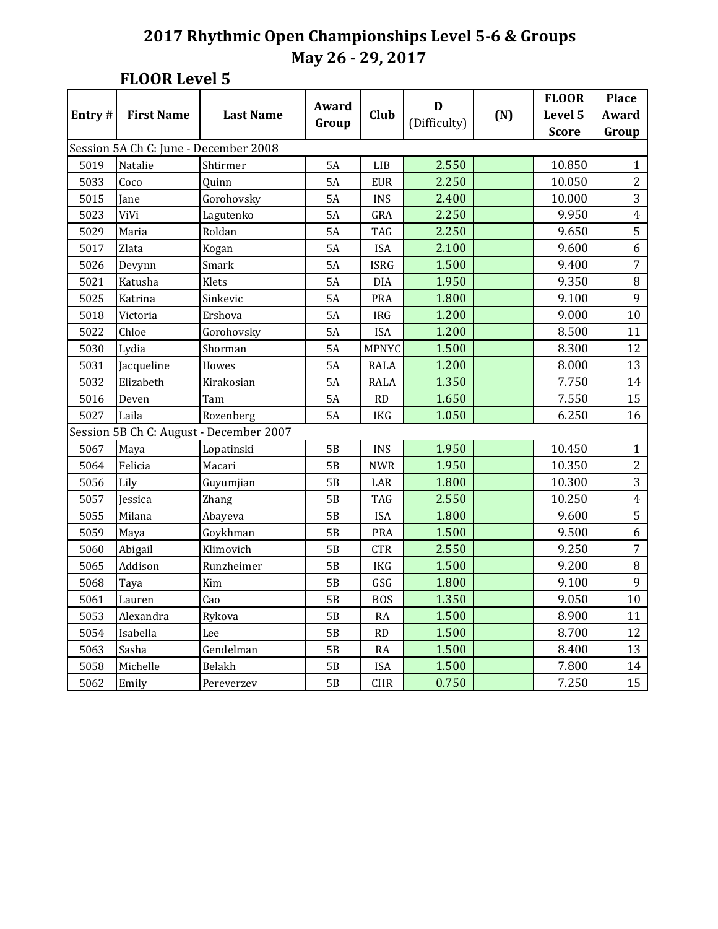| Entry# | <b>First Name</b>                     | <b>Last Name</b>                        | Award     | <b>Club</b>  | D            | (N) | <b>FLOOR</b><br>Level 5 | <b>Place</b><br><b>Award</b> |
|--------|---------------------------------------|-----------------------------------------|-----------|--------------|--------------|-----|-------------------------|------------------------------|
|        |                                       |                                         | Group     |              | (Difficulty) |     | <b>Score</b>            | Group                        |
|        | Session 5A Ch C: June - December 2008 |                                         |           |              |              |     |                         |                              |
| 5019   | Natalie                               | Shtirmer                                | <b>5A</b> | LIB          | 2.550        |     | 10.850                  | $\mathbf{1}$                 |
| 5033   | Coco                                  | Quinn                                   | <b>5A</b> | <b>EUR</b>   | 2.250        |     | 10.050                  | $\overline{2}$               |
| 5015   | Jane                                  | Gorohovsky                              | <b>5A</b> | <b>INS</b>   | 2.400        |     | 10.000                  | 3                            |
| 5023   | ViVi                                  | Lagutenko                               | <b>5A</b> | GRA          | 2.250        |     | 9.950                   | $\overline{4}$               |
| 5029   | Maria                                 | Roldan                                  | 5A        | <b>TAG</b>   | 2.250        |     | 9.650                   | 5                            |
| 5017   | Zlata                                 | Kogan                                   | <b>5A</b> | <b>ISA</b>   | 2.100        |     | 9.600                   | 6                            |
| 5026   | Devynn                                | Smark                                   | 5A        | <b>ISRG</b>  | 1.500        |     | 9.400                   | $\overline{7}$               |
| 5021   | Katusha                               | Klets                                   | 5A        | <b>DIA</b>   | 1.950        |     | 9.350                   | $\, 8$                       |
| 5025   | Katrina                               | Sinkevic                                | <b>5A</b> | <b>PRA</b>   | 1.800        |     | 9.100                   | 9                            |
| 5018   | Victoria                              | Ershova                                 | <b>5A</b> | <b>IRG</b>   | 1.200        |     | 9.000                   | $10\,$                       |
| 5022   | Chloe                                 | Gorohovsky                              | 5A        | <b>ISA</b>   | 1.200        |     | 8.500                   | 11                           |
| 5030   | Lydia                                 | Shorman                                 | 5A        | <b>MPNYC</b> | 1.500        |     | 8.300                   | 12                           |
| 5031   | Jacqueline                            | Howes                                   | <b>5A</b> | <b>RALA</b>  | 1.200        |     | 8.000                   | 13                           |
| 5032   | Elizabeth                             | Kirakosian                              | 5A        | <b>RALA</b>  | 1.350        |     | 7.750                   | 14                           |
| 5016   | Deven                                 | Tam                                     | 5A        | RD           | 1.650        |     | 7.550                   | 15                           |
| 5027   | Laila                                 | Rozenberg                               | <b>5A</b> | <b>IKG</b>   | 1.050        |     | 6.250                   | 16                           |
|        |                                       | Session 5B Ch C: August - December 2007 |           |              |              |     |                         |                              |
| 5067   | Maya                                  | Lopatinski                              | 5B        | <b>INS</b>   | 1.950        |     | 10.450                  | $\mathbf{1}$                 |
| 5064   | Felicia                               | Macari                                  | 5B        | <b>NWR</b>   | 1.950        |     | 10.350                  | $\overline{2}$               |
| 5056   | Lily                                  | Guyumjian                               | 5B        | $\rm LAR$    | 1.800        |     | 10.300                  | 3                            |
| 5057   | Jessica                               | Zhang                                   | 5B        | <b>TAG</b>   | 2.550        |     | 10.250                  | $\overline{4}$               |
| 5055   | Milana                                | Abayeva                                 | 5B        | <b>ISA</b>   | 1.800        |     | 9.600                   | $\overline{5}$               |
| 5059   | Maya                                  | Goykhman                                | 5B        | <b>PRA</b>   | 1.500        |     | 9.500                   | 6                            |
| 5060   | Abigail                               | Klimovich                               | 5B        | <b>CTR</b>   | 2.550        |     | 9.250                   | $\overline{7}$               |
| 5065   | Addison                               | Runzheimer                              | 5B        | <b>IKG</b>   | 1.500        |     | 9.200                   | 8                            |
| 5068   | Taya                                  | Kim                                     | 5B        | GSG          | 1.800        |     | 9.100                   | 9                            |
| 5061   | Lauren                                | Cao                                     | 5B        | <b>BOS</b>   | 1.350        |     | 9.050                   | 10                           |
| 5053   | Alexandra                             | Rykova                                  | 5B        | RA           | 1.500        |     | 8.900                   | 11                           |
| 5054   | Isabella                              | Lee                                     | 5B        | RD           | 1.500        |     | 8.700                   | 12                           |
| 5063   | Sasha                                 | Gendelman                               | 5B        | <b>RA</b>    | 1.500        |     | 8.400                   | 13                           |
| 5058   | Michelle                              | Belakh                                  | 5B        | <b>ISA</b>   | 1.500        |     | 7.800                   | 14                           |
| 5062   | Emily                                 | Pereverzev                              | 5B        | <b>CHR</b>   | 0.750        |     | 7.250                   | 15                           |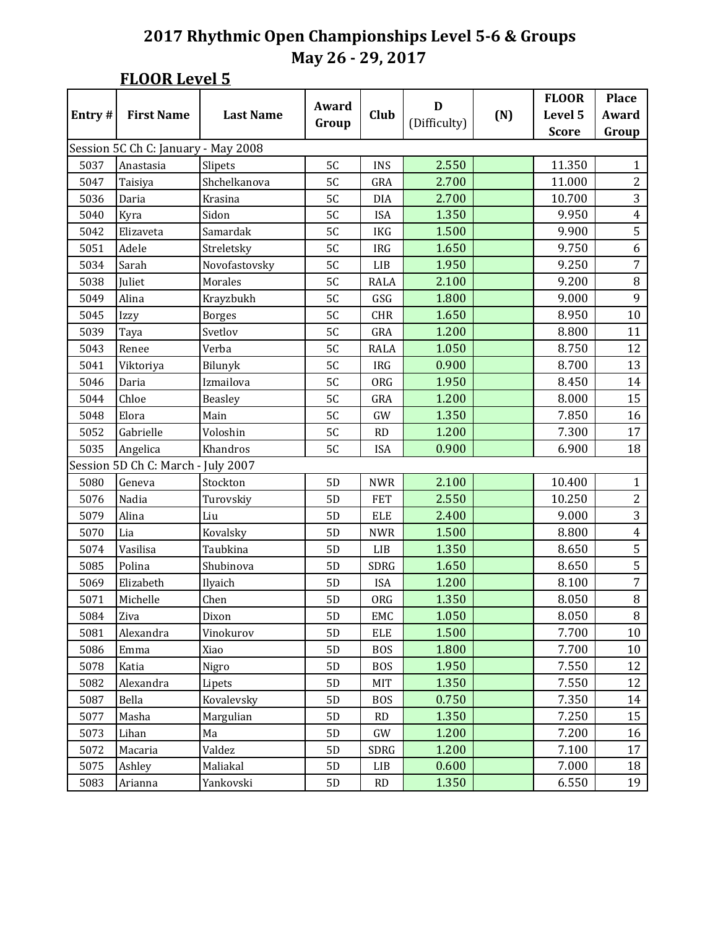|        |                                     |                  |               |             |              |     | <b>FLOOR</b> | <b>Place</b>            |
|--------|-------------------------------------|------------------|---------------|-------------|--------------|-----|--------------|-------------------------|
| Entry# | <b>First Name</b>                   | <b>Last Name</b> | Award         | Club        | D            | (N) | Level 5      | Award                   |
|        |                                     |                  | Group         |             | (Difficulty) |     | <b>Score</b> | Group                   |
|        | Session 5C Ch C: January - May 2008 |                  |               |             |              |     |              |                         |
| 5037   | Anastasia                           | Slipets          | 5C            | <b>INS</b>  | 2.550        |     | 11.350       | $\mathbf{1}$            |
| 5047   | Taisiya                             | Shchelkanova     | 5C            | GRA         | 2.700        |     | 11.000       | $\overline{2}$          |
| 5036   | Daria                               | Krasina          | 5C            | <b>DIA</b>  | 2.700        |     | 10.700       | $\overline{3}$          |
| 5040   | Kyra                                | Sidon            | 5C            | <b>ISA</b>  | 1.350        |     | 9.950        | $\overline{\mathbf{4}}$ |
| 5042   | Elizaveta                           | Samardak         | 5C            | <b>IKG</b>  | 1.500        |     | 9.900        | $\overline{5}$          |
| 5051   | Adele                               | Streletsky       | 5C            | <b>IRG</b>  | 1.650        |     | 9.750        | 6                       |
| 5034   | Sarah                               | Novofastovsky    | 5C            | LIB         | 1.950        |     | 9.250        | $\overline{7}$          |
| 5038   | Juliet                              | Morales          | 5C            | <b>RALA</b> | 2.100        |     | 9.200        | $\, 8$                  |
| 5049   | Alina                               | Krayzbukh        | 5C            | GSG         | 1.800        |     | 9.000        | $\overline{9}$          |
| 5045   | Izzy                                | <b>Borges</b>    | 5C            | <b>CHR</b>  | 1.650        |     | 8.950        | $10\,$                  |
| 5039   | Taya                                | Svetlov          | 5C            | GRA         | 1.200        |     | 8.800        | 11                      |
| 5043   | Renee                               | Verba            | 5C            | <b>RALA</b> | 1.050        |     | 8.750        | 12                      |
| 5041   | Viktoriya                           | Bilunyk          | 5C            | <b>IRG</b>  | 0.900        |     | 8.700        | 13                      |
| 5046   | Daria                               | Izmailova        | 5C            | ORG         | 1.950        |     | 8.450        | 14                      |
| 5044   | Chloe                               | <b>Beasley</b>   | 5C            | GRA         | 1.200        |     | 8.000        | 15                      |
| 5048   | Elora                               | Main             | 5C            | GW          | 1.350        |     | 7.850        | 16                      |
| 5052   | Gabrielle                           | Voloshin         | 5C            | RD          | 1.200        |     | 7.300        | 17                      |
| 5035   | Angelica                            | Khandros         | 5C            | <b>ISA</b>  | 0.900        |     | 6.900        | 18                      |
|        | Session 5D Ch C: March - July 2007  |                  |               |             |              |     |              |                         |
| 5080   | Geneva                              | Stockton         | 5D            | <b>NWR</b>  | 2.100        |     | 10.400       | $\mathbf{1}$            |
| 5076   | Nadia                               | Turovskiy        | 5D            | <b>FET</b>  | 2.550        |     | 10.250       | $\overline{2}$          |
| 5079   | Alina                               | Liu              | 5D            | <b>ELE</b>  | 2.400        |     | 9.000        | $\overline{3}$          |
| 5070   | Lia                                 | Kovalsky         | 5D            | <b>NWR</b>  | 1.500        |     | 8.800        | $\overline{4}$          |
| 5074   | Vasilisa                            | Taubkina         | 5D            | LIB         | 1.350        |     | 8.650        | $\overline{5}$          |
| 5085   | Polina                              | Shubinova        | 5D            | SDRG        | 1.650        |     | 8.650        | $\overline{5}$          |
| 5069   | Elizabeth                           | Ilyaich          | 5D            | <b>ISA</b>  | 1.200        |     | 8.100        | $\overline{7}$          |
| 5071   | Michelle                            | Chen             | 5D            | ORG         | 1.350        |     | 8.050        | $\, 8$                  |
| 5084   | Ziva                                | Dixon            | 5D            | EMC         | 1.050        |     | 8.050        | $\bf{8}$                |
| 5081   | Alexandra                           | Vinokurov        | 5D            | ELE         | 1.500        |     | 7.700        | 10                      |
| 5086   | Emma                                | Xiao             | 5D            | <b>BOS</b>  | 1.800        |     | 7.700        | 10                      |
| 5078   | Katia                               | Nigro            | 5D            | <b>BOS</b>  | 1.950        |     | 7.550        | 12                      |
| 5082   | Alexandra                           | Lipets           | 5D            | MIT         | 1.350        |     | 7.550        | 12                      |
| 5087   | Bella                               | Kovalevsky       | 5D            | <b>BOS</b>  | 0.750        |     | 7.350        | 14                      |
| 5077   | Masha                               | Margulian        | 5D            | RD          | 1.350        |     | 7.250        | 15                      |
| 5073   | Lihan                               | Ma               | 5D            | GW          | 1.200        |     | 7.200        | 16                      |
| 5072   | Macaria                             | Valdez           | 5D            | SDRG        | 1.200        |     | 7.100        | 17                      |
| 5075   | Ashley                              | Maliakal         | $5\mathrm{D}$ | LIB         | 0.600        |     | 7.000        | 18                      |
| 5083   | Arianna                             | Yankovski        | $5D$          | RD          | 1.350        |     | 6.550        | 19                      |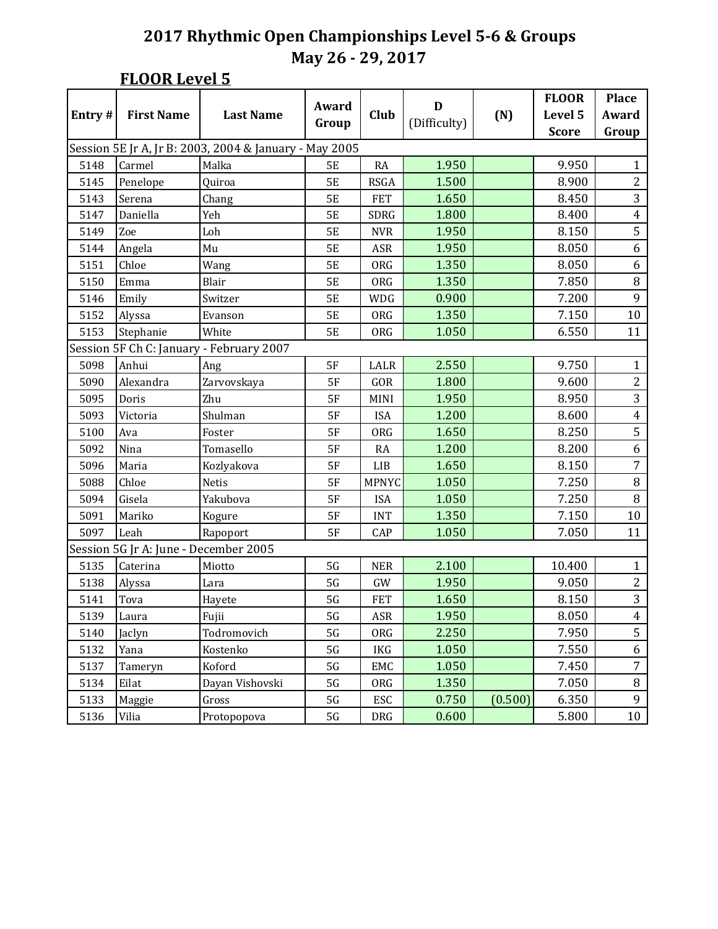| Entry# |                                       |                                                        | Award     |              | D            |         | <b>FLOOR</b> | <b>Place</b>            |
|--------|---------------------------------------|--------------------------------------------------------|-----------|--------------|--------------|---------|--------------|-------------------------|
|        | <b>First Name</b>                     | <b>Last Name</b>                                       | Group     | Club         | (Difficulty) | (N)     | Level 5      | Award                   |
|        |                                       | Session 5E Jr A, Jr B: 2003, 2004 & January - May 2005 |           |              |              |         | <b>Score</b> | Group                   |
| 5148   | Carmel                                | Malka                                                  | 5E        | <b>RA</b>    | 1.950        |         | 9.950        | $\mathbf{1}$            |
| 5145   | Penelope                              | Quiroa                                                 | <b>5E</b> | <b>RSGA</b>  | 1.500        |         | 8.900        | $\overline{c}$          |
| 5143   | Serena                                | Chang                                                  | <b>5E</b> | <b>FET</b>   | 1.650        |         | 8.450        | $\overline{3}$          |
| 5147   | Daniella                              | Yeh                                                    | <b>5E</b> | SDRG         | 1.800        |         | 8.400        | $\overline{4}$          |
| 5149   | Zoe                                   | Loh                                                    | <b>5E</b> | <b>NVR</b>   | 1.950        |         | 8.150        | $\overline{5}$          |
| 5144   | Angela                                | Mu                                                     | <b>5E</b> | ASR          | 1.950        |         | 8.050        | 6                       |
| 5151   | Chloe                                 | Wang                                                   | <b>5E</b> | <b>ORG</b>   | 1.350        |         | 8.050        | 6                       |
| 5150   | Emma                                  | Blair                                                  | <b>5E</b> | ORG          | 1.350        |         | 7.850        | $\overline{8}$          |
| 5146   | Emily                                 | Switzer                                                | <b>5E</b> | <b>WDG</b>   | 0.900        |         | 7.200        | $\overline{9}$          |
| 5152   | Alyssa                                | Evanson                                                | <b>5E</b> | <b>ORG</b>   | 1.350        |         | 7.150        | $10\,$                  |
| 5153   | Stephanie                             | White                                                  | <b>5E</b> | <b>ORG</b>   | 1.050        |         | 6.550        | 11                      |
|        |                                       | Session 5F Ch C: January - February 2007               |           |              |              |         |              |                         |
| 5098   | Anhui                                 | Ang                                                    | 5F        | LALR         | 2.550        |         | 9.750        | $\mathbf{1}$            |
| 5090   | Alexandra                             | Zarvovskaya                                            | <b>5F</b> | GOR          | 1.800        |         | 9.600        | $\overline{2}$          |
| 5095   | Doris                                 | Zhu                                                    | <b>5F</b> | MINI         | 1.950        |         | 8.950        | $\overline{3}$          |
| 5093   | Victoria                              | Shulman                                                | 5F        | <b>ISA</b>   | 1.200        |         | 8.600        | $\overline{4}$          |
| 5100   | Ava                                   | Foster                                                 | 5F        | <b>ORG</b>   | 1.650        |         | 8.250        | $\overline{5}$          |
| 5092   | Nina                                  | Tomasello                                              | <b>5F</b> | RA           | 1.200        |         | 8.200        | 6                       |
| 5096   | Maria                                 | Kozlyakova                                             | 5F        | LIB          | 1.650        |         | 8.150        | $\overline{7}$          |
| 5088   | Chloe                                 | <b>Netis</b>                                           | 5F        | <b>MPNYC</b> | 1.050        |         | 7.250        | $\overline{8}$          |
| 5094   | Gisela                                | Yakubova                                               | 5F        | <b>ISA</b>   | 1.050        |         | 7.250        | $\, 8$                  |
| 5091   | Mariko                                | Kogure                                                 | 5F        | <b>INT</b>   | 1.350        |         | 7.150        | $10\,$                  |
| 5097   | Leah                                  | Rapoport                                               | 5F        | CAP          | 1.050        |         | 7.050        | 11                      |
|        | Session 5G Jr A: June - December 2005 |                                                        |           |              |              |         |              |                         |
| 5135   | Caterina                              | Miotto                                                 | 5G        | <b>NER</b>   | 2.100        |         | 10.400       | $\mathbf{1}$            |
| 5138   | Alyssa                                | Lara                                                   | 5G        | GW           | 1.950        |         | 9.050        | $\overline{c}$          |
| 5141   | Tova                                  | Hayete                                                 | 5G        | <b>FET</b>   | 1.650        |         | 8.150        | $\overline{3}$          |
| 5139   | Laura                                 | Fujii                                                  | 5G        | ASR          | 1.950        |         | 8.050        | $\overline{\mathbf{4}}$ |
| 5140   | Jaclyn                                | Todromovich                                            | 5G        | ORG          | 2.250        |         | 7.950        | $\overline{5}$          |
| 5132   | Yana                                  | Kostenko                                               | 5G        | IKG          | 1.050        |         | 7.550        | 6                       |
| 5137   | Tameryn                               | Koford                                                 | 5G        | EMC          | 1.050        |         | 7.450        | $\overline{7}$          |
| 5134   | Eilat                                 | Dayan Vishovski                                        | 5G        | ORG          | 1.350        |         | 7.050        | $\, 8$                  |
| 5133   | Maggie                                | Gross                                                  | 5G        | ESC          | 0.750        | (0.500) | 6.350        | 9                       |
| 5136   | Vilia                                 | Protopopova                                            | 5G        | DRG          | 0.600        |         | 5.800        | 10                      |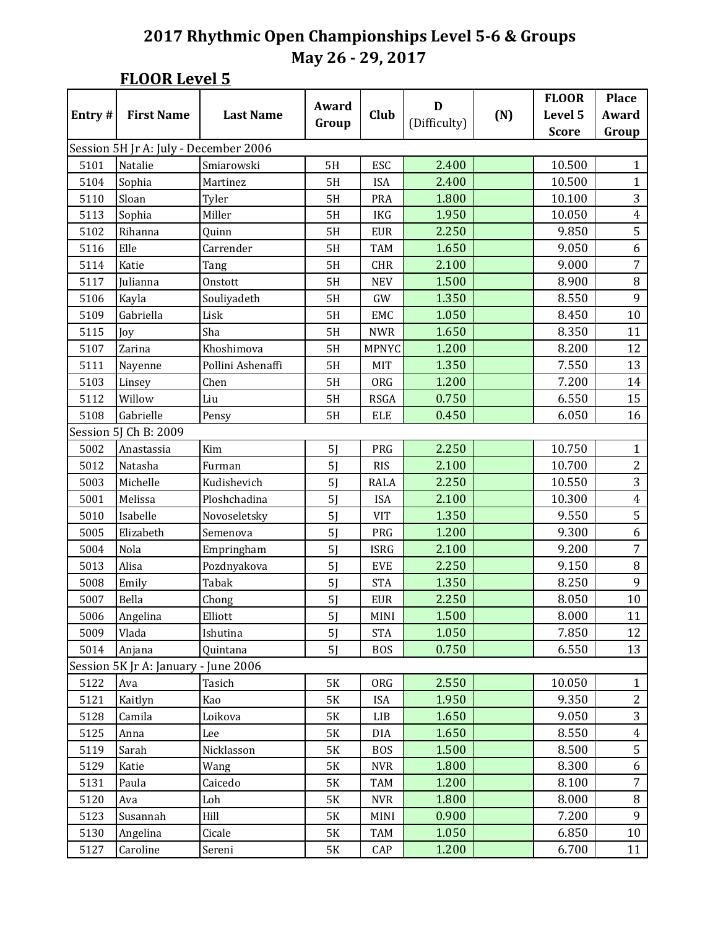|                       |                                       |                   |                |              | D            |     | <b>FLOOR</b> | <b>Place</b>   |
|-----------------------|---------------------------------------|-------------------|----------------|--------------|--------------|-----|--------------|----------------|
| Entry#                | <b>First Name</b>                     | <b>Last Name</b>  | Award          | Club         | (Difficulty) | (N) | Level 5      | Award          |
|                       |                                       |                   | Group          |              |              |     | <b>Score</b> | Group          |
|                       | Session 5H Jr A: July - December 2006 |                   |                |              |              |     |              |                |
| 5101                  | Natalie                               | Smiarowski        | 5H             | <b>ESC</b>   | 2.400        |     | 10.500       | $\mathbf{1}$   |
| 5104                  | Sophia                                | Martinez          | 5H             | <b>ISA</b>   | 2.400        |     | 10.500       | $\mathbf{1}$   |
| 5110                  | Sloan                                 | Tyler             | 5H             | PRA          | 1.800        |     | 10.100       | 3              |
| 5113                  | Sophia                                | Miller            | 5H             | <b>IKG</b>   | 1.950        |     | 10.050       | $\overline{4}$ |
| 5102                  | Rihanna                               | Quinn             | 5H             | <b>EUR</b>   | 2.250        |     | 9.850        | 5              |
| 5116                  | Elle                                  | Carrender         | 5H             | <b>TAM</b>   | 1.650        |     | 9.050        | 6              |
| 5114                  | Katie                                 | Tang              | 5H             | CHR          | 2.100        |     | 9.000        | $\overline{7}$ |
| 5117                  | Julianna                              | Onstott           | 5H             | <b>NEV</b>   | 1.500        |     | 8.900        | 8              |
| 5106                  | Kayla                                 | Souliyadeth       | 5H             | GW           | 1.350        |     | 8.550        | 9              |
| 5109                  | Gabriella                             | Lisk              | 5H             | EMC          | 1.050        |     | 8.450        | $10\,$         |
| 5115                  | Joy                                   | Sha               | 5H             | <b>NWR</b>   | 1.650        |     | 8.350        | 11             |
| 5107                  | Zarina                                | Khoshimova        | 5H             | <b>MPNYC</b> | 1.200        |     | 8.200        | 12             |
| 5111                  | Nayenne                               | Pollini Ashenaffi | 5H             | MIT          | 1.350        |     | 7.550        | 13             |
| 5103                  | Linsey                                | Chen              | 5H             | ORG          | 1.200        |     | 7.200        | 14             |
| 5112                  | Willow                                | Liu               | 5H             | <b>RSGA</b>  | 0.750        |     | 6.550        | 15             |
| 5108                  | Gabrielle                             | Pensy             | 5H             | <b>ELE</b>   | 0.450        |     | 6.050        | 16             |
| Session 5J Ch B: 2009 |                                       |                   |                |              |              |     |              |                |
| 5002                  | Anastassia                            | Kim               | 5J             | PRG          | 2.250        |     | 10.750       | $\mathbf{1}$   |
| 5012                  | Natasha                               | Furman            | 5 <sub>l</sub> | <b>RIS</b>   | 2.100        |     | 10.700       | $\overline{2}$ |
| 5003                  | Michelle                              | Kudishevich       | 5J             | <b>RALA</b>  | 2.250        |     | 10.550       | $\overline{3}$ |
| 5001                  | Melissa                               | Ploshchadina      | 5J             | <b>ISA</b>   | 2.100        |     | 10.300       | $\overline{4}$ |
| 5010                  | Isabelle                              | Novoseletsky      | 5J             | <b>VIT</b>   | 1.350        |     | 9.550        | 5              |
| 5005                  | Elizabeth                             | Semenova          | 5J             | PRG          | 1.200        |     | 9.300        | 6              |
| 5004                  | Nola                                  | Empringham        | 5J             | <b>ISRG</b>  | 2.100        |     | 9.200        | $\overline{7}$ |
| 5013                  | Alisa                                 | Pozdnyakova       | 5 <sub>l</sub> | <b>EVE</b>   | 2.250        |     | 9.150        | 8              |
| 5008                  | Emily                                 | Tabak             | 5J             | <b>STA</b>   | 1.350        |     | 8.250        | 9              |
| 5007                  | Bella                                 | Chong             | 5J             | <b>EUR</b>   | 2.250        |     | 8.050        | 10             |
| 5006                  | Angelina                              | Elliott           | 5J             | MINI         | 1.500        |     | 8.000        | 11             |
| 5009                  | Vlada                                 | Ishutina          | 5J             | <b>STA</b>   | 1.050        |     | 7.850        | 12             |
| 5014                  | Anjana                                | Quintana          | 5J             | <b>BOS</b>   | 0.750        |     | 6.550        | 13             |
|                       | Session 5K Jr A: January - June 2006  |                   |                |              |              |     |              |                |
| 5122                  | Ava                                   | Tasich            | 5K             | ORG          | 2.550        |     | 10.050       | $\mathbf{1}$   |
| 5121                  | Kaitlyn                               | Kao               | 5K             | ISA          | 1.950        |     | 9.350        | $\overline{2}$ |
| 5128                  | Camila                                | Loikova           | 5K             | LIB          | 1.650        |     | 9.050        | 3              |
| 5125                  | Anna                                  | Lee               | 5K             | DIA          | 1.650        |     | 8.550        | $\overline{4}$ |
| 5119                  | Sarah                                 | Nicklasson        | 5K             | <b>BOS</b>   | 1.500        |     | 8.500        | 5              |
| 5129                  | Katie                                 | Wang              | 5K             | <b>NVR</b>   | 1.800        |     | 8.300        | 6              |
| 5131                  | Paula                                 | Caicedo           | 5K             | TAM          | 1.200        |     | 8.100        | $\overline{7}$ |
| 5120                  | Ava                                   | Loh               | 5K             | <b>NVR</b>   | 1.800        |     | 8.000        | $\, 8$         |
| 5123                  | Susannah                              | Hill              | 5K             | MINI         | 0.900        |     | 7.200        | 9              |
| 5130                  | Angelina                              | Cicale            | 5K             | <b>TAM</b>   | 1.050        |     | 6.850        | 10             |
| 5127                  | Caroline                              | Sereni            | 5K             | CAP          | 1.200        |     | 6.700        | 11             |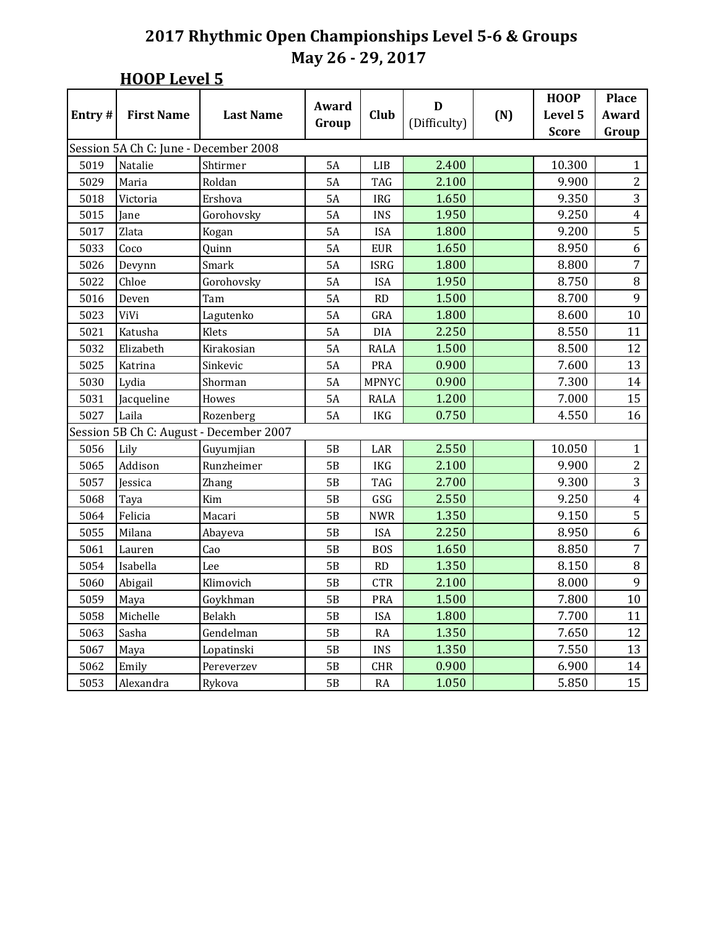| Entry# |                                       |                                         | Award         |              | D            |     | <b>HOOP</b>  | <b>Place</b>   |
|--------|---------------------------------------|-----------------------------------------|---------------|--------------|--------------|-----|--------------|----------------|
|        | <b>First Name</b>                     | <b>Last Name</b>                        | Group         | Club         | (Difficulty) | (N) | Level 5      | Award          |
|        |                                       |                                         |               |              |              |     | <b>Score</b> | Group          |
|        | Session 5A Ch C: June - December 2008 |                                         |               |              |              |     |              |                |
| 5019   | Natalie                               | Shtirmer                                | 5A            | LIB          | 2.400        |     | 10.300       | $\mathbf{1}$   |
| 5029   | Maria                                 | Roldan                                  | 5A            | <b>TAG</b>   | 2.100        |     | 9.900        | $\overline{2}$ |
| 5018   | Victoria                              | Ershova                                 | 5A            | <b>IRG</b>   | 1.650        |     | 9.350        | 3              |
| 5015   | Jane                                  | Gorohovsky                              | <b>5A</b>     | <b>INS</b>   | 1.950        |     | 9.250        | $\overline{4}$ |
| 5017   | Zlata                                 | Kogan                                   | <b>5A</b>     | <b>ISA</b>   | 1.800        |     | 9.200        | $\overline{5}$ |
| 5033   | Coco                                  | Quinn                                   | 5A            | <b>EUR</b>   | 1.650        |     | 8.950        | 6              |
| 5026   | Devynn                                | Smark                                   | <b>5A</b>     | <b>ISRG</b>  | 1.800        |     | 8.800        | $\overline{7}$ |
| 5022   | Chloe                                 | Gorohovsky                              | 5A            | <b>ISA</b>   | 1.950        |     | 8.750        | $\overline{8}$ |
| 5016   | Deven                                 | Tam                                     | 5A            | RD           | 1.500        |     | 8.700        | $\overline{9}$ |
| 5023   | ViVi                                  | Lagutenko                               | <b>5A</b>     | GRA          | 1.800        |     | 8.600        | $10\,$         |
| 5021   | Katusha                               | Klets                                   | <b>5A</b>     | DIA          | 2.250        |     | 8.550        | 11             |
| 5032   | Elizabeth                             | Kirakosian                              | 5A            | <b>RALA</b>  | 1.500        |     | 8.500        | 12             |
| 5025   | Katrina                               | Sinkevic                                | 5A            | <b>PRA</b>   | 0.900        |     | 7.600        | 13             |
| 5030   | Lydia                                 | Shorman                                 | <b>5A</b>     | <b>MPNYC</b> | 0.900        |     | 7.300        | 14             |
| 5031   | Jacqueline                            | Howes                                   | 5A            | <b>RALA</b>  | 1.200        |     | 7.000        | 15             |
| 5027   | Laila                                 | Rozenberg                               | 5A            | <b>IKG</b>   | 0.750        |     | 4.550        | 16             |
|        |                                       | Session 5B Ch C: August - December 2007 |               |              |              |     |              |                |
| 5056   | Lily                                  | Guyumjian                               | 5B            | LAR          | 2.550        |     | 10.050       | $\mathbf{1}$   |
| 5065   | Addison                               | Runzheimer                              | 5B            | <b>IKG</b>   | 2.100        |     | 9.900        | $\overline{2}$ |
| 5057   | Jessica                               | Zhang                                   | 5B            | TAG          | 2.700        |     | 9.300        | 3              |
| 5068   | Taya                                  | Kim                                     | 5B            | GSG          | 2.550        |     | 9.250        | $\overline{4}$ |
| 5064   | Felicia                               | Macari                                  | 5B            | <b>NWR</b>   | 1.350        |     | 9.150        | $\overline{5}$ |
| 5055   | Milana                                | Abayeva                                 | 5B            | <b>ISA</b>   | 2.250        |     | 8.950        | $\overline{6}$ |
| 5061   | Lauren                                | Cao                                     | 5B            | <b>BOS</b>   | 1.650        |     | 8.850        | $\overline{7}$ |
| 5054   | Isabella                              | Lee                                     | 5B            | RD           | 1.350        |     | 8.150        | $\, 8$         |
| 5060   | Abigail                               | Klimovich                               | 5B            | <b>CTR</b>   | 2.100        |     | 8.000        | 9              |
| 5059   | Maya                                  | Goykhman                                | $5\mathrm{B}$ | PRA          | 1.500        |     | 7.800        | 10             |
| 5058   | Michelle                              | Belakh                                  | 5B            | <b>ISA</b>   | 1.800        |     | 7.700        | 11             |
| 5063   | Sasha                                 | Gendelman                               | 5B            | RA           | 1.350        |     | 7.650        | 12             |
| 5067   | Maya                                  | Lopatinski                              | 5B            | <b>INS</b>   | 1.350        |     | 7.550        | 13             |
| 5062   | Emily                                 | Pereverzev                              | 5B            | <b>CHR</b>   | 0.900        |     | 6.900        | 14             |
| 5053   | Alexandra                             | Rykova                                  | 5B            | RA           | 1.050        |     | 5.850        | 15             |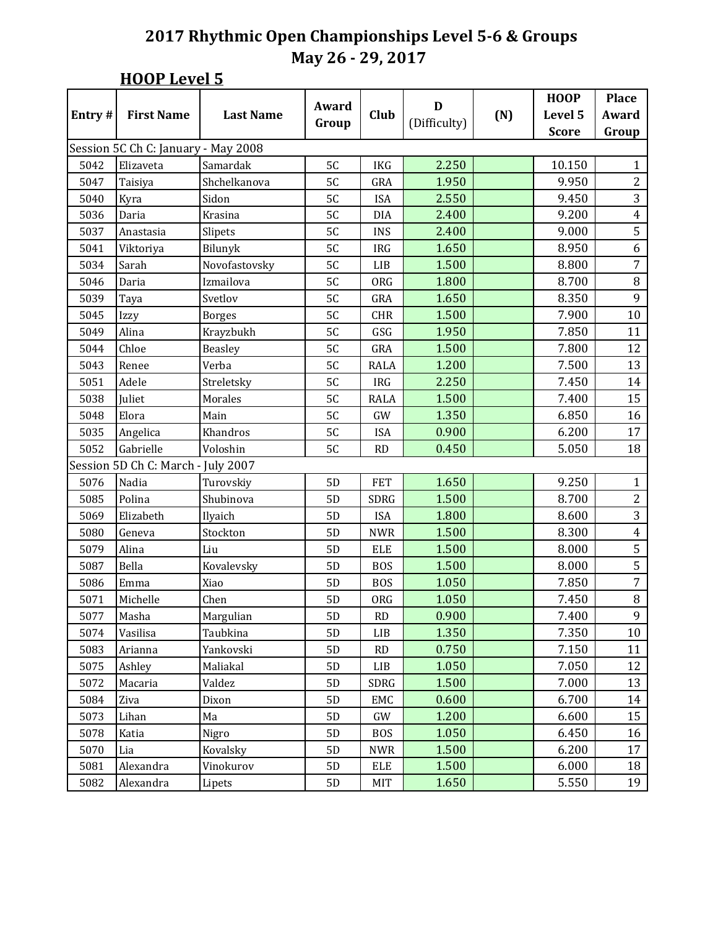|        |                                     |                  |               |                        |              |     | <b>HOOP</b>  | <b>Place</b>   |
|--------|-------------------------------------|------------------|---------------|------------------------|--------------|-----|--------------|----------------|
| Entry# | <b>First Name</b>                   | <b>Last Name</b> | Award         | Club                   | D            | (N) | Level 5      | Award          |
|        |                                     |                  | Group         |                        | (Difficulty) |     | <b>Score</b> | Group          |
|        | Session 5C Ch C: January - May 2008 |                  |               |                        |              |     |              |                |
| 5042   | Elizaveta                           | Samardak         | 5C            | <b>IKG</b>             | 2.250        |     | 10.150       | $\mathbf{1}$   |
| 5047   | Taisiya                             | Shchelkanova     | 5C            | GRA                    | 1.950        |     | 9.950        | $\overline{2}$ |
| 5040   | Kyra                                | Sidon            | 5C            | <b>ISA</b>             | 2.550        |     | 9.450        | 3              |
| 5036   | Daria                               | Krasina          | 5C            | <b>DIA</b>             | 2.400        |     | 9.200        | $\overline{4}$ |
| 5037   | Anastasia                           | Slipets          | 5C            | <b>INS</b>             | 2.400        |     | 9.000        | 5              |
| 5041   | Viktoriya                           | Bilunyk          | 5C            | <b>IRG</b>             | 1.650        |     | 8.950        | 6              |
| 5034   | Sarah                               | Novofastovsky    | 5C            | LIB                    | 1.500        |     | 8.800        | $\overline{7}$ |
| 5046   | Daria                               | Izmailova        | 5C            | <b>ORG</b>             | 1.800        |     | 8.700        | 8              |
| 5039   | Taya                                | Svetlov          | 5C            | GRA                    | 1.650        |     | 8.350        | 9              |
| 5045   | Izzy                                | <b>Borges</b>    | 5C            | <b>CHR</b>             | 1.500        |     | 7.900        | 10             |
| 5049   | Alina                               | Krayzbukh        | 5C            | GSG                    | 1.950        |     | 7.850        | 11             |
| 5044   | Chloe                               | <b>Beasley</b>   | 5C            | GRA                    | 1.500        |     | 7.800        | 12             |
| 5043   | Renee                               | Verba            | 5C            | <b>RALA</b>            | 1.200        |     | 7.500        | 13             |
| 5051   | Adele                               | Streletsky       | 5C            | <b>IRG</b>             | 2.250        |     | 7.450        | 14             |
| 5038   | Juliet                              | Morales          | 5C            | <b>RALA</b>            | 1.500        |     | 7.400        | 15             |
| 5048   | Elora                               | Main             | 5C            | GW                     | 1.350        |     | 6.850        | 16             |
| 5035   | Angelica                            | Khandros         | 5C            | <b>ISA</b>             | 0.900        |     | 6.200        | 17             |
| 5052   | Gabrielle                           | Voloshin         | 5C            | RD                     | 0.450        |     | 5.050        | 18             |
|        | Session 5D Ch C: March - July 2007  |                  |               |                        |              |     |              |                |
| 5076   | Nadia                               | Turovskiy        | 5D            | <b>FET</b>             | 1.650        |     | 9.250        | $\mathbf{1}$   |
| 5085   | Polina                              | Shubinova        | 5D            | <b>SDRG</b>            | 1.500        |     | 8.700        | $\overline{2}$ |
| 5069   | Elizabeth                           | Ilyaich          | 5D            | <b>ISA</b>             | 1.800        |     | 8.600        | 3              |
| 5080   | Geneva                              | Stockton         | 5D            | <b>NWR</b>             | 1.500        |     | 8.300        | $\overline{4}$ |
| 5079   | Alina                               | Liu              | 5D            | <b>ELE</b>             | 1.500        |     | 8.000        | 5              |
| 5087   | Bella                               | Kovalevsky       | 5D            | <b>BOS</b>             | 1.500        |     | 8.000        | 5              |
| 5086   | Emma                                | Xiao             | 5D            | <b>BOS</b>             | 1.050        |     | 7.850        | $\overline{7}$ |
| 5071   | Michelle                            | Chen             | 5D            | <b>ORG</b>             | 1.050        |     | 7.450        | 8              |
| 5077   | Masha                               | Margulian        | 5D            | $\mathbf{R}\mathbf{D}$ | 0.900        |     | 7.400        | 9              |
| 5074   | Vasilisa                            | Taubkina         | 5D            | LIB                    | 1.350        |     | 7.350        | 10             |
| 5083   | Arianna                             | Yankovski        | 5D            | RD                     | 0.750        |     | 7.150        | 11             |
| 5075   | Ashley                              | Maliakal         | 5D            | LIB                    | 1.050        |     | 7.050        | 12             |
| 5072   | Macaria                             | Valdez           | $5D$          | SDRG                   | 1.500        |     | 7.000        | 13             |
| 5084   | Ziva                                | Dixon            | 5D            | EMC                    | 0.600        |     | 6.700        | 14             |
| 5073   | Lihan                               | Ma               | 5D            | GW                     | 1.200        |     | 6.600        | 15             |
| 5078   | Katia                               | Nigro            | 5D            | <b>BOS</b>             | 1.050        |     | 6.450        | 16             |
| 5070   | Lia                                 | Kovalsky         | 5D            | <b>NWR</b>             | 1.500        |     | 6.200        | 17             |
| 5081   | Alexandra                           | Vinokurov        | 5D            | ELE                    | 1.500        |     | 6.000        | 18             |
| 5082   | Alexandra                           | Lipets           | $5\mathrm{D}$ | MIT                    | 1.650        |     | 5.550        | 19             |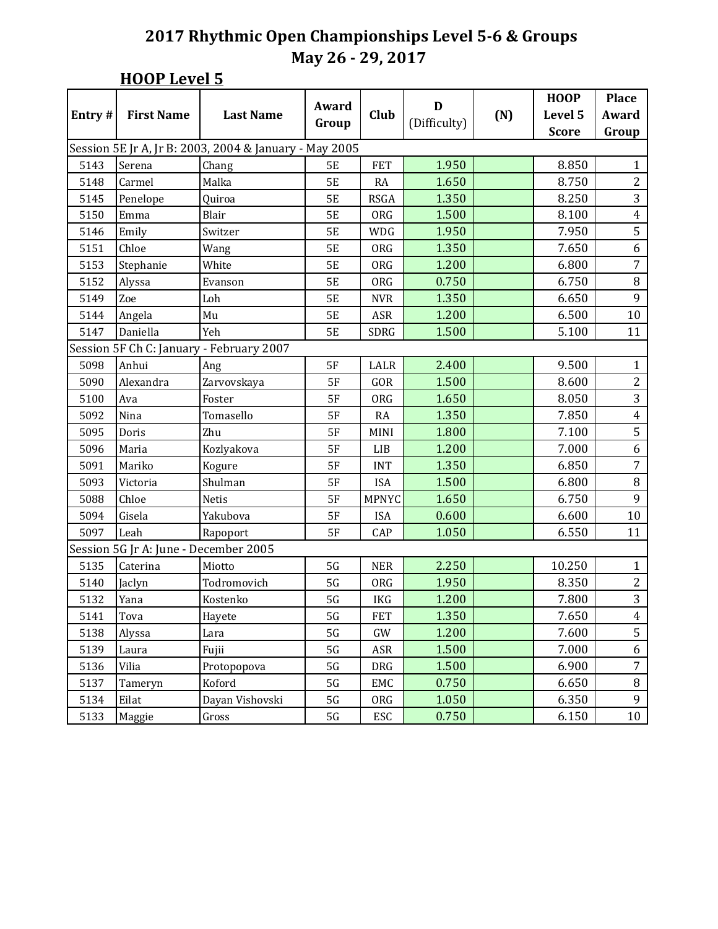| Entry# | <b>First Name</b>                     | <b>Last Name</b>                                       | Award<br>Group | Club         | D<br>(Difficulty) | (N) | <b>HOOP</b><br>Level 5<br><b>Score</b> | <b>Place</b><br>Award<br>Group |
|--------|---------------------------------------|--------------------------------------------------------|----------------|--------------|-------------------|-----|----------------------------------------|--------------------------------|
|        |                                       | Session 5E Jr A, Jr B: 2003, 2004 & January - May 2005 |                |              |                   |     |                                        |                                |
| 5143   | Serena                                | Chang                                                  | <b>5E</b>      | <b>FET</b>   | 1.950             |     | 8.850                                  | $\mathbf{1}$                   |
| 5148   | Carmel                                | Malka                                                  | <b>5E</b>      | RA           | 1.650             |     | 8.750                                  | $\overline{2}$                 |
| 5145   | Penelope                              | Quiroa                                                 | <b>5E</b>      | <b>RSGA</b>  | 1.350             |     | 8.250                                  | $\overline{3}$                 |
| 5150   | Emma                                  | Blair                                                  | <b>5E</b>      | <b>ORG</b>   | 1.500             |     | 8.100                                  | $\overline{\mathbf{4}}$        |
| 5146   | Emily                                 | Switzer                                                | <b>5E</b>      | <b>WDG</b>   | 1.950             |     | 7.950                                  | $\overline{5}$                 |
| 5151   | Chloe                                 | Wang                                                   | <b>5E</b>      | <b>ORG</b>   | 1.350             |     | 7.650                                  | 6                              |
| 5153   | Stephanie                             | White                                                  | <b>5E</b>      | <b>ORG</b>   | 1.200             |     | 6.800                                  | $\overline{7}$                 |
| 5152   | Alyssa                                | Evanson                                                | <b>5E</b>      | <b>ORG</b>   | 0.750             |     | 6.750                                  | $\, 8$                         |
| 5149   | Zoe                                   | Loh                                                    | <b>5E</b>      | <b>NVR</b>   | 1.350             |     | 6.650                                  | $\overline{9}$                 |
| 5144   | Angela                                | Mu                                                     | <b>5E</b>      | ASR          | 1.200             |     | 6.500                                  | $10\,$                         |
| 5147   | Daniella                              | Yeh                                                    | <b>5E</b>      | <b>SDRG</b>  | 1.500             |     | 5.100                                  | 11                             |
|        |                                       | Session 5F Ch C: January - February 2007               |                |              |                   |     |                                        |                                |
| 5098   | Anhui                                 | Ang                                                    | 5F             | LALR         | 2.400             |     | 9.500                                  | $\mathbf{1}$                   |
| 5090   | Alexandra                             | Zarvovskaya                                            | <b>5F</b>      | GOR          | 1.500             |     | 8.600                                  | $\overline{2}$                 |
| 5100   | Ava                                   | Foster                                                 | <b>5F</b>      | <b>ORG</b>   | 1.650             |     | 8.050                                  | $\overline{3}$                 |
| 5092   | Nina                                  | Tomasello                                              | 5F             | RA           | 1.350             |     | 7.850                                  | $\overline{\mathbf{4}}$        |
| 5095   | Doris                                 | Zhu                                                    | <b>5F</b>      | MINI         | 1.800             |     | 7.100                                  | $\overline{5}$                 |
| 5096   | Maria                                 | Kozlyakova                                             | 5F             | LIB          | 1.200             |     | 7.000                                  | 6                              |
| 5091   | Mariko                                | Kogure                                                 | <b>5F</b>      | <b>INT</b>   | 1.350             |     | 6.850                                  | $\overline{7}$                 |
| 5093   | Victoria                              | Shulman                                                | <b>5F</b>      | <b>ISA</b>   | 1.500             |     | 6.800                                  | $\, 8$                         |
| 5088   | Chloe                                 | <b>Netis</b>                                           | 5F             | <b>MPNYC</b> | 1.650             |     | 6.750                                  | 9                              |
| 5094   | Gisela                                | Yakubova                                               | <b>5F</b>      | <b>ISA</b>   | 0.600             |     | 6.600                                  | 10                             |
| 5097   | Leah                                  | Rapoport                                               | <b>5F</b>      | CAP          | 1.050             |     | 6.550                                  | 11                             |
|        | Session 5G Jr A: June - December 2005 |                                                        |                |              |                   |     |                                        |                                |
| 5135   | Caterina                              | Miotto                                                 | 5G             | <b>NER</b>   | 2.250             |     | 10.250                                 | $\mathbf{1}$                   |
| 5140   | Jaclyn                                | Todromovich                                            | 5G             | <b>ORG</b>   | 1.950             |     | 8.350                                  | $\overline{2}$                 |
| 5132   | Yana                                  | Kostenko                                               | 5G             | <b>IKG</b>   | 1.200             |     | 7.800                                  | $\overline{3}$                 |
| 5141   | Tova                                  | Hayete                                                 | 5G             | FET          | 1.350             |     | 7.650                                  | $\overline{\mathbf{4}}$        |
| 5138   | Alyssa                                | Lara                                                   | 5G             | GW           | 1.200             |     | 7.600                                  | 5                              |
| 5139   | Laura                                 | Fujii                                                  | 5G             | ASR          | 1.500             |     | 7.000                                  | 6                              |
| 5136   | Vilia                                 | Protopopova                                            | 5G             | DRG          | 1.500             |     | 6.900                                  | $\overline{7}$                 |
| 5137   | Tameryn                               | Koford                                                 | 5G             | EMC          | 0.750             |     | 6.650                                  | $\, 8$                         |
| 5134   | Eilat                                 | Dayan Vishovski                                        | 5G             | ORG          | 1.050             |     | 6.350                                  | $\overline{9}$                 |
| 5133   | Maggie                                | Gross                                                  | $5\mathrm{G}$  | ESC          | 0.750             |     | 6.150                                  | 10                             |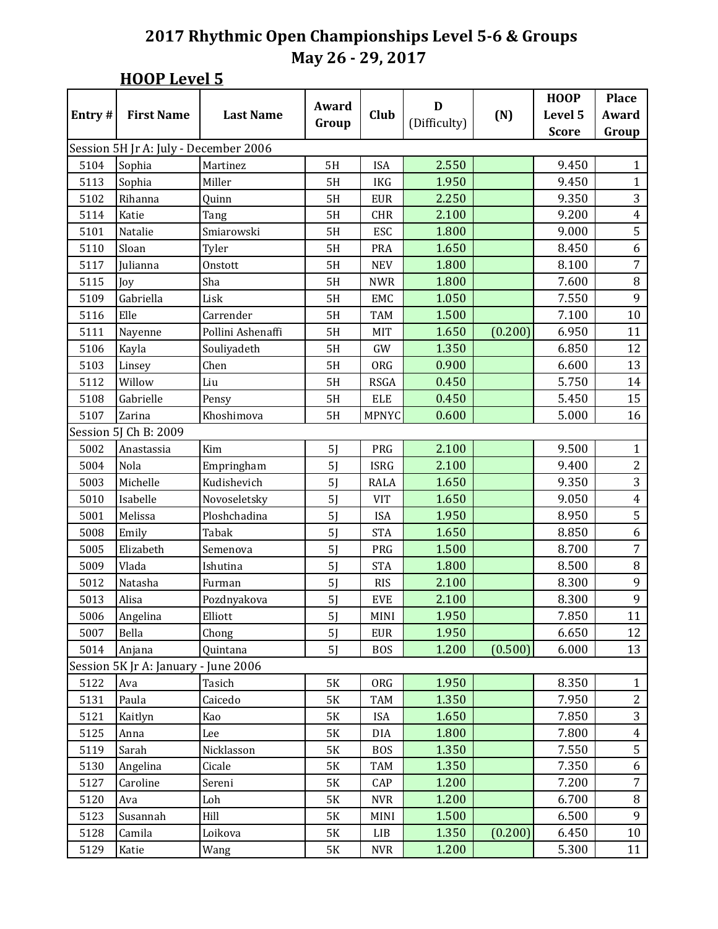|                       |                                       |                   | Award          |              | D            |         | <b>HOOP</b>  | <b>Place</b>   |
|-----------------------|---------------------------------------|-------------------|----------------|--------------|--------------|---------|--------------|----------------|
| Entry#                | <b>First Name</b>                     | <b>Last Name</b>  | Group          | Club         | (Difficulty) | (N)     | Level 5      | Award          |
|                       |                                       |                   |                |              |              |         | <b>Score</b> | Group          |
|                       | Session 5H Jr A: July - December 2006 |                   |                |              |              |         |              |                |
| 5104                  | Sophia                                | Martinez          | 5H             | <b>ISA</b>   | 2.550        |         | 9.450        | $\mathbf{1}$   |
| 5113                  | Sophia                                | Miller            | 5H             | <b>IKG</b>   | 1.950        |         | 9.450        | $\mathbf{1}$   |
| 5102                  | Rihanna                               | Quinn             | 5H             | <b>EUR</b>   | 2.250        |         | 9.350        | 3              |
| 5114                  | Katie                                 | Tang              | 5H             | <b>CHR</b>   | 2.100        |         | 9.200        | $\overline{4}$ |
| 5101                  | Natalie                               | Smiarowski        | 5H             | ESC          | 1.800        |         | 9.000        | 5              |
| 5110                  | Sloan                                 | Tyler             | 5H             | PRA          | 1.650        |         | 8.450        | 6              |
| 5117                  | Julianna                              | Onstott           | 5H             | <b>NEV</b>   | 1.800        |         | 8.100        | 7              |
| 5115                  | Joy                                   | Sha               | 5H             | <b>NWR</b>   | 1.800        |         | 7.600        | 8              |
| 5109                  | Gabriella                             | Lisk              | 5H             | EMC          | 1.050        |         | 7.550        | 9              |
| 5116                  | Elle                                  | Carrender         | 5H             | <b>TAM</b>   | 1.500        |         | 7.100        | 10             |
| 5111                  | Nayenne                               | Pollini Ashenaffi | 5H             | MIT          | 1.650        | (0.200) | 6.950        | 11             |
| 5106                  | Kayla                                 | Souliyadeth       | 5H             | GW           | 1.350        |         | 6.850        | 12             |
| 5103                  | Linsey                                | Chen              | 5H             | <b>ORG</b>   | 0.900        |         | 6.600        | 13             |
| 5112                  | Willow                                | Liu               | 5H             | <b>RSGA</b>  | 0.450        |         | 5.750        | 14             |
| 5108                  | Gabrielle                             | Pensy             | 5H             | <b>ELE</b>   | 0.450        |         | 5.450        | 15             |
| 5107                  | Zarina                                | Khoshimova        | 5H             | <b>MPNYC</b> | 0.600        |         | 5.000        | 16             |
| Session 5J Ch B: 2009 |                                       |                   |                |              |              |         |              |                |
| 5002                  | Anastassia                            | Kim               | 5J             | PRG          | 2.100        |         | 9.500        | $\mathbf{1}$   |
| 5004                  | Nola                                  | Empringham        | 5J             | <b>ISRG</b>  | 2.100        |         | 9.400        | $\overline{2}$ |
| 5003                  | Michelle                              | Kudishevich       | 5J             | RALA         | 1.650        |         | 9.350        | 3              |
| 5010                  | Isabelle                              | Novoseletsky      | 5J             | <b>VIT</b>   | 1.650        |         | 9.050        | $\overline{4}$ |
| 5001                  | Melissa                               | Ploshchadina      | 5 <sub>l</sub> | <b>ISA</b>   | 1.950        |         | 8.950        | 5              |
| 5008                  | Emily                                 | Tabak             | 5J             | <b>STA</b>   | 1.650        |         | 8.850        | 6              |
| 5005                  | Elizabeth                             | Semenova          | 5 <sub>J</sub> | PRG          | 1.500        |         | 8.700        | $\overline{7}$ |
| 5009                  | Vlada                                 | Ishutina          | 5J             | <b>STA</b>   | 1.800        |         | 8.500        | 8              |
| 5012                  | Natasha                               | Furman            | 5J             | <b>RIS</b>   | 2.100        |         | 8.300        | 9              |
| 5013                  | Alisa                                 | Pozdnyakova       | 5J             | <b>EVE</b>   | 2.100        |         | 8.300        | 9              |
| 5006                  | Angelina                              | Elliott           | 5J             | MINI         | 1.950        |         | 7.850        | 11             |
| 5007                  | Bella                                 | Chong             | 5J             | <b>EUR</b>   | 1.950        |         | 6.650        | 12             |
| 5014                  | Anjana                                | Quintana          | 5J             | <b>BOS</b>   | 1.200        | (0.500) | 6.000        | 13             |
|                       | Session 5K Jr A: January - June 2006  |                   |                |              |              |         |              |                |
| 5122                  | Ava                                   | Tasich            | 5K             | ORG          | 1.950        |         | 8.350        | $\mathbf{1}$   |
| 5131                  | Paula                                 | Caicedo           | 5K             | <b>TAM</b>   | 1.350        |         | 7.950        | $\overline{2}$ |
| 5121                  | Kaitlyn                               | Kao               | 5K             | <b>ISA</b>   | 1.650        |         | 7.850        | 3              |
| 5125                  | Anna                                  | Lee               | 5K             | DIA          | 1.800        |         | 7.800        | $\overline{4}$ |
| 5119                  | Sarah                                 | Nicklasson        | 5K             | <b>BOS</b>   | 1.350        |         | 7.550        | 5              |
| 5130                  | Angelina                              | Cicale            | 5K             | <b>TAM</b>   | 1.350        |         | 7.350        | 6              |
| 5127                  | Caroline                              | Sereni            | 5K             | CAP          | 1.200        |         | 7.200        | $\overline{7}$ |
| 5120                  | Ava                                   | Loh               | 5K             | <b>NVR</b>   | 1.200        |         | 6.700        | 8              |
| 5123                  | Susannah                              | Hill              | 5K             | MINI         | 1.500        |         | 6.500        | 9              |
| 5128                  | Camila                                | Loikova           | 5K             | LIB          | 1.350        | (0.200) | 6.450        | 10             |
| 5129                  | Katie                                 | Wang              | 5K             | <b>NVR</b>   | 1.200        |         | 5.300        | 11             |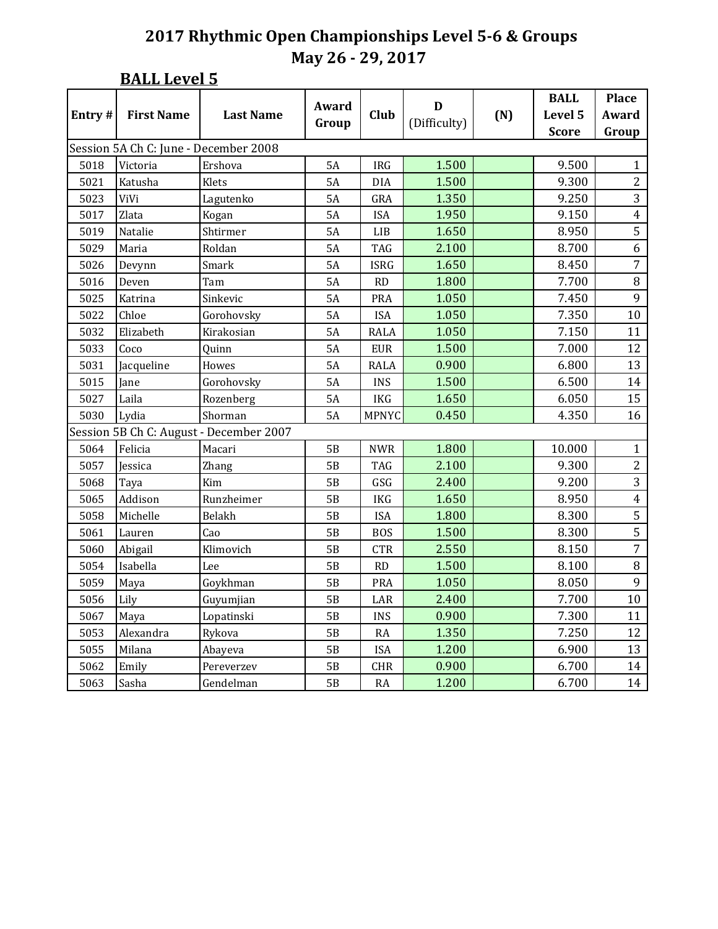|        | <b>BALL Level 5</b> |                                         |                |              |                   |     |                                        |                                |  |  |
|--------|---------------------|-----------------------------------------|----------------|--------------|-------------------|-----|----------------------------------------|--------------------------------|--|--|
| Entry# | <b>First Name</b>   | <b>Last Name</b>                        | Award<br>Group | <b>Club</b>  | D<br>(Difficulty) | (N) | <b>BALL</b><br>Level 5<br><b>Score</b> | <b>Place</b><br>Award<br>Group |  |  |
|        |                     | Session 5A Ch C: June - December 2008   |                |              |                   |     |                                        |                                |  |  |
| 5018   | Victoria            | Ershova                                 | <b>5A</b>      | <b>IRG</b>   | 1.500             |     | 9.500                                  | $\mathbf{1}$                   |  |  |
| 5021   | Katusha             | Klets                                   | <b>5A</b>      | <b>DIA</b>   | 1.500             |     | 9.300                                  | $\overline{2}$                 |  |  |
| 5023   | ViVi                | Lagutenko                               | <b>5A</b>      | GRA          | 1.350             |     | 9.250                                  | 3                              |  |  |
| 5017   | Zlata               | Kogan                                   | <b>5A</b>      | <b>ISA</b>   | 1.950             |     | 9.150                                  | $\pmb{4}$                      |  |  |
| 5019   | Natalie             | Shtirmer                                | <b>5A</b>      | LIB          | 1.650             |     | 8.950                                  | 5                              |  |  |
| 5029   | Maria               | Roldan                                  | <b>5A</b>      | <b>TAG</b>   | 2.100             |     | 8.700                                  | $\boldsymbol{6}$               |  |  |
| 5026   | Devynn              | Smark                                   | <b>5A</b>      | <b>ISRG</b>  | 1.650             |     | 8.450                                  | $\boldsymbol{7}$               |  |  |
| 5016   | Deven               | Tam                                     | <b>5A</b>      | <b>RD</b>    | 1.800             |     | 7.700                                  | $\, 8$                         |  |  |
| 5025   | Katrina             | Sinkevic                                | <b>5A</b>      | <b>PRA</b>   | 1.050             |     | 7.450                                  | 9                              |  |  |
| 5022   | Chloe               | Gorohovsky                              | <b>5A</b>      | <b>ISA</b>   | 1.050             |     | 7.350                                  | $10\,$                         |  |  |
| 5032   | Elizabeth           | Kirakosian                              | <b>5A</b>      | <b>RALA</b>  | 1.050             |     | 7.150                                  | 11                             |  |  |
| 5033   | Coco                | Quinn                                   | <b>5A</b>      | <b>EUR</b>   | 1.500             |     | 7.000                                  | 12                             |  |  |
| 5031   | Jacqueline          | Howes                                   | <b>5A</b>      | <b>RALA</b>  | 0.900             |     | 6.800                                  | 13                             |  |  |
| 5015   | Jane                | Gorohovsky                              | <b>5A</b>      | <b>INS</b>   | 1.500             |     | 6.500                                  | 14                             |  |  |
| 5027   | Laila               | Rozenberg                               | <b>5A</b>      | <b>IKG</b>   | 1.650             |     | 6.050                                  | 15                             |  |  |
| 5030   | Lydia               | Shorman                                 | <b>5A</b>      | <b>MPNYC</b> | 0.450             |     | 4.350                                  | 16                             |  |  |
|        |                     | Session 5B Ch C: August - December 2007 |                |              |                   |     |                                        |                                |  |  |
| 5064   | Felicia             | Macari                                  | 5B             | <b>NWR</b>   | 1.800             |     | 10.000                                 | $\mathbf{1}$                   |  |  |
| 5057   | Jessica             | Zhang                                   | 5B             | TAG          | 2.100             |     | 9.300                                  | $\sqrt{2}$                     |  |  |
| 5068   | Taya                | Kim                                     | 5 <sub>B</sub> | GSG          | 2.400             |     | 9.200                                  | 3                              |  |  |
| 5065   | Addison             | Runzheimer                              | 5B             | <b>IKG</b>   | 1.650             |     | 8.950                                  | $\overline{4}$                 |  |  |
| 5058   | Michelle            | Belakh                                  | 5B             | <b>ISA</b>   | 1.800             |     | 8.300                                  | 5                              |  |  |
| 5061   | Lauren              | Cao                                     | 5B             | <b>BOS</b>   | 1.500             |     | 8.300                                  | 5                              |  |  |
| 5060   | Abigail             | Klimovich                               | 5B             | <b>CTR</b>   | 2.550             |     | 8.150                                  | $\overline{7}$                 |  |  |
| 5054   | Isabella            | Lee                                     | 5B             | <b>RD</b>    | 1.500             |     | 8.100                                  | $\, 8$                         |  |  |
| 5059   | Maya                | Goykhman                                | 5B             | PRA          | 1.050             |     | 8.050                                  | 9                              |  |  |
| 5056   | Lily                | Guyumjian                               | 5Β             | LAR          | 2.400             |     | 7.700                                  | 10                             |  |  |
| 5067   | Maya                | Lopatinski                              | 5B             | <b>INS</b>   | 0.900             |     | 7.300                                  | 11                             |  |  |
| 5053   | Alexandra           | Rykova                                  | 5B             | RA           | 1.350             |     | 7.250                                  | 12                             |  |  |
| 5055   | Milana              | Abayeva                                 | 5B             | <b>ISA</b>   | 1.200             |     | 6.900                                  | 13                             |  |  |
| 5062   | Emily               | Pereverzev                              | 5Β             | CHR          | 0.900             |     | 6.700                                  | 14                             |  |  |
| 5063   | Sasha               | Gendelman                               | $5\mathrm{B}$  | RA           | 1.200             |     | 6.700                                  | 14                             |  |  |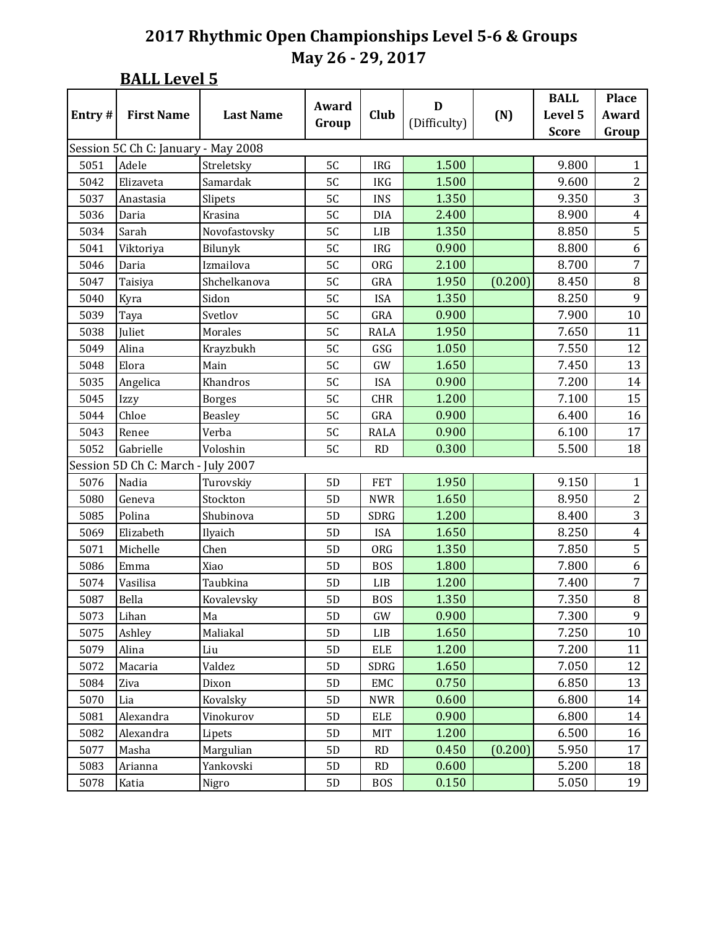| <b>BALL Level 5</b> |                                                  |                                                                                                                                               |                                        |                                                |                                                       |             |                                                             |  |  |
|---------------------|--------------------------------------------------|-----------------------------------------------------------------------------------------------------------------------------------------------|----------------------------------------|------------------------------------------------|-------------------------------------------------------|-------------|-------------------------------------------------------------|--|--|
|                     |                                                  |                                                                                                                                               |                                        |                                                |                                                       | <b>BALL</b> | <b>Place</b>                                                |  |  |
|                     |                                                  |                                                                                                                                               |                                        |                                                |                                                       |             | <b>Award</b>                                                |  |  |
|                     |                                                  |                                                                                                                                               |                                        |                                                |                                                       |             | Group                                                       |  |  |
|                     |                                                  |                                                                                                                                               |                                        |                                                |                                                       |             |                                                             |  |  |
|                     |                                                  |                                                                                                                                               |                                        |                                                |                                                       |             | $\mathbf{1}$                                                |  |  |
|                     |                                                  |                                                                                                                                               |                                        |                                                |                                                       |             | $\mathbf{2}$                                                |  |  |
| Anastasia           |                                                  |                                                                                                                                               |                                        |                                                |                                                       |             | 3                                                           |  |  |
| Daria               |                                                  | 5C                                                                                                                                            | <b>DIA</b>                             | 2.400                                          |                                                       | 8.900       | $\overline{4}$                                              |  |  |
|                     | Novofastovsky                                    |                                                                                                                                               | LIB                                    |                                                |                                                       |             | 5                                                           |  |  |
| Viktoriya           | Bilunyk                                          | 5C                                                                                                                                            | <b>IRG</b>                             | 0.900                                          |                                                       | 8.800       | 6                                                           |  |  |
| Daria               | Izmailova                                        | 5C                                                                                                                                            | <b>ORG</b>                             | 2.100                                          |                                                       | 8.700       | $\overline{7}$                                              |  |  |
| Taisiya             | Shchelkanova                                     | 5C                                                                                                                                            | GRA                                    | 1.950                                          | (0.200)                                               | 8.450       | $\, 8$                                                      |  |  |
| Kyra                | Sidon                                            | 5C                                                                                                                                            | <b>ISA</b>                             | 1.350                                          |                                                       | 8.250       | 9                                                           |  |  |
| Taya                | Svetlov                                          | 5C                                                                                                                                            | GRA                                    | 0.900                                          |                                                       | 7.900       | 10                                                          |  |  |
| Juliet              | Morales                                          | 5C                                                                                                                                            | <b>RALA</b>                            | 1.950                                          |                                                       | 7.650       | 11                                                          |  |  |
| Alina               | Krayzbukh                                        | 5C                                                                                                                                            | GSG                                    | 1.050                                          |                                                       | 7.550       | 12                                                          |  |  |
| Elora               | Main                                             | 5C                                                                                                                                            | GW                                     | 1.650                                          |                                                       | 7.450       | 13                                                          |  |  |
| Angelica            | Khandros                                         | 5C                                                                                                                                            | ISA                                    | 0.900                                          |                                                       | 7.200       | 14                                                          |  |  |
| Izzy                | <b>Borges</b>                                    | 5C                                                                                                                                            | <b>CHR</b>                             | 1.200                                          |                                                       | 7.100       | 15                                                          |  |  |
| Chloe               | <b>Beasley</b>                                   | 5C                                                                                                                                            | GRA                                    | 0.900                                          |                                                       | 6.400       | 16                                                          |  |  |
| Renee               | Verba                                            | 5C                                                                                                                                            | <b>RALA</b>                            | 0.900                                          |                                                       | 6.100       | 17                                                          |  |  |
| Gabrielle           | Voloshin                                         | 5C                                                                                                                                            | RD                                     | 0.300                                          |                                                       | 5.500       | 18                                                          |  |  |
|                     |                                                  |                                                                                                                                               |                                        |                                                |                                                       |             |                                                             |  |  |
| Nadia               | Turovskiy                                        | 5D                                                                                                                                            | <b>FET</b>                             | 1.950                                          |                                                       | 9.150       | $\mathbf{1}$                                                |  |  |
| Geneva              | Stockton                                         | 5D                                                                                                                                            | <b>NWR</b>                             | 1.650                                          |                                                       | 8.950       | $\mathbf{2}$                                                |  |  |
| Polina              | Shubinova                                        | 5D                                                                                                                                            | SDRG                                   | 1.200                                          |                                                       | 8.400       | 3                                                           |  |  |
| Elizabeth           | Ilyaich                                          | 5D                                                                                                                                            | <b>ISA</b>                             | 1.650                                          |                                                       | 8.250       | $\overline{4}$                                              |  |  |
| Michelle            | Chen                                             | 5D                                                                                                                                            | <b>ORG</b>                             | 1.350                                          |                                                       | 7.850       | 5                                                           |  |  |
| Emma                | Xiao                                             | 5D                                                                                                                                            | <b>BOS</b>                             | 1.800                                          |                                                       | 7.800       | $6\,$                                                       |  |  |
| Vasilisa            | Taubkina                                         | 5D                                                                                                                                            | LIB                                    | 1.200                                          |                                                       | 7.400       | $\sqrt{7}$                                                  |  |  |
| Bella               | Kovalevsky                                       | 5D                                                                                                                                            | <b>BOS</b>                             | 1.350                                          |                                                       | 7.350       | $\, 8$                                                      |  |  |
| Lihan               | Ma                                               | 5D                                                                                                                                            | GW                                     | 0.900                                          |                                                       | 7.300       | 9                                                           |  |  |
| Ashley              | Maliakal                                         | 5D                                                                                                                                            | LIB                                    | 1.650                                          |                                                       | 7.250       | $10\,$                                                      |  |  |
| Alina               | Liu                                              | 5D                                                                                                                                            | ELE                                    | 1.200                                          |                                                       | 7.200       | 11                                                          |  |  |
| Macaria             | Valdez                                           | $5D$                                                                                                                                          | SDRG                                   | 1.650                                          |                                                       | 7.050       | 12                                                          |  |  |
| Ziva                | Dixon                                            | 5D                                                                                                                                            | EMC                                    | 0.750                                          |                                                       | 6.850       | 13                                                          |  |  |
| Lia                 | Kovalsky                                         | 5D                                                                                                                                            | <b>NWR</b>                             | 0.600                                          |                                                       | 6.800       | 14                                                          |  |  |
| Alexandra           | Vinokurov                                        | 5D                                                                                                                                            | ELE                                    | 0.900                                          |                                                       | 6.800       | 14                                                          |  |  |
| Alexandra           | Lipets                                           | 5D                                                                                                                                            | MIT                                    | 1.200                                          |                                                       | 6.500       | 16                                                          |  |  |
| Masha               | Margulian                                        | 5D                                                                                                                                            | RD                                     | 0.450                                          | (0.200)                                               | 5.950       | 17                                                          |  |  |
| Arianna             | Yankovski                                        | $5D$                                                                                                                                          | RD                                     | 0.600                                          |                                                       | 5.200       | 18                                                          |  |  |
|                     | <b>First Name</b><br>Adele<br>Elizaveta<br>Sarah | <b>Last Name</b><br>Session 5C Ch C: January - May 2008<br>Streletsky<br>Samardak<br>Slipets<br>Krasina<br>Session 5D Ch C: March - July 2007 | Award<br>Group<br>5C<br>5C<br>5C<br>5C | Club<br><b>IRG</b><br><b>IKG</b><br><b>INS</b> | D<br>(Difficulty)<br>1.500<br>1.500<br>1.350<br>1.350 | (N)         | Level 5<br><b>Score</b><br>9.800<br>9.600<br>9.350<br>8.850 |  |  |

Katia Nigro 5D BOS 0.150 5.050 19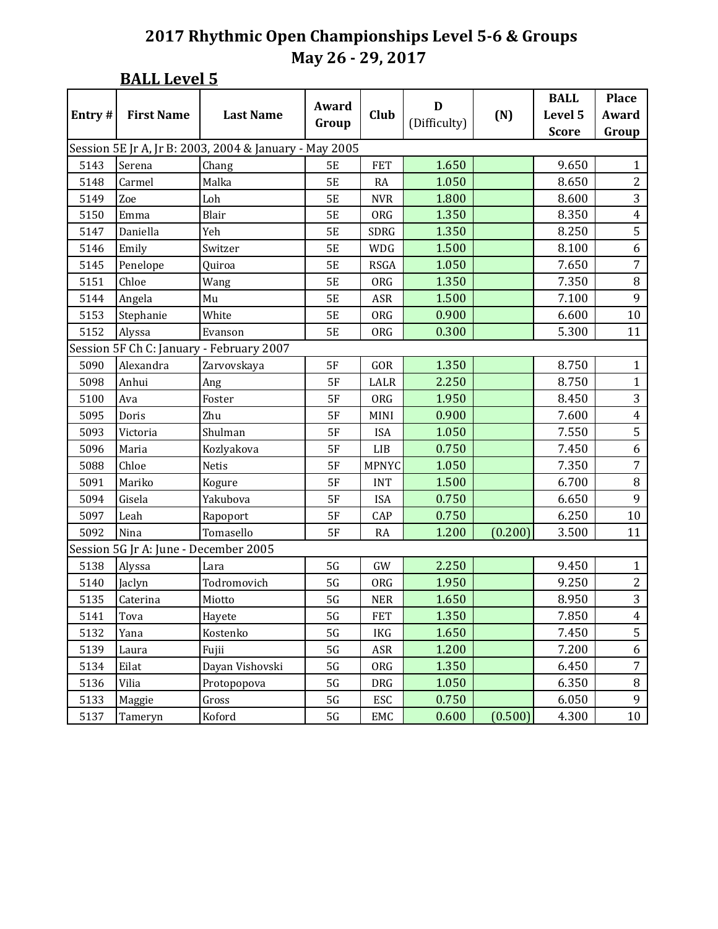#### **BALL Level 5**

| Entry# | <b>First Name</b>                     | <b>Last Name</b>                                       | Award<br>Group | Club         | D<br>(Difficulty) | (N)     | <b>BALL</b><br>Level 5<br><b>Score</b> | <b>Place</b><br>Award<br>Group |
|--------|---------------------------------------|--------------------------------------------------------|----------------|--------------|-------------------|---------|----------------------------------------|--------------------------------|
|        |                                       | Session 5E Jr A, Jr B: 2003, 2004 & January - May 2005 |                |              |                   |         |                                        |                                |
| 5143   | Serena                                | Chang                                                  | <b>5E</b>      | <b>FET</b>   | 1.650             |         | 9.650                                  | $\mathbf{1}$                   |
| 5148   | Carmel                                | Malka                                                  | <b>5E</b>      | <b>RA</b>    | 1.050             |         | 8.650                                  | $\overline{2}$                 |
| 5149   | Zoe                                   | Loh                                                    | <b>5E</b>      | <b>NVR</b>   | 1.800             |         | 8.600                                  | $\overline{3}$                 |
| 5150   | Emma                                  | Blair                                                  | 5E             | <b>ORG</b>   | 1.350             |         | 8.350                                  | $\overline{\mathbf{4}}$        |
| 5147   | Daniella                              | Yeh                                                    | <b>5E</b>      | SDRG         | 1.350             |         | 8.250                                  | $\overline{5}$                 |
| 5146   | Emily                                 | Switzer                                                | <b>5E</b>      | <b>WDG</b>   | 1.500             |         | 8.100                                  | 6                              |
| 5145   | Penelope                              | Quiroa                                                 | <b>5E</b>      | <b>RSGA</b>  | 1.050             |         | 7.650                                  | $\overline{7}$                 |
| 5151   | Chloe                                 | Wang                                                   | 5E             | <b>ORG</b>   | 1.350             |         | 7.350                                  | $\, 8$                         |
| 5144   | Angela                                | Mu                                                     | <b>5E</b>      | <b>ASR</b>   | 1.500             |         | 7.100                                  | $\overline{9}$                 |
| 5153   | Stephanie                             | White                                                  | <b>5E</b>      | <b>ORG</b>   | 0.900             |         | 6.600                                  | 10                             |
| 5152   | Alyssa                                | Evanson                                                | <b>5E</b>      | ORG          | 0.300             |         | 5.300                                  | 11                             |
|        |                                       | Session 5F Ch C: January - February 2007               |                |              |                   |         |                                        |                                |
| 5090   | Alexandra                             | Zarvovskaya                                            | 5F             | GOR          | 1.350             |         | 8.750                                  | $\mathbf{1}$                   |
| 5098   | Anhui                                 | Ang                                                    | <b>5F</b>      | <b>LALR</b>  | 2.250             |         | 8.750                                  | $\mathbf{1}$                   |
| 5100   | Ava                                   | Foster                                                 | 5F             | <b>ORG</b>   | 1.950             |         | 8.450                                  | 3                              |
| 5095   | Doris                                 | Zhu                                                    | 5F             | MINI         | 0.900             |         | 7.600                                  | $\overline{\mathbf{4}}$        |
| 5093   | Victoria                              | Shulman                                                | <b>5F</b>      | <b>ISA</b>   | 1.050             |         | 7.550                                  | $\overline{5}$                 |
| 5096   | Maria                                 | Kozlyakova                                             | <b>5F</b>      | LIB          | 0.750             |         | 7.450                                  | 6                              |
| 5088   | Chloe                                 | <b>Netis</b>                                           | <b>5F</b>      | <b>MPNYC</b> | 1.050             |         | 7.350                                  | $\overline{7}$                 |
| 5091   | Mariko                                | Kogure                                                 | <b>5F</b>      | <b>INT</b>   | 1.500             |         | 6.700                                  | $\, 8$                         |
| 5094   | Gisela                                | Yakubova                                               | 5F             | <b>ISA</b>   | 0.750             |         | 6.650                                  | 9                              |
| 5097   | Leah                                  | Rapoport                                               | <b>5F</b>      | CAP          | 0.750             |         | 6.250                                  | $10\,$                         |
| 5092   | Nina                                  | Tomasello                                              | <b>5F</b>      | <b>RA</b>    | 1.200             | (0.200) | 3.500                                  | 11                             |
|        | Session 5G Jr A: June - December 2005 |                                                        |                |              |                   |         |                                        |                                |
| 5138   | Alyssa                                | Lara                                                   | 5G             | GW           | 2.250             |         | 9.450                                  | $\mathbf{1}$                   |
| 5140   | Jaclyn                                | Todromovich                                            | 5G             | <b>ORG</b>   | 1.950             |         | 9.250                                  | $\overline{2}$                 |
| 5135   | Caterina                              | Miotto                                                 | 5G             | <b>NER</b>   | 1.650             |         | 8.950                                  | $\overline{3}$                 |
| 5141   | Tova                                  | Hayete                                                 | 5G             | <b>FET</b>   | 1.350             |         | 7.850                                  | 4                              |
| 5132   | Yana                                  | Kostenko                                               | 5G             | IKG          | 1.650             |         | 7.450                                  | $\overline{5}$                 |
| 5139   | Laura                                 | Fujii                                                  | 5G             | ASR          | 1.200             |         | 7.200                                  | 6                              |
| 5134   | Eilat                                 | Dayan Vishovski                                        | 5G             | ORG          | 1.350             |         | 6.450                                  | 7                              |
| 5136   | Vilia                                 | Protopopova                                            | 5G             | DRG          | 1.050             |         | 6.350                                  | $\, 8$                         |
| 5133   | Maggie                                | Gross                                                  | 5G             | ESC          | 0.750             |         | 6.050                                  | 9                              |
| 5137   | Tameryn                               | Koford                                                 | 5G             | EMC          | 0.600             | (0.500) | 4.300                                  | 10                             |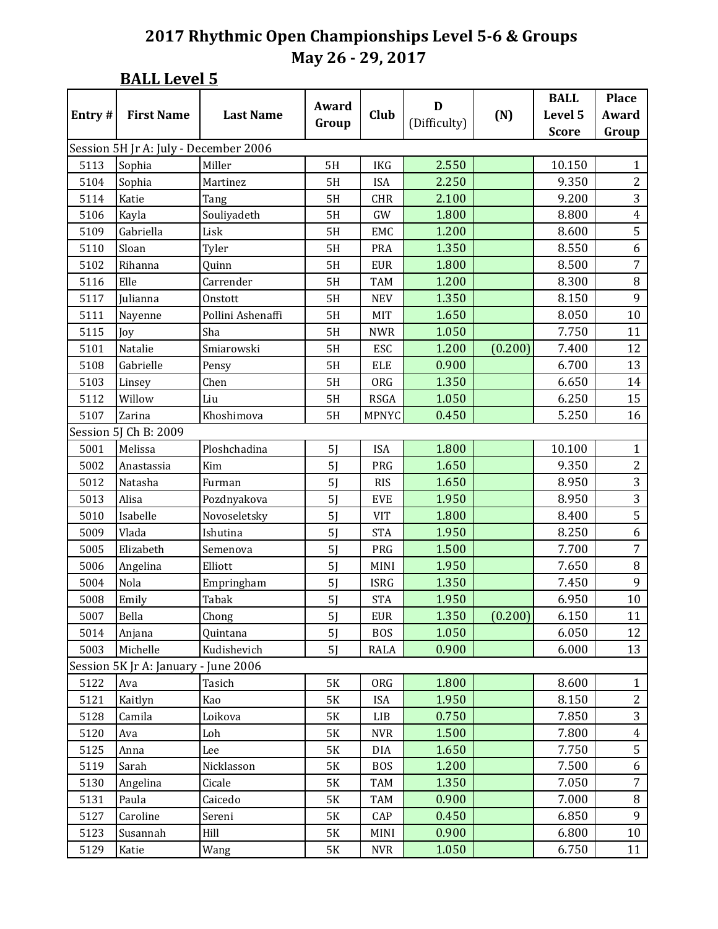# **BALL Level 5**

|        |                                       |                   | Award          |              | D            |         | <b>BALL</b>  | <b>Place</b>   |  |
|--------|---------------------------------------|-------------------|----------------|--------------|--------------|---------|--------------|----------------|--|
| Entry# | <b>First Name</b>                     | <b>Last Name</b>  | Group          | Club         | (Difficulty) | (N)     | Level 5      | Award          |  |
|        |                                       |                   |                |              |              |         | <b>Score</b> | Group          |  |
|        | Session 5H Jr A: July - December 2006 |                   |                |              |              |         |              |                |  |
| 5113   | Sophia                                | Miller            | 5H             | <b>IKG</b>   | 2.550        |         | 10.150       | $\mathbf{1}$   |  |
| 5104   | Sophia                                | Martinez          | 5H             | <b>ISA</b>   | 2.250        |         | 9.350        | $\overline{2}$ |  |
| 5114   | Katie                                 | Tang              | 5H             | <b>CHR</b>   | 2.100        |         | 9.200        | 3              |  |
| 5106   | Kayla                                 | Souliyadeth       | 5H             | GW           | 1.800        |         | 8.800        | $\overline{4}$ |  |
| 5109   | Gabriella                             | Lisk              | 5H             | EMC          | 1.200        |         | 8.600        | 5              |  |
| 5110   | Sloan                                 | Tyler             | 5H             | <b>PRA</b>   | 1.350        |         | 8.550        | 6              |  |
| 5102   | Rihanna                               | Quinn             | 5H             | <b>EUR</b>   | 1.800        |         | 8.500        | 7              |  |
| 5116   | Elle                                  | Carrender         | 5H             | <b>TAM</b>   | 1.200        |         | 8.300        | 8              |  |
| 5117   | Julianna                              | Onstott           | 5H             | <b>NEV</b>   | 1.350        |         | 8.150        | 9              |  |
| 5111   | Nayenne                               | Pollini Ashenaffi | 5H             | MIT          | 1.650        |         | 8.050        | 10             |  |
| 5115   | Joy                                   | Sha               | 5H             | <b>NWR</b>   | 1.050        |         | 7.750        | 11             |  |
| 5101   | Natalie                               | Smiarowski        | 5H             | <b>ESC</b>   | 1.200        | (0.200) | 7.400        | 12             |  |
| 5108   | Gabrielle                             | Pensy             | 5H             | <b>ELE</b>   | 0.900        |         | 6.700        | 13             |  |
| 5103   | Linsey                                | Chen              | 5H             | <b>ORG</b>   | 1.350        |         | 6.650        | 14             |  |
| 5112   | Willow                                | Liu               | 5H             | <b>RSGA</b>  | 1.050        |         | 6.250        | 15             |  |
| 5107   | Zarina                                | Khoshimova        | 5H             | <b>MPNYC</b> | 0.450        |         | 5.250        | 16             |  |
|        | Session 5J Ch B: 2009                 |                   |                |              |              |         |              |                |  |
| 5001   | Melissa                               | Ploshchadina      | 5J             | <b>ISA</b>   | 1.800        |         | 10.100       | $\mathbf{1}$   |  |
| 5002   | Anastassia                            | Kim               | 5J             | PRG          | 1.650        |         | 9.350        | $\overline{2}$ |  |
| 5012   | Natasha                               | Furman            | 5J             | <b>RIS</b>   | 1.650        |         | 8.950        | 3              |  |
| 5013   | Alisa                                 | Pozdnyakova       | 5J             | <b>EVE</b>   | 1.950        |         | 8.950        | 3              |  |
| 5010   | Isabelle                              | Novoseletsky      | 5 <sub>l</sub> | <b>VIT</b>   | 1.800        |         | 8.400        | $\overline{5}$ |  |
| 5009   | Vlada                                 | Ishutina          | 5J             | <b>STA</b>   | 1.950        |         | 8.250        | 6              |  |
| 5005   | Elizabeth                             | Semenova          | 5J             | PRG          | 1.500        |         | 7.700        | $\overline{7}$ |  |
| 5006   | Angelina                              | Elliott           | 5J             | MINI         | 1.950        |         | 7.650        | 8              |  |
| 5004   | Nola                                  | Empringham        | 5 <sub>J</sub> | <b>ISRG</b>  | 1.350        |         | 7.450        | 9              |  |
| 5008   | Emily                                 | Tabak             | 5 <sub>J</sub> | <b>STA</b>   | 1.950        |         | 6.950        | 10             |  |
| 5007   | Bella                                 | Chong             | 5J             | ${\rm EUR}$  | 1.350        | (0.200) | 6.150        | 11             |  |
| 5014   | Anjana                                | Quintana          | 5J             | <b>BOS</b>   | 1.050        |         | 6.050        | 12             |  |
| 5003   | Michelle                              | Kudishevich       | 5J             | <b>RALA</b>  | 0.900        |         | 6.000        | 13             |  |
|        | Session 5K Jr A: January - June 2006  |                   |                |              |              |         |              |                |  |
| 5122   | Ava                                   | Tasich            | 5K             | ORG          | 1.800        |         | 8.600        | $\mathbf{1}$   |  |
| 5121   | Kaitlyn                               | Kao               | 5K             | <b>ISA</b>   | 1.950        |         | 8.150        | $\overline{2}$ |  |
| 5128   | Camila                                | Loikova           | 5K             | LIB          | 0.750        |         | 7.850        | 3              |  |
| 5120   | Ava                                   | Loh               | 5K             | <b>NVR</b>   | 1.500        |         | 7.800        | $\overline{4}$ |  |
| 5125   | Anna                                  | Lee               | 5K             | DIA          | 1.650        |         | 7.750        | 5              |  |
| 5119   | Sarah                                 | Nicklasson        | 5K             | <b>BOS</b>   | 1.200        |         | 7.500        | 6              |  |
| 5130   | Angelina                              | Cicale            | 5K             | <b>TAM</b>   | 1.350        |         | 7.050        | $\overline{7}$ |  |
| 5131   | Paula                                 | Caicedo           | 5K             | <b>TAM</b>   | 0.900        |         | 7.000        | 8              |  |
| 5127   | Caroline                              | Sereni            | 5K             | CAP          | 0.450        |         | 6.850        | 9              |  |
| 5123   | Susannah                              | Hill              | 5K             | MINI         | 0.900        |         | 6.800        | 10             |  |
| 5129   | Katie                                 | Wang              | 5K             | <b>NVR</b>   | 1.050        |         | 6.750        | 11             |  |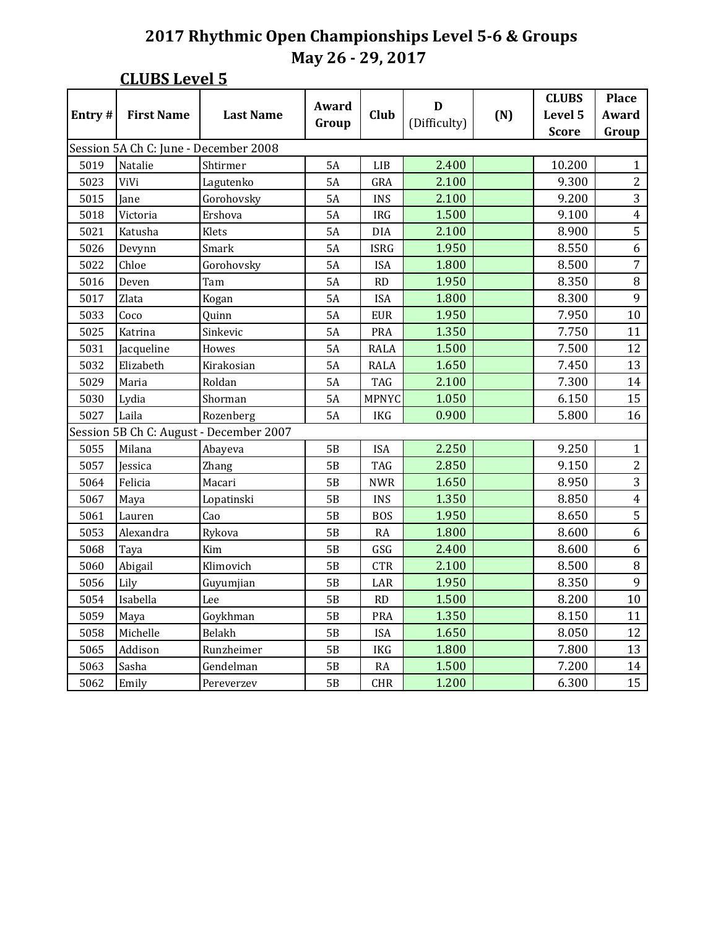| Entry# | <b>First Name</b>                     | <b>Last Name</b>                        | Award     | <b>Club</b>  | D            | (N) | <b>CLUBS</b><br>Level 5 | <b>Place</b><br><b>Award</b> |
|--------|---------------------------------------|-----------------------------------------|-----------|--------------|--------------|-----|-------------------------|------------------------------|
|        |                                       |                                         | Group     |              | (Difficulty) |     | <b>Score</b>            | Group                        |
|        | Session 5A Ch C: June - December 2008 |                                         |           |              |              |     |                         |                              |
| 5019   | Natalie                               | Shtirmer                                | <b>5A</b> | LIB          | 2.400        |     | 10.200                  | $\mathbf{1}$                 |
| 5023   | ViVi                                  | Lagutenko                               | <b>5A</b> | GRA          | 2.100        |     | 9.300                   | $\overline{2}$               |
| 5015   | Jane                                  | Gorohovsky                              | <b>5A</b> | <b>INS</b>   | 2.100        |     | 9.200                   | 3                            |
| 5018   | Victoria                              | Ershova                                 | <b>5A</b> | <b>IRG</b>   | 1.500        |     | 9.100                   | $\overline{4}$               |
| 5021   | Katusha                               | Klets                                   | 5A        | <b>DIA</b>   | 2.100        |     | 8.900                   | 5                            |
| 5026   | Devynn                                | Smark                                   | <b>5A</b> | <b>ISRG</b>  | 1.950        |     | 8.550                   | 6                            |
| 5022   | Chloe                                 | Gorohovsky                              | 5A        | <b>ISA</b>   | 1.800        |     | 8.500                   | $\overline{7}$               |
| 5016   | Deven                                 | Tam                                     | <b>5A</b> | RD           | 1.950        |     | 8.350                   | $\, 8$                       |
| 5017   | Zlata                                 | Kogan                                   | <b>5A</b> | <b>ISA</b>   | 1.800        |     | 8.300                   | 9                            |
| 5033   | Coco                                  | Quinn                                   | <b>5A</b> | <b>EUR</b>   | 1.950        |     | 7.950                   | $10\,$                       |
| 5025   | Katrina                               | Sinkevic                                | 5A        | <b>PRA</b>   | 1.350        |     | 7.750                   | 11                           |
| 5031   | Jacqueline                            | Howes                                   | 5A        | <b>RALA</b>  | 1.500        |     | 7.500                   | 12                           |
| 5032   | Elizabeth                             | Kirakosian                              | <b>5A</b> | <b>RALA</b>  | 1.650        |     | 7.450                   | 13                           |
| 5029   | Maria                                 | Roldan                                  | 5A        | <b>TAG</b>   | 2.100        |     | 7.300                   | 14                           |
| 5030   | Lydia                                 | Shorman                                 | 5A        | <b>MPNYC</b> | 1.050        |     | 6.150                   | 15                           |
| 5027   | Laila                                 | Rozenberg                               | <b>5A</b> | IKG          | 0.900        |     | 5.800                   | 16                           |
|        |                                       | Session 5B Ch C: August - December 2007 |           |              |              |     |                         |                              |
| 5055   | Milana                                | Abayeva                                 | 5B        | <b>ISA</b>   | 2.250        |     | 9.250                   | $\mathbf{1}$                 |
| 5057   | Jessica                               | Zhang                                   | 5B        | <b>TAG</b>   | 2.850        |     | 9.150                   | $\overline{2}$               |
| 5064   | Felicia                               | Macari                                  | 5B        | <b>NWR</b>   | 1.650        |     | 8.950                   | 3                            |
| 5067   | Maya                                  | Lopatinski                              | 5B        | <b>INS</b>   | 1.350        |     | 8.850                   | $\overline{4}$               |
| 5061   | Lauren                                | Cao                                     | 5B        | <b>BOS</b>   | 1.950        |     | 8.650                   | $\overline{5}$               |
| 5053   | Alexandra                             | Rykova                                  | 5B        | <b>RA</b>    | 1.800        |     | 8.600                   | 6                            |
| 5068   | Taya                                  | Kim                                     | 5B        | GSG          | 2.400        |     | 8.600                   | 6                            |
| 5060   | Abigail                               | Klimovich                               | 5B        | <b>CTR</b>   | 2.100        |     | 8.500                   | 8                            |
| 5056   | Lily                                  | Guyumjian                               | 5B        | LAR          | 1.950        |     | 8.350                   | 9                            |
| 5054   | Isabella                              | Lee                                     | 5B        | RD           | 1.500        |     | 8.200                   | $10\,$                       |
| 5059   | Maya                                  | Goykhman                                | 5B        | <b>PRA</b>   | 1.350        |     | 8.150                   | 11                           |
| 5058   | Michelle                              | Belakh                                  | 5B        | <b>ISA</b>   | 1.650        |     | 8.050                   | 12                           |
| 5065   | Addison                               | Runzheimer                              | 5B        | <b>IKG</b>   | 1.800        |     | 7.800                   | 13                           |
| 5063   | Sasha                                 | Gendelman                               | 5B        | RA           | 1.500        |     | 7.200                   | 14                           |
| 5062   | Emily                                 | Pereverzev                              | 5B        | <b>CHR</b>   | 1.200        |     | 6.300                   | 15                           |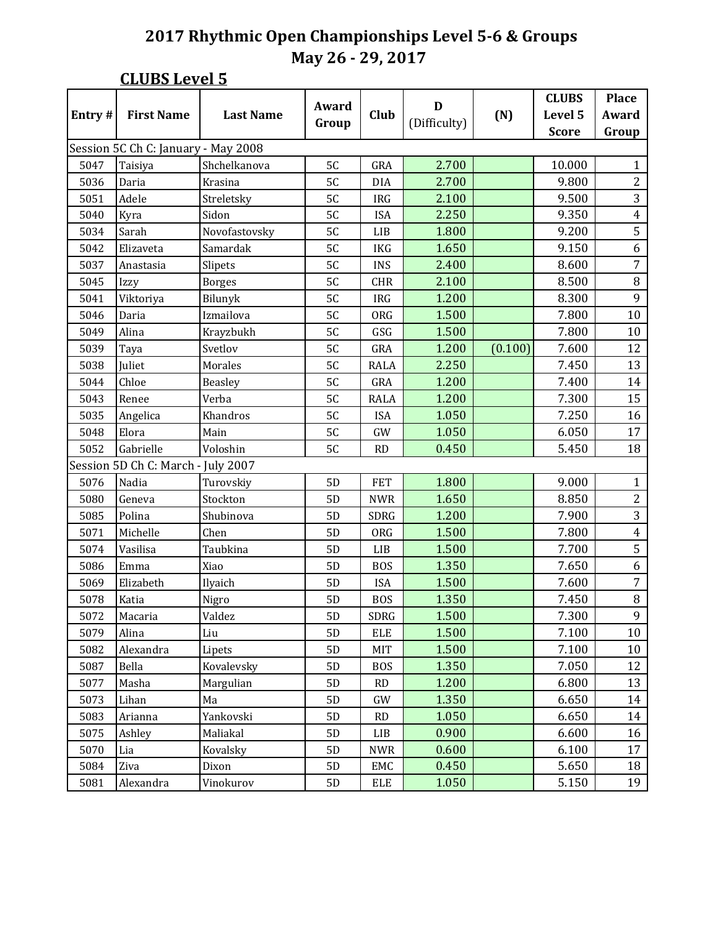|        |                                     |                  | Award         | D           |              | <b>CLUBS</b> | <b>Place</b> |                         |
|--------|-------------------------------------|------------------|---------------|-------------|--------------|--------------|--------------|-------------------------|
| Entry# | <b>First Name</b>                   | <b>Last Name</b> |               | Club        |              | (N)          | Level 5      | Award                   |
|        |                                     |                  | Group         |             | (Difficulty) |              | <b>Score</b> | Group                   |
|        | Session 5C Ch C: January - May 2008 |                  |               |             |              |              |              |                         |
| 5047   | Taisiya                             | Shchelkanova     | 5C            | GRA         | 2.700        |              | 10.000       | $\mathbf{1}$            |
| 5036   | Daria                               | Krasina          | 5C            | <b>DIA</b>  | 2.700        |              | 9.800        | $\overline{2}$          |
| 5051   | Adele                               | Streletsky       | 5C            | <b>IRG</b>  | 2.100        |              | 9.500        | $\overline{3}$          |
| 5040   | Kyra                                | Sidon            | 5C            | <b>ISA</b>  | 2.250        |              | 9.350        | $\overline{\mathbf{4}}$ |
| 5034   | Sarah                               | Novofastovsky    | 5C            | LIB         | 1.800        |              | 9.200        | $\overline{5}$          |
| 5042   | Elizaveta                           | Samardak         | 5C            | <b>IKG</b>  | 1.650        |              | 9.150        | 6                       |
| 5037   | Anastasia                           | Slipets          | 5C            | <b>INS</b>  | 2.400        |              | 8.600        | $\overline{7}$          |
| 5045   | Izzy                                | <b>Borges</b>    | 5C            | CHR         | 2.100        |              | 8.500        | $\, 8$                  |
| 5041   | Viktoriya                           | Bilunyk          | 5C            | <b>IRG</b>  | 1.200        |              | 8.300        | $\overline{9}$          |
| 5046   | Daria                               | Izmailova        | 5C            | <b>ORG</b>  | 1.500        |              | 7.800        | 10                      |
| 5049   | Alina                               | Krayzbukh        | 5C            | GSG         | 1.500        |              | 7.800        | 10                      |
| 5039   | Taya                                | Svetlov          | 5C            | GRA         | 1.200        | (0.100)      | 7.600        | 12                      |
| 5038   | Juliet                              | Morales          | 5C            | <b>RALA</b> | 2.250        |              | 7.450        | 13                      |
| 5044   | Chloe                               | <b>Beasley</b>   | 5C            | GRA         | 1.200        |              | 7.400        | 14                      |
| 5043   | Renee                               | Verba            | 5C            | <b>RALA</b> | 1.200        |              | 7.300        | 15                      |
| 5035   | Angelica                            | Khandros         | 5C            | <b>ISA</b>  | 1.050        |              | 7.250        | 16                      |
| 5048   | Elora                               | Main             | 5C            | GW          | 1.050        |              | 6.050        | 17                      |
| 5052   | Gabrielle                           | Voloshin         | 5C            | RD          | 0.450        |              | 5.450        | 18                      |
|        | Session 5D Ch C: March - July 2007  |                  |               |             |              |              |              |                         |
| 5076   | Nadia                               | Turovskiy        | 5D            | <b>FET</b>  | 1.800        |              | 9.000        | $\mathbf{1}$            |
| 5080   | Geneva                              | Stockton         | 5D            | <b>NWR</b>  | 1.650        |              | 8.850        | $\overline{2}$          |
| 5085   | Polina                              | Shubinova        | 5D            | SDRG        | 1.200        |              | 7.900        | $\overline{3}$          |
| 5071   | Michelle                            | Chen             | 5D            | ORG         | 1.500        |              | 7.800        | $\overline{4}$          |
| 5074   | Vasilisa                            | Taubkina         | 5D            | ${\rm LIB}$ | 1.500        |              | 7.700        | $\overline{5}$          |
| 5086   | Emma                                | Xiao             | 5D            | <b>BOS</b>  | 1.350        |              | 7.650        | 6                       |
| 5069   | Elizabeth                           | Ilyaich          | 5D            | <b>ISA</b>  | 1.500        |              | 7.600        | $\overline{7}$          |
| 5078   | Katia                               | Nigro            | 5D            | <b>BOS</b>  | 1.350        |              | 7.450        | 8                       |
| 5072   | Macaria                             | Valdez           | 5D            | <b>SDRG</b> | 1.500        |              | 7.300        | 9                       |
| 5079   | Alina                               | Liu              | $5D$          | ELE         | 1.500        |              | 7.100        | 10                      |
| 5082   | Alexandra                           | Lipets           | 5D            | MIT         | 1.500        |              | 7.100        | 10                      |
| 5087   | Bella                               | Kovalevsky       | 5D            | <b>BOS</b>  | 1.350        |              | 7.050        | 12                      |
| 5077   | Masha                               | Margulian        | 5D            | RD          | 1.200        |              | 6.800        | 13                      |
| 5073   | Lihan                               | Ma               | 5D            | GW          | 1.350        |              | 6.650        | 14                      |
| 5083   | Arianna                             | Yankovski        | 5D            | RD          | 1.050        |              | 6.650        | 14                      |
| 5075   | Ashley                              | Maliakal         | 5D            | LIB         | 0.900        |              | 6.600        | 16                      |
| 5070   | Lia                                 | Kovalsky         | 5D            | <b>NWR</b>  | 0.600        |              | 6.100        | 17                      |
| 5084   | Ziva                                | Dixon            | $5\mathrm{D}$ | EMC         | 0.450        |              | 5.650        | 18                      |
| 5081   | Alexandra                           | Vinokurov        | $5\mathrm{D}$ | ELE         | 1.050        |              | 5.150        | 19                      |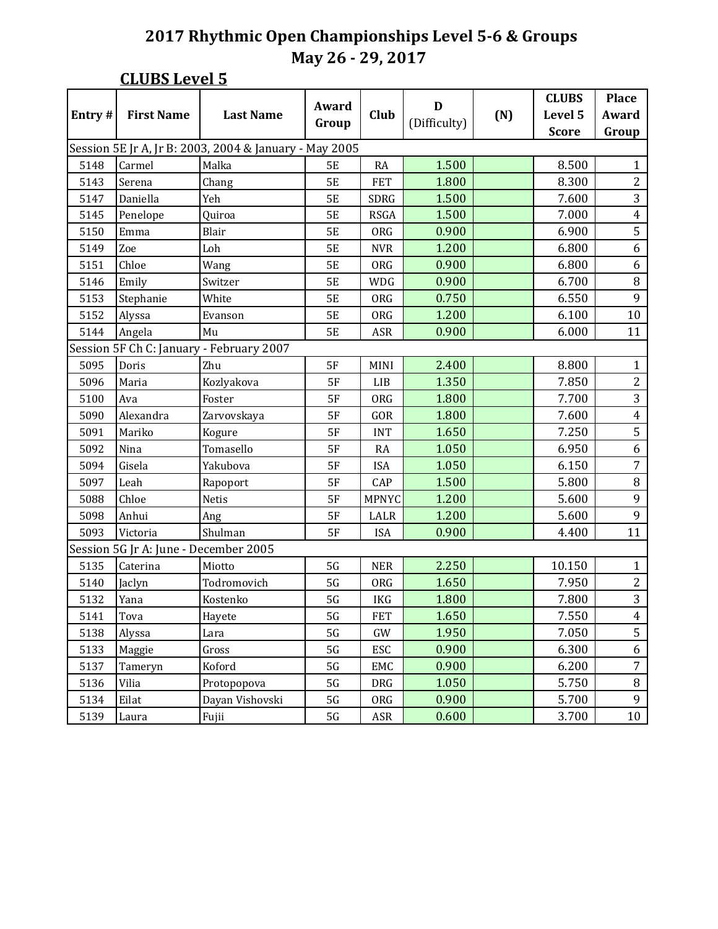| Entry# | <b>First Name</b>                     | <b>Last Name</b>                                       | Award<br>Group | Club         | D<br>(Difficulty) | (N) | <b>CLUBS</b><br>Level 5<br><b>Score</b> | <b>Place</b><br>Award<br>Group |
|--------|---------------------------------------|--------------------------------------------------------|----------------|--------------|-------------------|-----|-----------------------------------------|--------------------------------|
|        |                                       | Session 5E Jr A, Jr B: 2003, 2004 & January - May 2005 |                |              |                   |     |                                         |                                |
| 5148   | Carmel                                | Malka                                                  | <b>5E</b>      | RA           | 1.500             |     | 8.500                                   | $\mathbf{1}$                   |
| 5143   | Serena                                | Chang                                                  | <b>5E</b>      | <b>FET</b>   | 1.800             |     | 8.300                                   | $\overline{2}$                 |
| 5147   | Daniella                              | Yeh                                                    | <b>5E</b>      | SDRG         | 1.500             |     | 7.600                                   | $\overline{3}$                 |
| 5145   | Penelope                              | Quiroa                                                 | <b>5E</b>      | <b>RSGA</b>  | 1.500             |     | 7.000                                   | $\overline{\mathbf{4}}$        |
| 5150   | Emma                                  | Blair                                                  | <b>5E</b>      | ORG          | 0.900             |     | 6.900                                   | $\overline{5}$                 |
| 5149   | Zoe                                   | ${\operatorname{Loh}}$                                 | <b>5E</b>      | <b>NVR</b>   | 1.200             |     | 6.800                                   | 6                              |
| 5151   | Chloe                                 | Wang                                                   | <b>5E</b>      | <b>ORG</b>   | 0.900             |     | 6.800                                   | $\boldsymbol{6}$               |
| 5146   | Emily                                 | Switzer                                                | <b>5E</b>      | WDG          | 0.900             |     | 6.700                                   | $\, 8$                         |
| 5153   | Stephanie                             | White                                                  | <b>5E</b>      | ORG          | 0.750             |     | 6.550                                   | 9                              |
| 5152   | Alyssa                                | Evanson                                                | <b>5E</b>      | <b>ORG</b>   | 1.200             |     | 6.100                                   | $10\,$                         |
| 5144   | Angela                                | Mu                                                     | <b>5E</b>      | <b>ASR</b>   | 0.900             |     | 6.000                                   | 11                             |
|        |                                       | Session 5F Ch C: January - February 2007               |                |              |                   |     |                                         |                                |
| 5095   | Doris                                 | Zhu                                                    | 5F             | MINI         | 2.400             |     | 8.800                                   | $\mathbf{1}$                   |
| 5096   | Maria                                 | Kozlyakova                                             | <b>5F</b>      | LIB          | 1.350             |     | 7.850                                   | $\overline{2}$                 |
| 5100   | Ava                                   | Foster                                                 | <b>5F</b>      | <b>ORG</b>   | 1.800             |     | 7.700                                   | $\overline{3}$                 |
| 5090   | Alexandra                             | Zarvovskaya                                            | 5F             | GOR          | 1.800             |     | 7.600                                   | $\overline{\mathbf{4}}$        |
| 5091   | Mariko                                | Kogure                                                 | 5F             | <b>INT</b>   | 1.650             |     | 7.250                                   | $\overline{5}$                 |
| 5092   | Nina                                  | Tomasello                                              | 5F             | RA           | 1.050             |     | 6.950                                   | 6                              |
| 5094   | Gisela                                | Yakubova                                               | <b>5F</b>      | <b>ISA</b>   | 1.050             |     | 6.150                                   | $\overline{7}$                 |
| 5097   | Leah                                  | Rapoport                                               | <b>5F</b>      | CAP          | 1.500             |     | 5.800                                   | $\, 8$                         |
| 5088   | Chloe                                 | <b>Netis</b>                                           | 5F             | <b>MPNYC</b> | 1.200             |     | 5.600                                   | 9                              |
| 5098   | Anhui                                 | Ang                                                    | <b>5F</b>      | LALR         | 1.200             |     | 5.600                                   | 9                              |
| 5093   | Victoria                              | Shulman                                                | <b>5F</b>      | <b>ISA</b>   | 0.900             |     | 4.400                                   | 11                             |
|        | Session 5G Jr A: June - December 2005 |                                                        |                |              |                   |     |                                         |                                |
| 5135   | Caterina                              | Miotto                                                 | 5G             | <b>NER</b>   | 2.250             |     | 10.150                                  | $\mathbf{1}$                   |
| 5140   | Jaclyn                                | Todromovich                                            | 5G             | <b>ORG</b>   | 1.650             |     | 7.950                                   | $\overline{2}$                 |
| 5132   | Yana                                  | Kostenko                                               | 5G             | IKG          | 1.800             |     | 7.800                                   | $\overline{3}$                 |
| 5141   | Tova                                  | Hayete                                                 | 5G             | FET          | 1.650             |     | 7.550                                   | $\overline{\mathbf{4}}$        |
| 5138   | Alyssa                                | Lara                                                   | 5G             | GW           | 1.950             |     | 7.050                                   | 5                              |
| 5133   | Maggie                                | Gross                                                  | 5G             | ESC          | 0.900             |     | 6.300                                   | 6                              |
| 5137   | Tameryn                               | Koford                                                 | 5G             | EMC          | 0.900             |     | 6.200                                   | 7                              |
| 5136   | Vilia                                 | Protopopova                                            | 5G             | <b>DRG</b>   | 1.050             |     | 5.750                                   | $\, 8$                         |
| 5134   | Eilat                                 | Dayan Vishovski                                        | 5G             | ORG          | 0.900             |     | 5.700                                   | $\mathbf{9}$                   |
| 5139   | Laura                                 | Fujii                                                  | 5G             | ASR          | 0.600             |     | 3.700                                   | 10                             |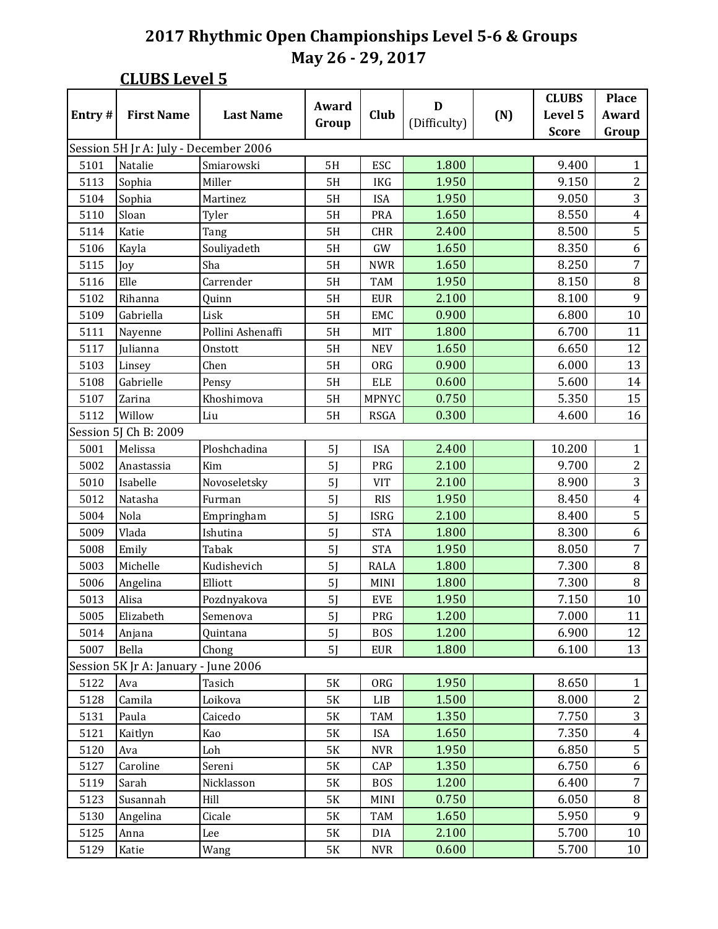|        |                                       |                   | Award          | D              |              | <b>CLUBS</b> | <b>Place</b> |                |
|--------|---------------------------------------|-------------------|----------------|----------------|--------------|--------------|--------------|----------------|
| Entry# | <b>First Name</b>                     | <b>Last Name</b>  | Group          | Club           | (Difficulty) | (N)          | Level 5      | Award          |
|        |                                       |                   |                |                |              |              | <b>Score</b> | Group          |
|        | Session 5H Jr A: July - December 2006 |                   |                |                |              |              |              |                |
| 5101   | Natalie                               | Smiarowski        | 5H             | ESC            | 1.800        |              | 9.400        | $\mathbf{1}$   |
| 5113   | Sophia                                | Miller            | 5H             | <b>IKG</b>     | 1.950        |              | 9.150        | $\overline{2}$ |
| 5104   | Sophia                                | Martinez          | 5H             | <b>ISA</b>     | 1.950        |              | 9.050        | 3              |
| 5110   | Sloan                                 | Tyler             | 5H             | <b>PRA</b>     | 1.650        |              | 8.550        | $\overline{4}$ |
| 5114   | Katie                                 | Tang              | 5H             | <b>CHR</b>     | 2.400        |              | 8.500        | 5              |
| 5106   | Kayla                                 | Souliyadeth       | 5H             | GW             | 1.650        |              | 8.350        | 6              |
| 5115   | Joy                                   | Sha               | 5H             | <b>NWR</b>     | 1.650        |              | 8.250        | $\overline{7}$ |
| 5116   | Elle                                  | Carrender         | 5H             | <b>TAM</b>     | 1.950        |              | 8.150        | 8              |
| 5102   | Rihanna                               | Quinn             | 5H             | <b>EUR</b>     | 2.100        |              | 8.100        | 9              |
| 5109   | Gabriella                             | Lisk              | 5H             | EMC            | 0.900        |              | 6.800        | $10\,$         |
| 5111   | Nayenne                               | Pollini Ashenaffi | 5H             | MIT            | 1.800        |              | 6.700        | 11             |
| 5117   | Julianna                              | Onstott           | 5H             | <b>NEV</b>     | 1.650        |              | 6.650        | 12             |
| 5103   | Linsey                                | Chen              | 5H             | ORG            | 0.900        |              | 6.000        | 13             |
| 5108   | Gabrielle                             | Pensy             | 5H             | <b>ELE</b>     | 0.600        |              | 5.600        | 14             |
| 5107   | Zarina                                | Khoshimova        | 5H             | <b>MPNYC</b>   | 0.750        |              | 5.350        | 15             |
| 5112   | Willow                                | Liu               | 5H             | <b>RSGA</b>    | 0.300        |              | 4.600        | 16             |
|        | Session 5J Ch B: 2009                 |                   |                |                |              |              |              |                |
| 5001   | Melissa                               | Ploshchadina      | 5J             | <b>ISA</b>     | 2.400        |              | 10.200       | $\mathbf{1}$   |
| 5002   | Anastassia                            | Kim               | 5 <sub>l</sub> | PRG            | 2.100        |              | 9.700        | $\overline{2}$ |
| 5010   | Isabelle                              | Novoseletsky      | 5 <sub>j</sub> | <b>VIT</b>     | 2.100        |              | 8.900        | $\overline{3}$ |
| 5012   | Natasha                               | Furman            | 5 <sub>J</sub> | <b>RIS</b>     | 1.950        |              | 8.450        | $\overline{4}$ |
| 5004   | Nola                                  | Empringham        | 5 <sub>J</sub> | <b>ISRG</b>    | 2.100        |              | 8.400        | 5              |
| 5009   | Vlada                                 | Ishutina          | 5J             | <b>STA</b>     | 1.800        |              | 8.300        | 6              |
| 5008   | Emily                                 | Tabak             | 5J             | <b>STA</b>     | 1.950        |              | 8.050        | $\overline{7}$ |
| 5003   | Michelle                              | Kudishevich       | 5 <sub>j</sub> | <b>RALA</b>    | 1.800        |              | 7.300        | 8              |
| 5006   | Angelina                              | Elliott           | 5 <sub>J</sub> | MINI           | 1.800        |              | 7.300        | $\, 8$         |
| 5013   | Alisa                                 | Pozdnyakova       | 5 <sub>J</sub> | <b>EVE</b>     | 1.950        |              | 7.150        | 10             |
| 5005   | Elizabeth                             | Semenova          | 5J             | $\mathsf{PRG}$ | 1.200        |              | 7.000        | 11             |
| 5014   | Anjana                                | Quintana          | 5 <sub>J</sub> | <b>BOS</b>     | 1.200        |              | 6.900        | 12             |
| 5007   | Bella                                 | Chong             | 5J             | <b>EUR</b>     | 1.800        |              | 6.100        | 13             |
|        | Session 5K Jr A: January - June 2006  |                   |                |                |              |              |              |                |
| 5122   | Ava                                   | Tasich            | 5K             | ORG            | 1.950        |              | 8.650        | $\mathbf{1}$   |
| 5128   | Camila                                | Loikova           | 5K             | LIB            | 1.500        |              | 8.000        | $\overline{2}$ |
| 5131   | Paula                                 | Caicedo           | 5K             | <b>TAM</b>     | 1.350        |              | 7.750        | 3              |
| 5121   | Kaitlyn                               | Kao               | 5K             | <b>ISA</b>     | 1.650        |              | 7.350        | $\overline{4}$ |
| 5120   | Ava                                   | Loh               | 5K             | <b>NVR</b>     | 1.950        |              | 6.850        | 5              |
| 5127   | Caroline                              | Sereni            | 5K             | CAP            | 1.350        |              | 6.750        | 6              |
| 5119   | Sarah                                 | Nicklasson        | 5K             | <b>BOS</b>     | 1.200        |              | 6.400        | $\overline{7}$ |
| 5123   | Susannah                              | Hill              | 5K             | MINI           | 0.750        |              | 6.050        | $\, 8$         |
| 5130   | Angelina                              | Cicale            | 5K             | <b>TAM</b>     | 1.650        |              | 5.950        | 9              |
| 5125   | Anna                                  | Lee               | 5K             | DIA            | 2.100        |              | 5.700        | 10             |
| 5129   | Katie                                 | Wang              | 5K             | <b>NVR</b>     | 0.600        |              | 5.700        | 10             |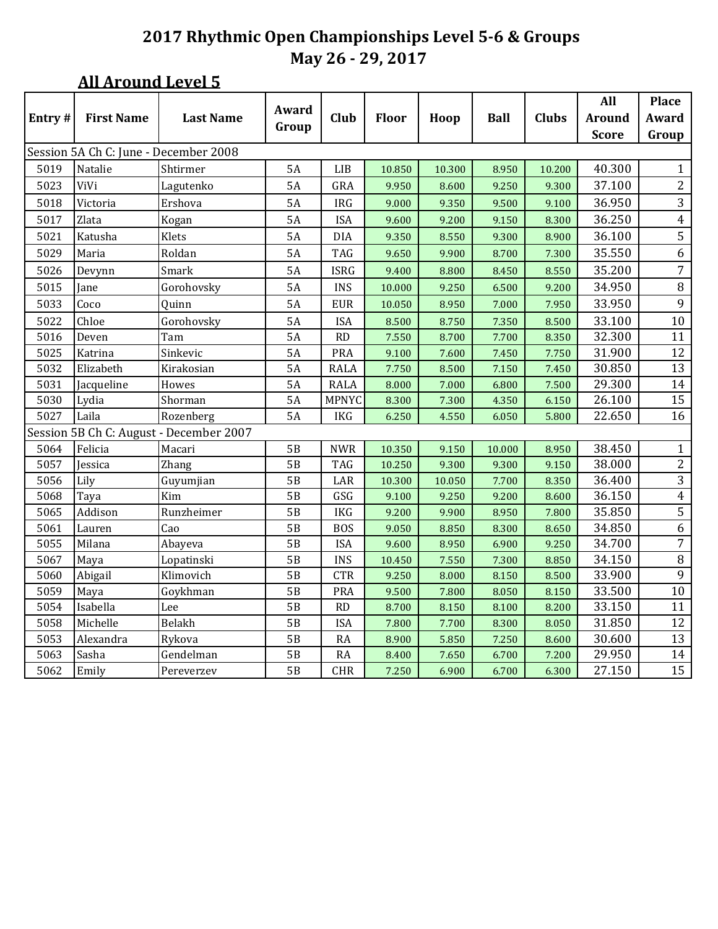|        |                                       |                                         | Award     |              |              |        |             |              | All           | <b>Place</b>   |
|--------|---------------------------------------|-----------------------------------------|-----------|--------------|--------------|--------|-------------|--------------|---------------|----------------|
| Entry# | <b>First Name</b>                     | <b>Last Name</b>                        |           | <b>Club</b>  | <b>Floor</b> | Hoop   | <b>Ball</b> | <b>Clubs</b> | <b>Around</b> | Award          |
|        |                                       |                                         | Group     |              |              |        |             |              | <b>Score</b>  | Group          |
|        | Session 5A Ch C: June - December 2008 |                                         |           |              |              |        |             |              |               |                |
| 5019   | Natalie                               | Shtirmer                                | <b>5A</b> | <b>LIB</b>   | 10.850       | 10.300 | 8.950       | 10.200       | 40.300        | $\mathbf{1}$   |
| 5023   | ViVi                                  | Lagutenko                               | <b>5A</b> | GRA          | 9.950        | 8.600  | 9.250       | 9.300        | 37.100        | $\overline{c}$ |
| 5018   | Victoria                              | Ershova                                 | 5A        | <b>IRG</b>   | 9.000        | 9.350  | 9.500       | 9.100        | 36.950        | 3              |
| 5017   | Zlata                                 | Kogan                                   | <b>5A</b> | <b>ISA</b>   | 9.600        | 9.200  | 9.150       | 8.300        | 36.250        | $\overline{4}$ |
| 5021   | Katusha                               | Klets                                   | 5A        | <b>DIA</b>   | 9.350        | 8.550  | 9.300       | 8.900        | 36.100        | 5              |
| 5029   | Maria                                 | Roldan                                  | 5A        | <b>TAG</b>   | 9.650        | 9.900  | 8.700       | 7.300        | 35.550        | 6              |
| 5026   | Devynn                                | Smark                                   | 5A        | <b>ISRG</b>  | 9.400        | 8.800  | 8.450       | 8.550        | 35.200        | 7              |
| 5015   | Jane                                  | Gorohovsky                              | <b>5A</b> | <b>INS</b>   | 10.000       | 9.250  | 6.500       | 9.200        | 34.950        | $\, 8$         |
| 5033   | Coco                                  | Quinn                                   | <b>5A</b> | <b>EUR</b>   | 10.050       | 8.950  | 7.000       | 7.950        | 33.950        | 9              |
| 5022   | Chloe                                 | Gorohovsky                              | <b>5A</b> | <b>ISA</b>   | 8.500        | 8.750  | 7.350       | 8.500        | 33.100        | 10             |
| 5016   | Deven                                 | Tam                                     | <b>5A</b> | RD           | 7.550        | 8.700  | 7.700       | 8.350        | 32.300        | 11             |
| 5025   | Katrina                               | Sinkevic                                | 5A        | <b>PRA</b>   | 9.100        | 7.600  | 7.450       | 7.750        | 31.900        | 12             |
| 5032   | Elizabeth                             | Kirakosian                              | 5A        | <b>RALA</b>  | 7.750        | 8.500  | 7.150       | 7.450        | 30.850        | 13             |
| 5031   | Jacqueline                            | Howes                                   | <b>5A</b> | <b>RALA</b>  | 8.000        | 7.000  | 6.800       | 7.500        | 29.300        | 14             |
| 5030   | Lydia                                 | Shorman                                 | <b>5A</b> | <b>MPNYC</b> | 8.300        | 7.300  | 4.350       | 6.150        | 26.100        | 15             |
| 5027   | Laila                                 | Rozenberg                               | <b>5A</b> | <b>IKG</b>   | 6.250        | 4.550  | 6.050       | 5.800        | 22.650        | 16             |
|        |                                       | Session 5B Ch C: August - December 2007 |           |              |              |        |             |              |               |                |
| 5064   | Felicia                               | Macari                                  | 5B        | <b>NWR</b>   | 10.350       | 9.150  | 10.000      | 8.950        | 38.450        | $\mathbf{1}$   |
| 5057   | Jessica                               | Zhang                                   | 5B        | <b>TAG</b>   | 10.250       | 9.300  | 9.300       | 9.150        | 38.000        | 2              |
| 5056   | Lily                                  | Guyumjian                               | 5B        | LAR          | 10.300       | 10.050 | 7.700       | 8.350        | 36.400        | 3              |
| 5068   | Taya                                  | Kim                                     | 5B        | GSG          | 9.100        | 9.250  | 9.200       | 8.600        | 36.150        | $\overline{4}$ |
| 5065   | Addison                               | Runzheimer                              | 5B        | <b>IKG</b>   | 9.200        | 9.900  | 8.950       | 7.800        | 35.850        | 5              |
| 5061   | Lauren                                | Cao                                     | 5B        | <b>BOS</b>   | 9.050        | 8.850  | 8.300       | 8.650        | 34.850        | 6              |
| 5055   | Milana                                | Abayeva                                 | 5B        | <b>ISA</b>   | 9.600        | 8.950  | 6.900       | 9.250        | 34.700        | $\overline{7}$ |
| 5067   | Maya                                  | Lopatinski                              | 5B        | <b>INS</b>   | 10.450       | 7.550  | 7.300       | 8.850        | 34.150        | $\, 8$         |
| 5060   | Abigail                               | Klimovich                               | 5B        | <b>CTR</b>   | 9.250        | 8.000  | 8.150       | 8.500        | 33.900        | 9              |
| 5059   | Maya                                  | Goykhman                                | 5B        | <b>PRA</b>   | 9.500        | 7.800  | 8.050       | 8.150        | 33.500        | 10             |
| 5054   | Isabella                              | Lee                                     | 5B        | <b>RD</b>    | 8.700        | 8.150  | 8.100       | 8.200        | 33.150        | 11             |
| 5058   | Michelle                              | Belakh                                  | 5B        | <b>ISA</b>   | 7.800        | 7.700  | 8.300       | 8.050        | 31.850        | 12             |
| 5053   | Alexandra                             | Rykova                                  | 5B        | RA           | 8.900        | 5.850  | 7.250       | 8.600        | 30.600        | 13             |
| 5063   | Sasha                                 | Gendelman                               | 5B        | RA           | 8.400        | 7.650  | 6.700       | 7.200        | 29.950        | 14             |
| 5062   | Emily                                 | Pereverzev                              | 5B        | <b>CHR</b>   | 7.250        | 6.900  | 6.700       | 6.300        | 27.150        | 15             |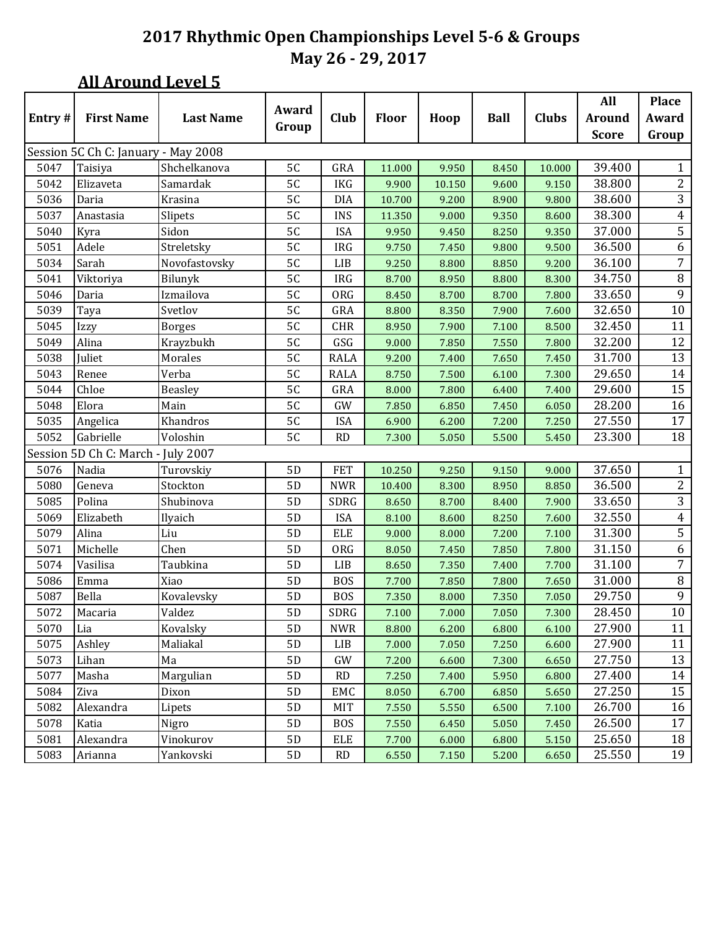|        |                                     |                  |       |                        |              |        |             |              | All          | <b>Place</b>     |
|--------|-------------------------------------|------------------|-------|------------------------|--------------|--------|-------------|--------------|--------------|------------------|
| Entry# | <b>First Name</b>                   | <b>Last Name</b> | Award | Club                   | <b>Floor</b> | Hoop   | <b>Ball</b> | <b>Clubs</b> | Around       | Award            |
|        |                                     |                  | Group |                        |              |        |             |              | <b>Score</b> | Group            |
|        | Session 5C Ch C: January - May 2008 |                  |       |                        |              |        |             |              |              |                  |
| 5047   | Taisiya                             | Shchelkanova     | 5C    | GRA                    | 11.000       | 9.950  | 8.450       | 10.000       | 39.400       | $\mathbf{1}$     |
| 5042   | Elizaveta                           | Samardak         | 5C    | <b>IKG</b>             | 9.900        | 10.150 | 9.600       | 9.150        | 38.800       | $\mathbf{2}$     |
| 5036   | Daria                               | Krasina          | 5C    | <b>DIA</b>             | 10.700       | 9.200  | 8.900       | 9.800        | 38.600       | 3                |
| 5037   | Anastasia                           | Slipets          | 5C    | <b>INS</b>             | 11.350       | 9.000  | 9.350       | 8.600        | 38.300       | $\overline{4}$   |
| 5040   | Kyra                                | Sidon            | 5C    | <b>ISA</b>             | 9.950        | 9.450  | 8.250       | 9.350        | 37.000       | 5                |
| 5051   | Adele                               | Streletsky       | 5C    | <b>IRG</b>             | 9.750        | 7.450  | 9.800       | 9.500        | 36.500       | $\boldsymbol{6}$ |
| 5034   | Sarah                               | Novofastovsky    | 5C    | LIB                    | 9.250        | 8.800  | 8.850       | 9.200        | 36.100       | $\overline{7}$   |
| 5041   | Viktoriya                           | Bilunyk          | 5C    | <b>IRG</b>             | 8.700        | 8.950  | 8.800       | 8.300        | 34.750       | $\, 8$           |
| 5046   | Daria                               | Izmailova        | 5C    | ORG                    | 8.450        | 8.700  | 8.700       | 7.800        | 33.650       | 9                |
| 5039   | Taya                                | Svetlov          | 5C    | GRA                    | 8.800        | 8.350  | 7.900       | 7.600        | 32.650       | 10               |
| 5045   | Izzy                                | <b>Borges</b>    | 5C    | <b>CHR</b>             | 8.950        | 7.900  | 7.100       | 8.500        | 32.450       | 11               |
| 5049   | Alina                               | Krayzbukh        | 5C    | GSG                    | 9.000        | 7.850  | 7.550       | 7.800        | 32.200       | 12               |
| 5038   | Juliet                              | Morales          | 5C    | <b>RALA</b>            | 9.200        | 7.400  | 7.650       | 7.450        | 31.700       | 13               |
| 5043   | Renee                               | Verba            | 5C    | <b>RALA</b>            | 8.750        | 7.500  | 6.100       | 7.300        | 29.650       | 14               |
| 5044   | Chloe                               | Beasley          | 5C    | GRA                    | 8.000        | 7.800  | 6.400       | 7.400        | 29.600       | 15               |
| 5048   | Elora                               | Main             | 5C    | GW                     | 7.850        | 6.850  | 7.450       | 6.050        | 28.200       | 16               |
| 5035   | Angelica                            | Khandros         | 5C    | <b>ISA</b>             | 6.900        | 6.200  | 7.200       | 7.250        | 27.550       | 17               |
| 5052   | Gabrielle                           | Voloshin         | 5C    | RD                     | 7.300        | 5.050  | 5.500       | 5.450        | 23.300       | 18               |
|        | Session 5D Ch C: March - July 2007  |                  |       |                        |              |        |             |              |              |                  |
| 5076   | Nadia                               | Turovskiy        | 5D    | <b>FET</b>             | 10.250       | 9.250  | 9.150       | 9.000        | 37.650       | $\mathbf{1}$     |
| 5080   | Geneva                              | Stockton         | 5D    | <b>NWR</b>             | 10.400       | 8.300  | 8.950       | 8.850        | 36.500       | $\overline{2}$   |
| 5085   | Polina                              | Shubinova        | 5D    | <b>SDRG</b>            | 8.650        | 8.700  | 8.400       | 7.900        | 33.650       | 3                |
| 5069   | Elizabeth                           | Ilyaich          | 5D    | <b>ISA</b>             | 8.100        | 8.600  | 8.250       | 7.600        | 32.550       | $\overline{4}$   |
| 5079   | Alina                               | Liu              | 5D    | <b>ELE</b>             | 9.000        | 8.000  | 7.200       | 7.100        | 31.300       | $\sqrt{5}$       |
| 5071   | Michelle                            | Chen             | 5D    | ORG                    | 8.050        | 7.450  | 7.850       | 7.800        | 31.150       | $6\,$            |
| 5074   | Vasilisa                            | Taubkina         | 5D    | LIB                    | 8.650        | 7.350  | 7.400       | 7.700        | 31.100       | $\sqrt{7}$       |
| 5086   | Emma                                | Xiao             | 5D    | <b>BOS</b>             | 7.700        | 7.850  | 7.800       | 7.650        | 31.000       | $\, 8$           |
| 5087   | Bella                               | Kovalevsky       | 5D    | <b>BOS</b>             | 7.350        | 8.000  | 7.350       | 7.050        | 29.750       | 9                |
| 5072   | Macaria                             | Valdez           | 5D    | SDRG                   | 7.100        | 7.000  | 7.050       | 7.300        | 28.450       | 10               |
| 5070   | Lia                                 | Kovalsky         | 5D    | <b>NWR</b>             | 8.800        | 6.200  | 6.800       | 6.100        | 27.900       | 11               |
| 5075   | Ashley                              | Maliakal         | 5D    | <b>LIB</b>             | 7.000        | 7.050  | 7.250       | 6.600        | 27.900       | 11               |
| 5073   | Lihan                               | Ma               | 5D    | $\operatorname{GW}$    | 7.200        | 6.600  | 7.300       | 6.650        | 27.750       | 13               |
| 5077   | Masha                               | Margulian        | 5D    | RD                     | 7.250        | 7.400  | 5.950       | 6.800        | 27.400       | 14               |
| 5084   | Ziva                                | Dixon            | 5D    | EMC                    | 8.050        | 6.700  | 6.850       | 5.650        | 27.250       | 15               |
| 5082   | Alexandra                           | Lipets           | 5D    | MIT                    | 7.550        | 5.550  | 6.500       | 7.100        | 26.700       | 16               |
| 5078   | Katia                               | Nigro            | 5D    | <b>BOS</b>             | 7.550        | 6.450  | 5.050       | 7.450        | 26.500       | 17               |
| 5081   | Alexandra                           | Vinokurov        | 5D    | ELE                    | 7.700        | 6.000  | 6.800       | 5.150        | 25.650       | 18               |
| 5083   | Arianna                             | Yankovski        | $5D$  | $\mathbf{R}\mathbf{D}$ | 6.550        | 7.150  | 5.200       | 6.650        | 25.550       | 19               |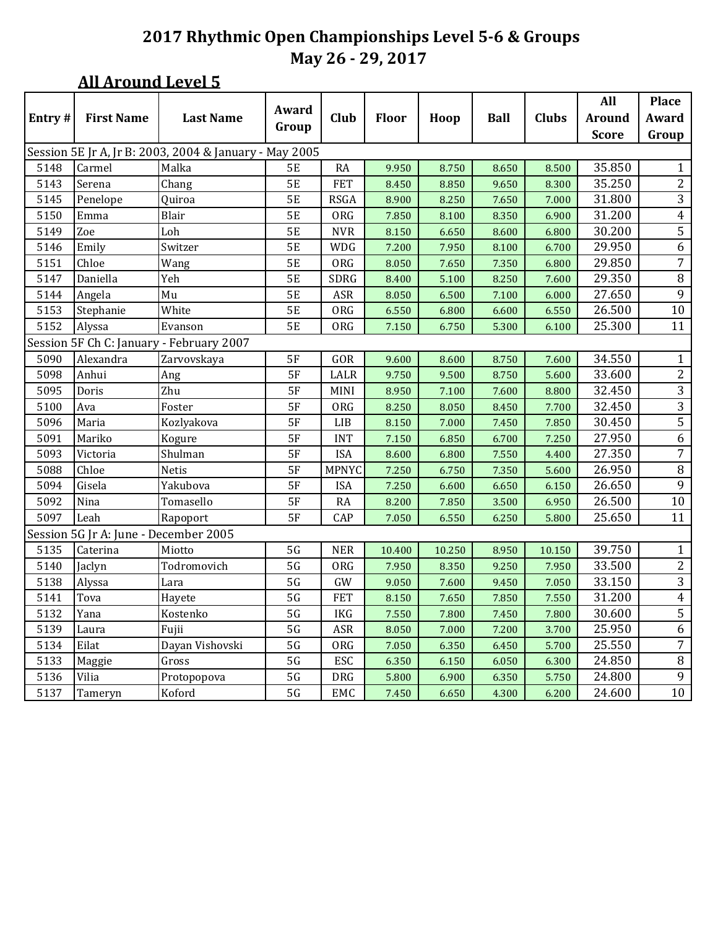|        |                                       |                                                        |           |              |              |        |             |              | All           | <b>Place</b>            |
|--------|---------------------------------------|--------------------------------------------------------|-----------|--------------|--------------|--------|-------------|--------------|---------------|-------------------------|
| Entry# | <b>First Name</b>                     | <b>Last Name</b>                                       | Award     | Club         | <b>Floor</b> | Hoop   | <b>Ball</b> | <b>Clubs</b> | <b>Around</b> | Award                   |
|        |                                       |                                                        | Group     |              |              |        |             |              | <b>Score</b>  | Group                   |
|        |                                       | Session 5E Jr A, Jr B: 2003, 2004 & January - May 2005 |           |              |              |        |             |              |               |                         |
| 5148   | Carmel                                | Malka                                                  | 5E        | <b>RA</b>    | 9.950        | 8.750  | 8.650       | 8.500        | 35.850        | $\mathbf{1}$            |
| 5143   | Serena                                | Chang                                                  | <b>5E</b> | <b>FET</b>   | 8.450        | 8.850  | 9.650       | 8.300        | 35.250        | 2                       |
| 5145   | Penelope                              | Quiroa                                                 | <b>5E</b> | <b>RSGA</b>  | 8.900        | 8.250  | 7.650       | 7.000        | 31.800        | $\overline{3}$          |
| 5150   | Emma                                  | Blair                                                  | <b>5E</b> | ORG          | 7.850        | 8.100  | 8.350       | 6.900        | 31.200        | $\overline{\mathbf{4}}$ |
| 5149   | Zoe                                   | Loh                                                    | 5E        | <b>NVR</b>   | 8.150        | 6.650  | 8.600       | 6.800        | 30.200        | $\overline{5}$          |
| 5146   | Emily                                 | Switzer                                                | <b>5E</b> | <b>WDG</b>   | 7.200        | 7.950  | 8.100       | 6.700        | 29.950        | $\overline{6}$          |
| 5151   | Chloe                                 | Wang                                                   | <b>5E</b> | <b>ORG</b>   | 8.050        | 7.650  | 7.350       | 6.800        | 29.850        | 7                       |
| 5147   | Daniella                              | Yeh                                                    | <b>5E</b> | <b>SDRG</b>  | 8.400        | 5.100  | 8.250       | 7.600        | 29.350        | $\overline{8}$          |
| 5144   | Angela                                | Mu                                                     | <b>5E</b> | <b>ASR</b>   | 8.050        | 6.500  | 7.100       | 6.000        | 27.650        | 9                       |
| 5153   | Stephanie                             | White                                                  | 5E        | ORG          | 6.550        | 6.800  | 6.600       | 6.550        | 26.500        | 10                      |
| 5152   | Alyssa                                | Evanson                                                | <b>5E</b> | <b>ORG</b>   | 7.150        | 6.750  | 5.300       | 6.100        | 25.300        | 11                      |
|        |                                       | Session 5F Ch C: January - February 2007               |           |              |              |        |             |              |               |                         |
| 5090   | Alexandra                             | Zarvovskaya                                            | 5F        | GOR          | 9.600        | 8.600  | 8.750       | 7.600        | 34.550        | $\mathbf{1}$            |
| 5098   | Anhui                                 | Ang                                                    | 5F        | LALR         | 9.750        | 9.500  | 8.750       | 5.600        | 33.600        | 2                       |
| 5095   | Doris                                 | Zhu                                                    | 5F        | MINI         | 8.950        | 7.100  | 7.600       | 8.800        | 32.450        | 3                       |
| 5100   | Ava                                   | Foster                                                 | 5F        | <b>ORG</b>   | 8.250        | 8.050  | 8.450       | 7.700        | 32.450        | 3                       |
| 5096   | Maria                                 | Kozlyakova                                             | 5F        | LIB          | 8.150        | 7.000  | 7.450       | 7.850        | 30.450        | 5                       |
| 5091   | Mariko                                | Kogure                                                 | 5F        | <b>INT</b>   | 7.150        | 6.850  | 6.700       | 7.250        | 27.950        | 6                       |
| 5093   | Victoria                              | Shulman                                                | 5F        | <b>ISA</b>   | 8.600        | 6.800  | 7.550       | 4.400        | 27.350        | 7                       |
| 5088   | Chloe                                 | <b>Netis</b>                                           | 5F        | <b>MPNYC</b> | 7.250        | 6.750  | 7.350       | 5.600        | 26.950        | $\, 8$                  |
| 5094   | Gisela                                | Yakubova                                               | 5F        | <b>ISA</b>   | 7.250        | 6.600  | 6.650       | 6.150        | 26.650        | 9                       |
| 5092   | Nina                                  | Tomasello                                              | 5F        | <b>RA</b>    | 8.200        | 7.850  | 3.500       | 6.950        | 26.500        | 10                      |
| 5097   | Leah                                  | Rapoport                                               | 5F        | CAP          | 7.050        | 6.550  | 6.250       | 5.800        | 25.650        | 11                      |
|        | Session 5G Jr A: June - December 2005 |                                                        |           |              |              |        |             |              |               |                         |
| 5135   | Caterina                              | Miotto                                                 | 5G        | <b>NER</b>   | 10.400       | 10.250 | 8.950       | 10.150       | 39.750        | $\mathbf{1}$            |
| 5140   | Jaclyn                                | Todromovich                                            | 5G        | ORG          | 7.950        | 8.350  | 9.250       | 7.950        | 33.500        | $\overline{c}$          |
| 5138   | Alyssa                                | Lara                                                   | 5G        | GW           | 9.050        | 7.600  | 9.450       | 7.050        | 33.150        | 3                       |
| 5141   | Tova                                  | Hayete                                                 | 5G        | <b>FET</b>   | 8.150        | 7.650  | 7.850       | 7.550        | 31.200        | $\overline{4}$          |
| 5132   | Yana                                  | Kostenko                                               | 5G        | <b>IKG</b>   | 7.550        | 7.800  | 7.450       | 7.800        | 30.600        | $\overline{5}$          |
| 5139   | Laura                                 | Fujii                                                  | 5G        | <b>ASR</b>   | 8.050        | 7.000  | 7.200       | 3.700        | 25.950        | 6                       |
| 5134   | Eilat                                 | Dayan Vishovski                                        | 5G        | <b>ORG</b>   | 7.050        | 6.350  | 6.450       | 5.700        | 25.550        | 7                       |
| 5133   | Maggie                                | Gross                                                  | 5G        | <b>ESC</b>   | 6.350        | 6.150  | 6.050       | 6.300        | 24.850        | 8                       |
| 5136   | Vilia                                 | Protopopova                                            | 5G        | <b>DRG</b>   | 5.800        | 6.900  | 6.350       | 5.750        | 24.800        | 9                       |
| 5137   | Tameryn                               | Koford                                                 | 5G        | EMC          | 7.450        | 6.650  | 4.300       | 6.200        | 24.600        | 10                      |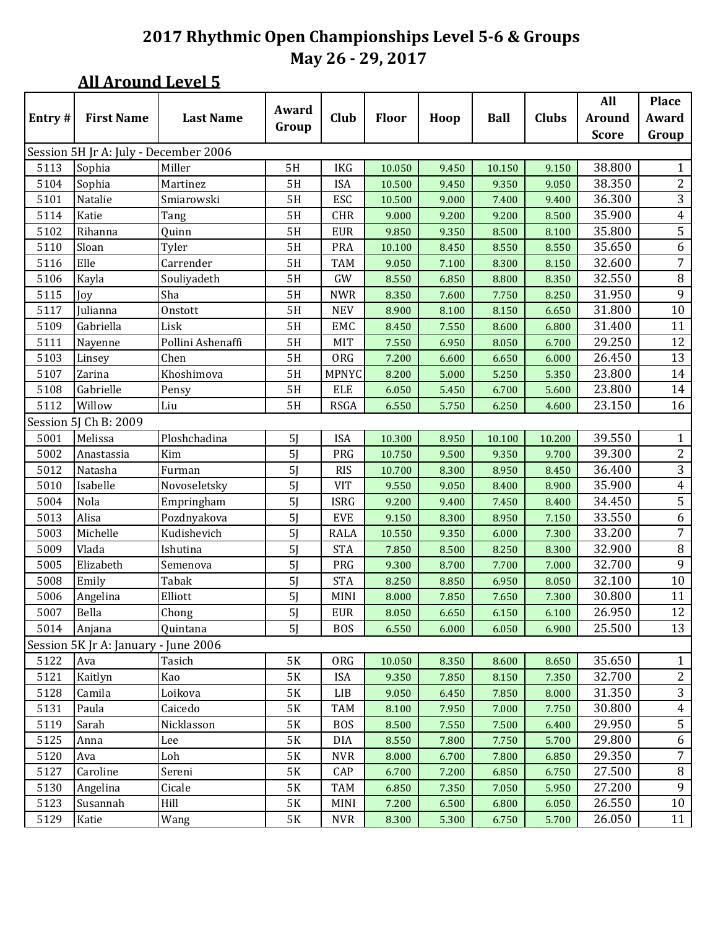|        |                                       |                   | Award          |              |              |       | All         | <b>Place</b> |               |                  |
|--------|---------------------------------------|-------------------|----------------|--------------|--------------|-------|-------------|--------------|---------------|------------------|
| Entry# | <b>First Name</b>                     | <b>Last Name</b>  |                | Club         | <b>Floor</b> | Hoop  | <b>Ball</b> | <b>Clubs</b> | <b>Around</b> | Award            |
|        |                                       |                   | Group          |              |              |       |             |              | <b>Score</b>  | Group            |
|        | Session 5H Jr A: July - December 2006 |                   |                |              |              |       |             |              |               |                  |
| 5113   | Sophia                                | Miller            | 5H             | <b>IKG</b>   | 10.050       | 9.450 | 10.150      | 9.150        | 38.800        | $\mathbf{1}$     |
| 5104   | Sophia                                | Martinez          | 5H             | <b>ISA</b>   | 10.500       | 9.450 | 9.350       | 9.050        | 38.350        | $\overline{c}$   |
| 5101   | Natalie                               | Smiarowski        | 5H             | ESC          | 10.500       | 9.000 | 7.400       | 9.400        | 36.300        | $\overline{3}$   |
| 5114   | Katie                                 | Tang              | 5H             | <b>CHR</b>   | 9.000        | 9.200 | 9.200       | 8.500        | 35.900        | $\overline{4}$   |
| 5102   | Rihanna                               | Quinn             | 5H             | <b>EUR</b>   | 9.850        | 9.350 | 8.500       | 8.100        | 35.800        | $\overline{5}$   |
| 5110   | Sloan                                 | Tyler             | 5H             | PRA          | 10.100       | 8.450 | 8.550       | 8.550        | 35.650        | 6                |
| 5116   | Elle                                  | Carrender         | 5H             | <b>TAM</b>   | 9.050        | 7.100 | 8.300       | 8.150        | 32.600        | $\boldsymbol{7}$ |
| 5106   | Kayla                                 | Souliyadeth       | 5H             | GW           | 8.550        | 6.850 | 8.800       | 8.350        | 32.550        | $\, 8$           |
| 5115   | Joy                                   | Sha               | 5H             | <b>NWR</b>   | 8.350        | 7.600 | 7.750       | 8.250        | 31.950        | 9                |
| 5117   | Julianna                              | Onstott           | 5H             | <b>NEV</b>   | 8.900        | 8.100 | 8.150       | 6.650        | 31.800        | 10               |
| 5109   | Gabriella                             | Lisk              | 5H             | <b>EMC</b>   | 8.450        | 7.550 | 8.600       | 6.800        | 31.400        | 11               |
| 5111   | Nayenne                               | Pollini Ashenaffi | 5H             | <b>MIT</b>   | 7.550        | 6.950 | 8.050       | 6.700        | 29.250        | 12               |
| 5103   | Linsey                                | Chen              | 5H             | ORG          | 7.200        | 6.600 | 6.650       | 6.000        | 26.450        | 13               |
| 5107   | Zarina                                | Khoshimova        | 5H             | <b>MPNYC</b> | 8.200        | 5.000 | 5.250       | 5.350        | 23.800        | 14               |
| 5108   | Gabrielle                             | Pensy             | 5H             | <b>ELE</b>   | 6.050        | 5.450 | 6.700       | 5.600        | 23.800        | 14               |
| 5112   | Willow                                | Liu               | 5H             | <b>RSGA</b>  | 6.550        | 5.750 | 6.250       | 4.600        | 23.150        | 16               |
|        | Session 5J Ch B: 2009                 |                   |                |              |              |       |             |              |               |                  |
| 5001   | Melissa                               | Ploshchadina      | 5J             | <b>ISA</b>   | 10.300       | 8.950 | 10.100      | 10.200       | 39.550        | $\mathbf{1}$     |
| 5002   | Anastassia                            | Kim               | 5J             | PRG          | 10.750       | 9.500 | 9.350       | 9.700        | 39.300        | $\mathbf{2}$     |
| 5012   | Natasha                               | Furman            | 5J             | <b>RIS</b>   | 10.700       | 8.300 | 8.950       | 8.450        | 36.400        | 3                |
| 5010   | Isabelle                              | Novoseletsky      | 5 <sub>j</sub> | <b>VIT</b>   | 9.550        | 9.050 | 8.400       | 8.900        | 35.900        | 4                |
| 5004   | Nola                                  | Empringham        | 5J             | <b>ISRG</b>  | 9.200        | 9.400 | 7.450       | 8.400        | 34.450        | $\overline{5}$   |
| 5013   | Alisa                                 | Pozdnyakova       | 5 <sub>j</sub> | <b>EVE</b>   | 9.150        | 8.300 | 8.950       | 7.150        | 33.550        | $6\,$            |
| 5003   | Michelle                              | Kudishevich       | 5J             | <b>RALA</b>  | 10.550       | 9.350 | 6.000       | 7.300        | 33.200        | 7                |
| 5009   | Vlada                                 | Ishutina          | 5 <sub>j</sub> | <b>STA</b>   | 7.850        | 8.500 | 8.250       | 8.300        | 32.900        | $\, 8$           |
| 5005   | Elizabeth                             | Semenova          | 5 <sub>j</sub> | PRG          | 9.300        | 8.700 | 7.700       | 7.000        | 32.700        | 9                |
| 5008   | Emily                                 | Tabak             | 5J             | <b>STA</b>   | 8.250        | 8.850 | 6.950       | 8.050        | 32.100        | 10               |
| 5006   | Angelina                              | Elliott           | 5J             | MINI         | 8.000        | 7.850 | 7.650       | 7.300        | 30.800        | 11               |
| 5007   | Bella                                 | Chong             | 5 <sub>l</sub> | <b>EUR</b>   | 8.050        | 6.650 | 6.150       | 6.100        | 26.950        | 12               |
| 5014   | Anjana                                | Quintana          | 5J             | <b>BOS</b>   | 6.550        | 6.000 | 6.050       | 6.900        | 25.500        | 13               |
|        | Session 5K Jr A: January - June 2006  |                   |                |              |              |       |             |              |               |                  |
| 5122   | Ava                                   | Tasich            | $5\mathrm{K}$  | ORG          | 10.050       | 8.350 | 8.600       | 8.650        | 35.650        | $\mathbf{1}$     |
| 5121   | Kaitlyn                               | Kao               | 5K             | <b>ISA</b>   | 9.350        | 7.850 | 8.150       | 7.350        | 32.700        | $\overline{c}$   |
| 5128   | Camila                                | Loikova           | 5K             | LIB          | 9.050        | 6.450 | 7.850       | 8.000        | 31.350        | 3                |
| 5131   | Paula                                 | Caicedo           | 5K             | <b>TAM</b>   | 8.100        | 7.950 | 7.000       | 7.750        | 30.800        | $\overline{4}$   |
| 5119   | Sarah                                 | Nicklasson        | 5K             | <b>BOS</b>   | 8.500        | 7.550 | 7.500       | 6.400        | 29.950        | 5                |
| 5125   | Anna                                  | Lee               | $5\mathrm{K}$  | DIA          | 8.550        | 7.800 | 7.750       | 5.700        | 29.800        | 6                |
| 5120   | Ava                                   | Loh               | 5K             | <b>NVR</b>   | 8.000        | 6.700 | 7.800       | 6.850        | 29.350        | $\overline{7}$   |
| 5127   | Caroline                              | Sereni            | 5K             | CAP          | 6.700        | 7.200 | 6.850       | 6.750        | 27.500        | $\, 8$           |
| 5130   | Angelina                              | Cicale            | 5K             | <b>TAM</b>   | 6.850        | 7.350 | 7.050       | 5.950        | 27.200        | 9                |
| 5123   | Susannah                              | Hill              | 5K             | MINI         | 7.200        | 6.500 | 6.800       | 6.050        | 26.550        | 10               |
| 5129   | Katie                                 | Wang              | 5K             | <b>NVR</b>   | 8.300        | 5.300 | 6.750       | 5.700        | 26.050        | 11               |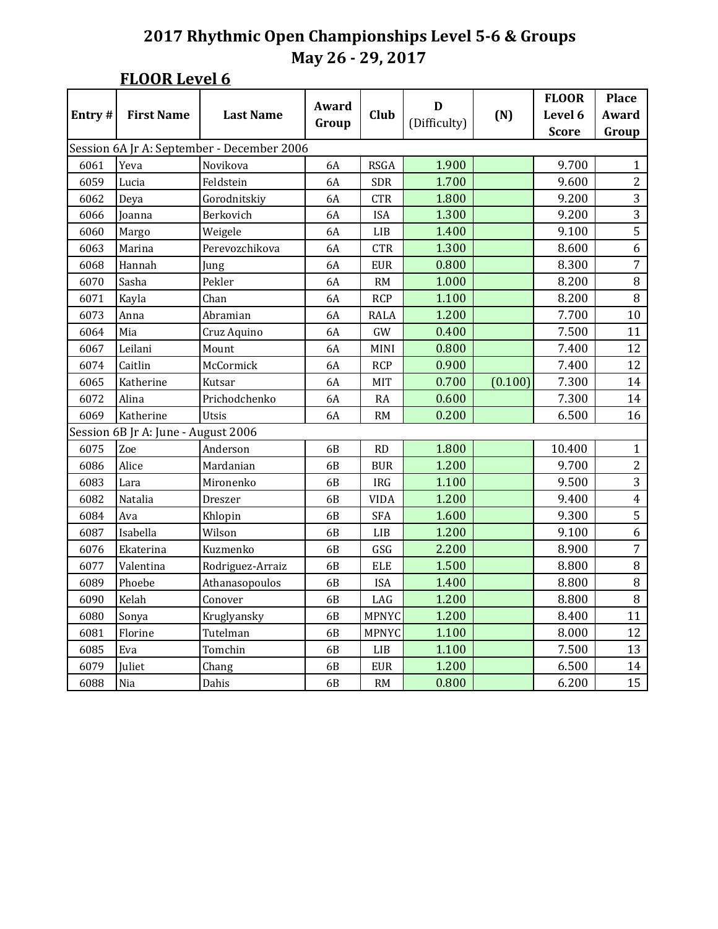|        |                                     |                                            | Award          |              | D            |         | <b>FLOOR</b>            | <b>Place</b>            |
|--------|-------------------------------------|--------------------------------------------|----------------|--------------|--------------|---------|-------------------------|-------------------------|
| Entry# | <b>First Name</b>                   | <b>Last Name</b>                           | Group          | <b>Club</b>  | (Difficulty) | (N)     | Level 6<br><b>Score</b> | Award<br>Group          |
|        |                                     | Session 6A Jr A: September - December 2006 |                |              |              |         |                         |                         |
| 6061   | Yeva                                | Novikova                                   | <b>6A</b>      | <b>RSGA</b>  | 1.900        |         | 9.700                   | $\mathbf{1}$            |
| 6059   | Lucia                               | Feldstein                                  | 6A             | <b>SDR</b>   | 1.700        |         | 9.600                   | $\overline{2}$          |
| 6062   | Deya                                | Gorodnitskiy                               | 6A             | <b>CTR</b>   | 1.800        |         | 9.200                   | 3                       |
| 6066   | Joanna                              | Berkovich                                  | 6A             | <b>ISA</b>   | 1.300        |         | 9.200                   | 3                       |
| 6060   | Margo                               | Weigele                                    | 6A             | LIB          | 1.400        |         | 9.100                   | $\overline{5}$          |
| 6063   | Marina                              | Perevozchikova                             | <b>6A</b>      | <b>CTR</b>   | 1.300        |         | 8.600                   | 6                       |
| 6068   | Hannah                              | Jung                                       | 6A             | <b>EUR</b>   | 0.800        |         | 8.300                   | $\overline{7}$          |
| 6070   | Sasha                               | Pekler                                     | 6A             | RM           | 1.000        |         | 8.200                   | $\overline{8}$          |
| 6071   | Kayla                               | Chan                                       | 6A             | <b>RCP</b>   | 1.100        |         | 8.200                   | 8                       |
| 6073   | Anna                                | Abramian                                   | 6A             | <b>RALA</b>  | 1.200        |         | 7.700                   | 10                      |
| 6064   | Mia                                 | Cruz Aquino                                | 6A             | GW           | 0.400        |         | 7.500                   | 11                      |
| 6067   | Leilani                             | Mount                                      | 6A             | MINI         | 0.800        |         | 7.400                   | 12                      |
| 6074   | Caitlin                             | McCormick                                  | <b>6A</b>      | <b>RCP</b>   | 0.900        |         | 7.400                   | 12                      |
| 6065   | Katherine                           | Kutsar                                     | 6A             | <b>MIT</b>   | 0.700        | (0.100) | 7.300                   | 14                      |
| 6072   | Alina                               | Prichodchenko                              | <b>6A</b>      | <b>RA</b>    | 0.600        |         | 7.300                   | 14                      |
| 6069   | Katherine                           | Utsis                                      | 6A             | <b>RM</b>    | 0.200        |         | 6.500                   | 16                      |
|        | Session 6B Jr A: June - August 2006 |                                            |                |              |              |         |                         |                         |
| 6075   | Zoe                                 | Anderson                                   | 6B             | RD           | 1.800        |         | 10.400                  | $\mathbf{1}$            |
| 6086   | Alice                               | Mardanian                                  | 6 <sub>B</sub> | <b>BUR</b>   | 1.200        |         | 9.700                   | $\overline{2}$          |
| 6083   | Lara                                | Mironenko                                  | 6B             | <b>IRG</b>   | 1.100        |         | 9.500                   | 3                       |
| 6082   | Natalia                             | Dreszer                                    | 6B             | <b>VIDA</b>  | 1.200        |         | 9.400                   | $\overline{\mathbf{4}}$ |
| 6084   | Ava                                 | Khlopin                                    | 6B             | <b>SFA</b>   | 1.600        |         | 9.300                   | 5                       |
| 6087   | Isabella                            | Wilson                                     | 6B             | LIB          | 1.200        |         | 9.100                   | 6                       |
| 6076   | Ekaterina                           | Kuzmenko                                   | 6B             | GSG          | 2.200        |         | 8.900                   | $\overline{7}$          |
| 6077   | Valentina                           | Rodriguez-Arraiz                           | 6B             | <b>ELE</b>   | 1.500        |         | 8.800                   | $\, 8$                  |
| 6089   | Phoebe                              | Athanasopoulos                             | 6B             | <b>ISA</b>   | 1.400        |         | 8.800                   | 8                       |
| 6090   | Kelah                               | Conover                                    | 6B             | LAG          | 1.200        |         | 8.800                   | 8                       |
| 6080   | Sonya                               | Kruglyansky                                | 6B             | <b>MPNYC</b> | 1.200        |         | 8.400                   | 11                      |
| 6081   | Florine                             | Tutelman                                   | 6B             | <b>MPNYC</b> | 1.100        |         | 8.000                   | 12                      |
| 6085   | Eva                                 | Tomchin                                    | 6B             | LIB          | 1.100        |         | 7.500                   | 13                      |
| 6079   | Juliet                              | Chang                                      | 6B             | <b>EUR</b>   | 1.200        |         | 6.500                   | 14                      |
| 6088   | Nia                                 | Dahis                                      | 6 <sub>B</sub> | RM           | 0.800        |         | 6.200                   | 15                      |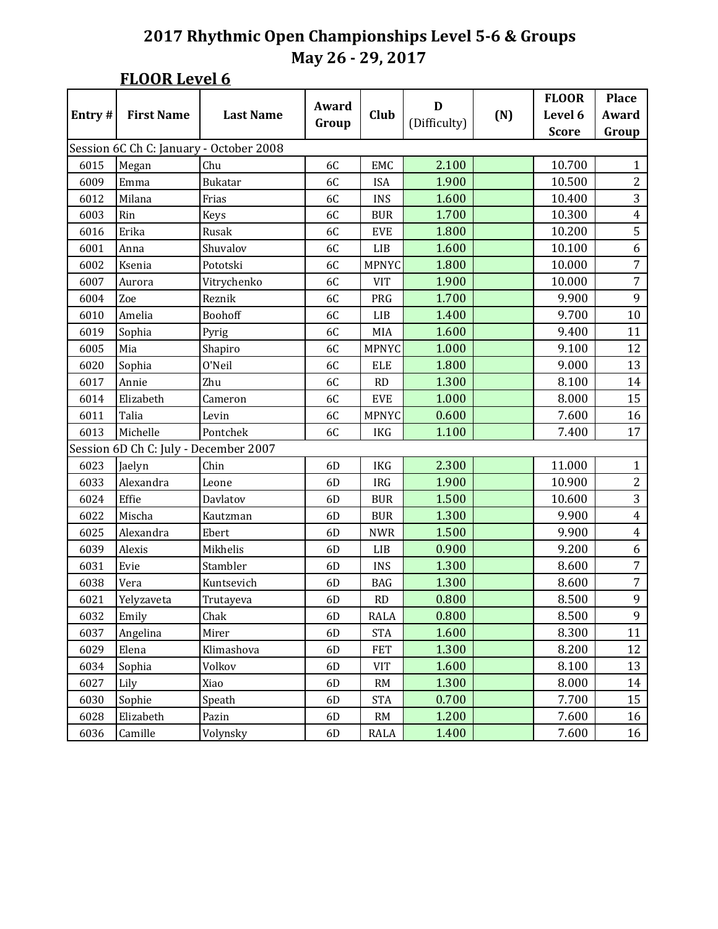|        |                                       |                                         | Award | D            |              | <b>FLOOR</b> | Place        |                |
|--------|---------------------------------------|-----------------------------------------|-------|--------------|--------------|--------------|--------------|----------------|
| Entry# | <b>First Name</b>                     | <b>Last Name</b>                        |       | Club         |              | (N)          | Level 6      | Award          |
|        |                                       |                                         | Group |              | (Difficulty) |              | <b>Score</b> | Group          |
|        |                                       | Session 6C Ch C: January - October 2008 |       |              |              |              |              |                |
| 6015   | Megan                                 | Chu                                     | 6C    | EMC          | 2.100        |              | 10.700       | $\mathbf{1}$   |
| 6009   | Emma                                  | <b>Bukatar</b>                          | 6C    | <b>ISA</b>   | 1.900        |              | 10.500       | $\overline{2}$ |
| 6012   | Milana                                | Frias                                   | 6C    | <b>INS</b>   | 1.600        |              | 10.400       | 3              |
| 6003   | Rin                                   | Keys                                    | 6C    | <b>BUR</b>   | 1.700        |              | 10.300       | $\overline{4}$ |
| 6016   | Erika                                 | Rusak                                   | 6C    | <b>EVE</b>   | 1.800        |              | 10.200       | 5              |
| 6001   | Anna                                  | Shuvalov                                | 6C    | LIB          | 1.600        |              | 10.100       | 6              |
| 6002   | Ksenia                                | Pototski                                | 6C    | <b>MPNYC</b> | 1.800        |              | 10.000       | $\overline{7}$ |
| 6007   | Aurora                                | Vitrychenko                             | 6C    | <b>VIT</b>   | 1.900        |              | 10.000       | $\overline{7}$ |
| 6004   | Zoe                                   | Reznik                                  | 6C    | PRG          | 1.700        |              | 9.900        | 9              |
| 6010   | Amelia                                | Boohoff                                 | 6C    | LIB          | 1.400        |              | 9.700        | $10\,$         |
| 6019   | Sophia                                | Pyrig                                   | 6C    | MIA          | 1.600        |              | 9.400        | 11             |
| 6005   | Mia                                   | Shapiro                                 | 6C    | <b>MPNYC</b> | 1.000        |              | 9.100        | 12             |
| 6020   | Sophia                                | O'Neil                                  | 6C    | <b>ELE</b>   | 1.800        |              | 9.000        | 13             |
| 6017   | Annie                                 | Zhu                                     | 6C    | RD           | 1.300        |              | 8.100        | 14             |
| 6014   | Elizabeth                             | Cameron                                 | 6C    | <b>EVE</b>   | 1.000        |              | 8.000        | 15             |
| 6011   | Talia                                 | Levin                                   | 6C    | <b>MPNYC</b> | 0.600        |              | 7.600        | 16             |
| 6013   | Michelle                              | Pontchek                                | 6C    | <b>IKG</b>   | 1.100        |              | 7.400        | 17             |
|        | Session 6D Ch C: July - December 2007 |                                         |       |              |              |              |              |                |
| 6023   | Jaelyn                                | Chin                                    | 6D    | <b>IKG</b>   | 2.300        |              | 11.000       | $\mathbf{1}$   |
| 6033   | Alexandra                             | Leone                                   | 6D    | <b>IRG</b>   | 1.900        |              | 10.900       | $\overline{2}$ |
| 6024   | Effie                                 | Davlatov                                | 6D    | <b>BUR</b>   | 1.500        |              | 10.600       | $\overline{3}$ |
| 6022   | Mischa                                | Kautzman                                | 6D    | <b>BUR</b>   | 1.300        |              | 9.900        | $\overline{4}$ |
| 6025   | Alexandra                             | Ebert                                   | 6D    | <b>NWR</b>   | 1.500        |              | 9.900        | $\overline{4}$ |
| 6039   | Alexis                                | Mikhelis                                | 6D    | LIB          | 0.900        |              | 9.200        | 6              |
| 6031   | Evie                                  | Stambler                                | 6D    | <b>INS</b>   | 1.300        |              | 8.600        | $\overline{7}$ |
| 6038   | Vera                                  | Kuntsevich                              | 6D    | <b>BAG</b>   | 1.300        |              | 8.600        | $\overline{7}$ |
| 6021   | Yelyzaveta                            | Trutayeva                               | 6D    | <b>RD</b>    | 0.800        |              | 8.500        | 9              |
| 6032   | Emily                                 | Chak                                    | 6D    | <b>RALA</b>  | 0.800        |              | 8.500        | 9              |
| 6037   | Angelina                              | Mirer                                   | 6D    | <b>STA</b>   | 1.600        |              | 8.300        | 11             |
| 6029   | Elena                                 | Klimashova                              | 6D    | <b>FET</b>   | 1.300        |              | 8.200        | 12             |
| 6034   | Sophia                                | Volkov                                  | 6D    | <b>VIT</b>   | 1.600        |              | 8.100        | 13             |
| 6027   | Lily                                  | Xiao                                    | 6D    | RM           | 1.300        |              | 8.000        | 14             |
| 6030   | Sophie                                | Speath                                  | 6D    | <b>STA</b>   | 0.700        |              | 7.700        | 15             |
| 6028   | Elizabeth                             | Pazin                                   | 6D    | <b>RM</b>    | 1.200        |              | 7.600        | 16             |
| 6036   | Camille                               | Volynsky                                | 6D    | <b>RALA</b>  | 1.400        |              | 7.600        | 16             |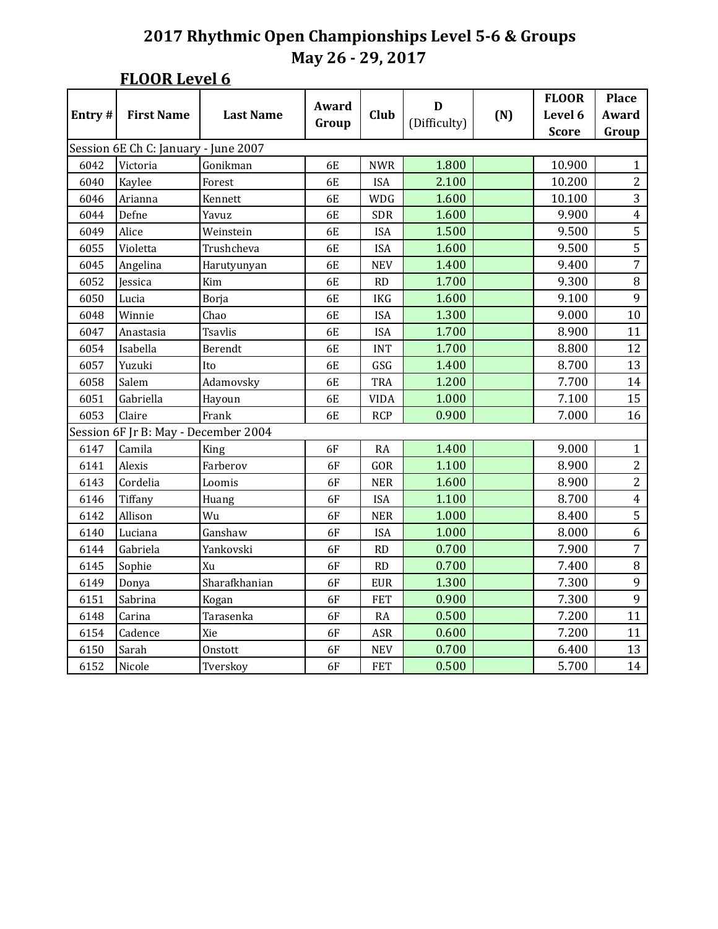|        |                                      | Award<br><b>Last Name</b> |           |             | D            |     | <b>FLOOR</b> | <b>Place</b>   |
|--------|--------------------------------------|---------------------------|-----------|-------------|--------------|-----|--------------|----------------|
| Entry# | <b>First Name</b>                    |                           | Group     | <b>Club</b> | (Difficulty) | (N) | Level 6      | <b>Award</b>   |
|        |                                      |                           |           |             |              |     | <b>Score</b> | Group          |
|        | Session 6E Ch C: January - June 2007 |                           |           |             |              |     |              |                |
| 6042   | Victoria                             | Gonikman                  | 6E        | <b>NWR</b>  | 1.800        |     | 10.900       | $\mathbf{1}$   |
| 6040   | Kaylee                               | Forest                    | 6E        | <b>ISA</b>  | 2.100        |     | 10.200       | $\overline{2}$ |
| 6046   | Arianna                              | Kennett                   | 6E        | <b>WDG</b>  | 1.600        |     | 10.100       | $\overline{3}$ |
| 6044   | Defne                                | Yavuz                     | 6E        | <b>SDR</b>  | 1.600        |     | 9.900        | $\overline{4}$ |
| 6049   | Alice                                | Weinstein                 | 6E        | <b>ISA</b>  | 1.500        |     | 9.500        | $\overline{5}$ |
| 6055   | Violetta                             | Trushcheva                | 6E        | <b>ISA</b>  | 1.600        |     | 9.500        | $\overline{5}$ |
| 6045   | Angelina                             | Harutyunyan               | 6E        | <b>NEV</b>  | 1.400        |     | 9.400        | $\overline{7}$ |
| 6052   | Jessica                              | Kim                       | 6E        | <b>RD</b>   | 1.700        |     | 9.300        | 8              |
| 6050   | Lucia                                | Borja                     | <b>6E</b> | <b>IKG</b>  | 1.600        |     | 9.100        | 9              |
| 6048   | Winnie                               | Chao                      | <b>6E</b> | <b>ISA</b>  | 1.300        |     | 9.000        | 10             |
| 6047   | Anastasia                            | <b>Tsavlis</b>            | 6E        | <b>ISA</b>  | 1.700        |     | 8.900        | 11             |
| 6054   | Isabella                             | Berendt                   | 6E        | <b>INT</b>  | 1.700        |     | 8.800        | 12             |
| 6057   | Yuzuki                               | Ito                       | 6E        | GSG         | 1.400        |     | 8.700        | 13             |
| 6058   | Salem                                | Adamovsky                 | <b>6E</b> | <b>TRA</b>  | 1.200        |     | 7.700        | 14             |
| 6051   | Gabriella                            | Hayoun                    | 6E        | <b>VIDA</b> | 1.000        |     | 7.100        | 15             |
| 6053   | Claire                               | Frank                     | 6E        | <b>RCP</b>  | 0.900        |     | 7.000        | 16             |
|        | Session 6F Jr B: May - December 2004 |                           |           |             |              |     |              |                |
| 6147   | Camila                               | King                      | 6F        | <b>RA</b>   | 1.400        |     | 9.000        | $\mathbf{1}$   |
| 6141   | Alexis                               | Farberov                  | 6F        | GOR         | 1.100        |     | 8.900        | $\overline{2}$ |
| 6143   | Cordelia                             | Loomis                    | 6F        | <b>NER</b>  | 1.600        |     | 8.900        | $\overline{2}$ |
| 6146   | Tiffany                              | Huang                     | 6F        | <b>ISA</b>  | 1.100        |     | 8.700        | $\overline{4}$ |
| 6142   | Allison                              | Wu                        | 6F        | <b>NER</b>  | 1.000        |     | 8.400        | $\overline{5}$ |
| 6140   | Luciana                              | Ganshaw                   | 6F        | <b>ISA</b>  | 1.000        |     | 8.000        | 6              |
| 6144   | Gabriela                             | Yankovski                 | 6F        | RD          | 0.700        |     | 7.900        | $\overline{7}$ |
| 6145   | Sophie                               | Xu                        | 6F        | RD          | 0.700        |     | 7.400        | $\overline{8}$ |
| 6149   | Donya                                | Sharafkhanian             | 6F        | <b>EUR</b>  | 1.300        |     | 7.300        | 9              |
| 6151   | Sabrina                              | Kogan                     | 6F        | <b>FET</b>  | 0.900        |     | 7.300        | 9              |
| 6148   | Carina                               | Tarasenka                 | 6F        | RA          | 0.500        |     | 7.200        | 11             |
| 6154   | Cadence                              | Xie                       | 6F        | <b>ASR</b>  | 0.600        |     | 7.200        | 11             |
| 6150   | Sarah                                | Onstott                   | 6F        | <b>NEV</b>  | 0.700        |     | 6.400        | 13             |
| 6152   | Nicole                               | Tverskoy                  | 6F        | <b>FET</b>  | 0.500        |     | 5.700        | 14             |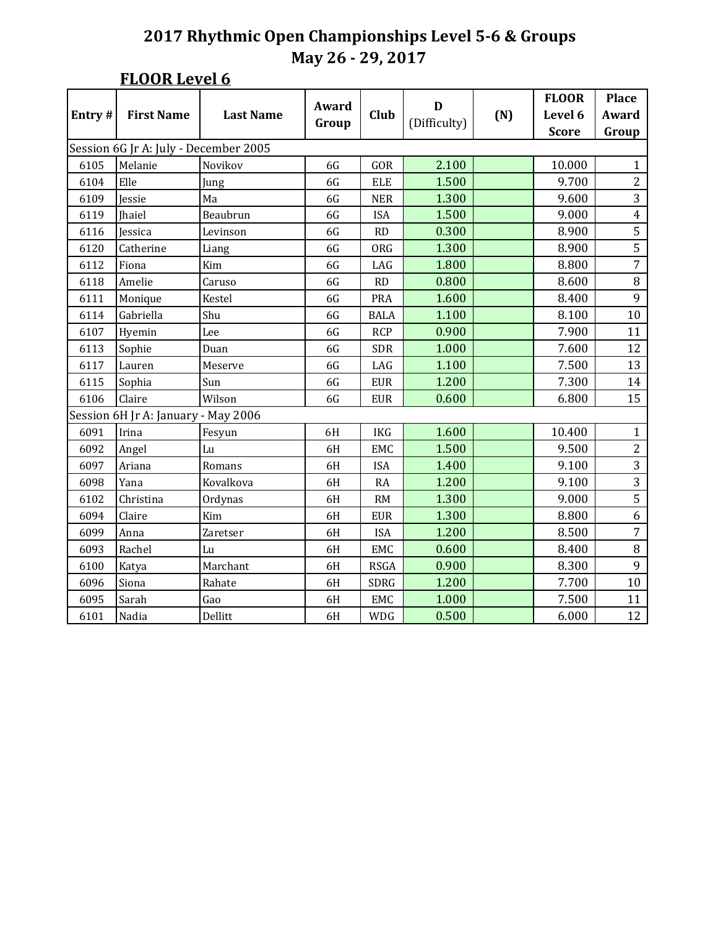| Entry# | <b>First Name</b>                     | <b>Last Name</b> | Award<br>Group | Club        | D<br>(Difficulty) | (N) | <b>FLOOR</b><br>Level 6 | <b>Place</b><br>Award   |
|--------|---------------------------------------|------------------|----------------|-------------|-------------------|-----|-------------------------|-------------------------|
|        |                                       |                  |                |             |                   |     | <b>Score</b>            | Group                   |
|        | Session 6G Jr A: July - December 2005 |                  |                |             |                   |     |                         |                         |
| 6105   | Melanie                               | Novikov          | 6G             | GOR         | 2.100             |     | 10.000                  | $\mathbf{1}$            |
| 6104   | Elle                                  | Jung             | 6G             | <b>ELE</b>  | 1.500             |     | 9.700                   | $\overline{2}$          |
| 6109   | Jessie                                | Ma               | 6G             | <b>NER</b>  | 1.300             |     | 9.600                   | $\overline{3}$          |
| 6119   | <b>Jhaiel</b>                         | Beaubrun         | 6G             | <b>ISA</b>  | 1.500             |     | 9.000                   | $\overline{\mathbf{4}}$ |
| 6116   | Jessica                               | Levinson         | 6G             | RD          | 0.300             |     | 8.900                   | $\overline{5}$          |
| 6120   | Catherine                             | Liang            | 6G             | <b>ORG</b>  | 1.300             |     | 8.900                   | $\overline{5}$          |
| 6112   | Fiona                                 | Kim              | 6G             | LAG         | 1.800             |     | 8.800                   | $\overline{7}$          |
| 6118   | Amelie                                | Caruso           | 6G             | RD          | 0.800             |     | 8.600                   | $\, 8$                  |
| 6111   | Monique                               | Kestel           | 6G             | PRA         | 1.600             |     | 8.400                   | 9                       |
| 6114   | Gabriella                             | Shu              | 6G             | <b>BALA</b> | 1.100             |     | 8.100                   | 10                      |
| 6107   | Hyemin                                | Lee              | 6G             | <b>RCP</b>  | 0.900             |     | 7.900                   | 11                      |
| 6113   | Sophie                                | Duan             | 6G             | <b>SDR</b>  | 1.000             |     | 7.600                   | 12                      |
| 6117   | Lauren                                | Meserve          | 6G             | LAG         | 1.100             |     | 7.500                   | 13                      |
| 6115   | Sophia                                | Sun              | 6G             | <b>EUR</b>  | 1.200             |     | 7.300                   | 14                      |
| 6106   | Claire                                | Wilson           | 6G             | <b>EUR</b>  | 0.600             |     | 6.800                   | 15                      |
|        | Session 6H Jr A: January - May 2006   |                  |                |             |                   |     |                         |                         |
| 6091   | Irina                                 | Fesyun           | 6H             | <b>IKG</b>  | 1.600             |     | 10.400                  | $\mathbf{1}$            |
| 6092   | Angel                                 | Lu               | 6H             | EMC         | 1.500             |     | 9.500                   | $\overline{2}$          |
| 6097   | Ariana                                | Romans           | 6H             | <b>ISA</b>  | 1.400             |     | 9.100                   | $\overline{3}$          |
| 6098   | Yana                                  | Kovalkova        | 6H             | <b>RA</b>   | 1.200             |     | 9.100                   | 3                       |
| 6102   | Christina                             | Ordynas          | 6H             | <b>RM</b>   | 1.300             |     | 9.000                   | $\overline{5}$          |
| 6094   | Claire                                | Kim              | 6H             | <b>EUR</b>  | 1.300             |     | 8.800                   | $\overline{6}$          |
| 6099   | Anna                                  | Zaretser         | 6H             | <b>ISA</b>  | 1.200             |     | 8.500                   | $\overline{7}$          |
| 6093   | Rachel                                | Lu               | 6H             | EMC         | 0.600             |     | 8.400                   | 8                       |
| 6100   | Katya                                 | Marchant         | 6H             | <b>RSGA</b> | 0.900             |     | 8.300                   | $\overline{9}$          |
| 6096   | Siona                                 | Rahate           | 6H             | SDRG        | 1.200             |     | 7.700                   | $10\,$                  |
| 6095   | Sarah                                 | Gao              | 6H             | EMC         | 1.000             |     | 7.500                   | 11                      |
| 6101   | Nadia                                 | Dellitt          | 6H             | <b>WDG</b>  | 0.500             |     | 6.000                   | 12                      |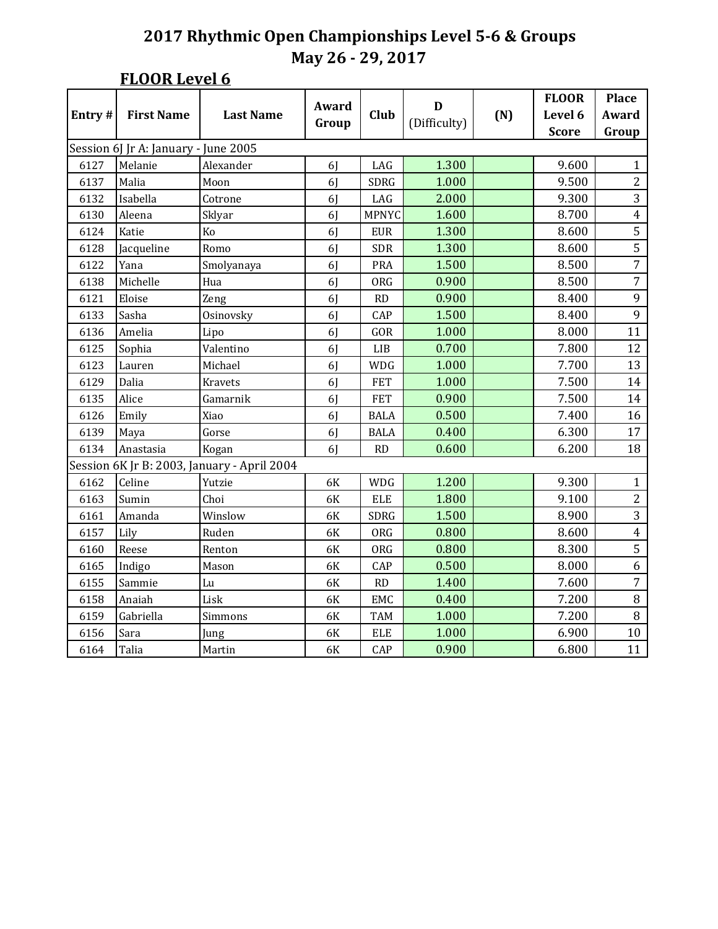| Entry# | <b>First Name</b>                    | <b>Last Name</b>                            | Award<br>Group | <b>Club</b>  | D<br>(Difficulty) | (N) | <b>FLOOR</b><br>Level 6 | <b>Place</b><br>Award |
|--------|--------------------------------------|---------------------------------------------|----------------|--------------|-------------------|-----|-------------------------|-----------------------|
|        |                                      |                                             |                |              |                   |     | <b>Score</b>            | Group                 |
|        | Session 6J Jr A: January - June 2005 |                                             |                |              |                   |     |                         |                       |
| 6127   | Melanie                              | Alexander                                   | 6J             | LAG          | 1.300             |     | 9.600                   | $\mathbf{1}$          |
| 6137   | Malia                                | Moon                                        | 6]             | <b>SDRG</b>  | 1.000             |     | 9.500                   | $\overline{2}$        |
| 6132   | Isabella                             | Cotrone                                     | 6 <sub>l</sub> | LAG          | 2.000             |     | 9.300                   | $\overline{3}$        |
| 6130   | Aleena                               | Sklyar                                      | 6 <sub>l</sub> | <b>MPNYC</b> | 1.600             |     | 8.700                   | $\overline{4}$        |
| 6124   | Katie                                | Ko                                          | 6J             | <b>EUR</b>   | 1.300             |     | 8.600                   | 5                     |
| 6128   | Jacqueline                           | Romo                                        | 6J             | SDR          | 1.300             |     | 8.600                   | $\overline{5}$        |
| 6122   | Yana                                 | Smolyanaya                                  | 6 <sub>l</sub> | <b>PRA</b>   | 1.500             |     | 8.500                   | $\overline{7}$        |
| 6138   | Michelle                             | Hua                                         | 6 <sub>l</sub> | ORG          | 0.900             |     | 8.500                   | $\overline{7}$        |
| 6121   | Eloise                               | Zeng                                        | 6 <sub>l</sub> | RD           | 0.900             |     | 8.400                   | 9                     |
| 6133   | Sasha                                | Osinovsky                                   | 6J             | CAP          | 1.500             |     | 8.400                   | 9                     |
| 6136   | Amelia                               | Lipo                                        | 6J             | GOR          | 1.000             |     | 8.000                   | 11                    |
| 6125   | Sophia                               | Valentino                                   | 6J             | LIB          | 0.700             |     | 7.800                   | 12                    |
| 6123   | Lauren                               | Michael                                     | 6 <sub>l</sub> | <b>WDG</b>   | 1.000             |     | 7.700                   | 13                    |
| 6129   | Dalia                                | <b>Kravets</b>                              | 6 <sub>l</sub> | <b>FET</b>   | 1.000             |     | 7.500                   | 14                    |
| 6135   | Alice                                | Gamarnik                                    | 6J             | <b>FET</b>   | 0.900             |     | 7.500                   | 14                    |
| 6126   | Emily                                | Xiao                                        | 6J             | <b>BALA</b>  | 0.500             |     | 7.400                   | 16                    |
| 6139   | Maya                                 | Gorse                                       | 6J             | <b>BALA</b>  | 0.400             |     | 6.300                   | 17                    |
| 6134   | Anastasia                            | Kogan                                       | 6 <sub>l</sub> | RD           | 0.600             |     | 6.200                   | 18                    |
|        |                                      | Session 6K Jr B: 2003, January - April 2004 |                |              |                   |     |                         |                       |
| 6162   | Celine                               | Yutzie                                      | 6K             | <b>WDG</b>   | 1.200             |     | 9.300                   | $\mathbf{1}$          |
| 6163   | Sumin                                | Choi                                        | 6K             | <b>ELE</b>   | 1.800             |     | 9.100                   | $\overline{2}$        |
| 6161   | Amanda                               | Winslow                                     | 6K             | SDRG         | 1.500             |     | 8.900                   | $\overline{3}$        |
| 6157   | Lily                                 | Ruden                                       | 6K             | <b>ORG</b>   | 0.800             |     | 8.600                   | $\overline{4}$        |
| 6160   | Reese                                | Renton                                      | 6K             | ORG          | 0.800             |     | 8.300                   | 5                     |
| 6165   | Indigo                               | Mason                                       | 6K             | CAP          | 0.500             |     | 8.000                   | 6                     |
| 6155   | Sammie                               | Lu                                          | 6K             | RD           | 1.400             |     | 7.600                   | $\overline{7}$        |
| 6158   | Anaiah                               | Lisk                                        | 6K             | EMC          | 0.400             |     | 7.200                   | $\, 8$                |
| 6159   | Gabriella                            | Simmons                                     | 6K             | <b>TAM</b>   | 1.000             |     | 7.200                   | 8                     |
| 6156   | Sara                                 | Jung                                        | 6K             | <b>ELE</b>   | 1.000             |     | 6.900                   | 10                    |
| 6164   | Talia                                | Martin                                      | 6K             | CAP          | 0.900             |     | 6.800                   | 11                    |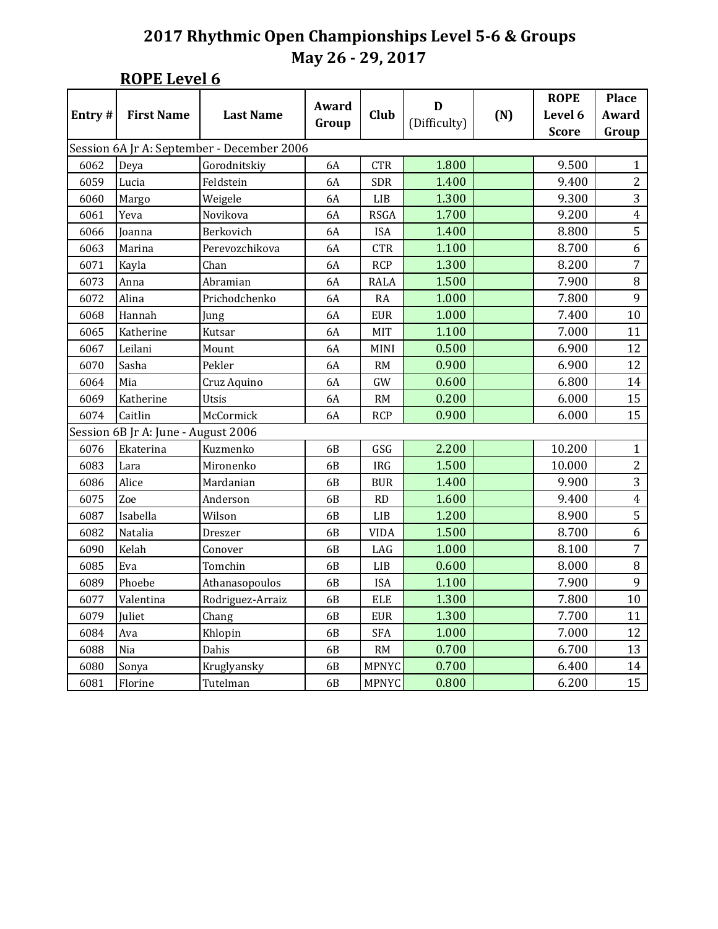| Entry# | <b>First Name</b>                   | <b>Last Name</b>                           | Award          | Club         | D            |                                                                                                                                                                                                                                                                                   | <b>ROPE</b><br>Level 6 | <b>Place</b><br>Award |
|--------|-------------------------------------|--------------------------------------------|----------------|--------------|--------------|-----------------------------------------------------------------------------------------------------------------------------------------------------------------------------------------------------------------------------------------------------------------------------------|------------------------|-----------------------|
|        |                                     |                                            | Group          |              | (Difficulty) | (N)<br>1.800<br>1.400<br>1.300<br>1.700<br>1.400<br>1.100<br>1.300<br>1.500<br>1.000<br>1.000<br>1.100<br>0.500<br>0.900<br>0.600<br>0.200<br>0.900<br>2.200<br>1.500<br>1.400<br>1.600<br>1.200<br>1.500<br>1.000<br>0.600<br>1.100<br>1.300<br>1.300<br>1.000<br>0.700<br>0.700 | <b>Score</b>           | Group                 |
|        |                                     | Session 6A Jr A: September - December 2006 |                |              |              |                                                                                                                                                                                                                                                                                   |                        |                       |
| 6062   | Deya                                | Gorodnitskiy                               | 6A             | <b>CTR</b>   |              |                                                                                                                                                                                                                                                                                   | 9.500                  | $\mathbf{1}$          |
| 6059   | Lucia                               | Feldstein                                  | 6A             | <b>SDR</b>   |              |                                                                                                                                                                                                                                                                                   | 9.400                  | $\overline{2}$        |
| 6060   | Margo                               | Weigele                                    | 6A             | LIB          |              |                                                                                                                                                                                                                                                                                   | 9.300                  | 3                     |
| 6061   | Yeva                                | Novikova                                   | 6A             | <b>RSGA</b>  |              |                                                                                                                                                                                                                                                                                   | 9.200                  | $\overline{4}$        |
| 6066   | Joanna                              | Berkovich                                  | 6A             | <b>ISA</b>   |              |                                                                                                                                                                                                                                                                                   | 8.800                  | $\overline{5}$        |
| 6063   | Marina                              | Perevozchikova                             | 6A             | <b>CTR</b>   |              |                                                                                                                                                                                                                                                                                   | 8.700                  | $\overline{6}$        |
| 6071   | Kayla                               | Chan                                       | 6A             | <b>RCP</b>   |              |                                                                                                                                                                                                                                                                                   | 8.200                  | $\overline{7}$        |
| 6073   | Anna                                | Abramian                                   | 6A             | <b>RALA</b>  |              |                                                                                                                                                                                                                                                                                   | 7.900                  | $\, 8$                |
| 6072   | Alina                               | Prichodchenko                              | 6A             | <b>RA</b>    |              |                                                                                                                                                                                                                                                                                   | 7.800                  | $\mathbf{9}$          |
| 6068   | Hannah                              | Jung                                       | 6A             | <b>EUR</b>   |              |                                                                                                                                                                                                                                                                                   | 7.400                  | 10                    |
| 6065   | Katherine                           | Kutsar                                     | 6A             | MIT          |              |                                                                                                                                                                                                                                                                                   | 7.000                  | 11                    |
| 6067   | Leilani                             | Mount                                      | 6A             | MINI         |              |                                                                                                                                                                                                                                                                                   | 6.900                  | 12                    |
| 6070   | Sasha                               | Pekler                                     | 6A             | RM           |              |                                                                                                                                                                                                                                                                                   | 6.900                  | 12                    |
| 6064   | Mia                                 | Cruz Aquino                                | 6A             | GW           |              |                                                                                                                                                                                                                                                                                   | 6.800                  | 14                    |
| 6069   | Katherine                           | Utsis                                      | 6A             | RM           |              |                                                                                                                                                                                                                                                                                   | 6.000                  | 15                    |
| 6074   | Caitlin                             | McCormick                                  | 6A             | <b>RCP</b>   |              |                                                                                                                                                                                                                                                                                   | 6.000                  | 15                    |
|        | Session 6B Jr A: June - August 2006 |                                            |                |              |              |                                                                                                                                                                                                                                                                                   |                        |                       |
| 6076   | Ekaterina                           | Kuzmenko                                   | 6B             | GSG          |              |                                                                                                                                                                                                                                                                                   | 10.200                 | $\mathbf{1}$          |
| 6083   | Lara                                | Mironenko                                  | 6B             | <b>IRG</b>   |              |                                                                                                                                                                                                                                                                                   | 10.000                 | $\overline{2}$        |
| 6086   | Alice                               | Mardanian                                  | 6B             | <b>BUR</b>   |              |                                                                                                                                                                                                                                                                                   | 9.900                  | 3                     |
| 6075   | Zoe                                 | Anderson                                   | 6 <sub>B</sub> | RD           |              |                                                                                                                                                                                                                                                                                   | 9.400                  | $\overline{4}$        |
| 6087   | Isabella                            | Wilson                                     | 6 <sub>B</sub> | LIB          |              |                                                                                                                                                                                                                                                                                   | 8.900                  | $\overline{5}$        |
| 6082   | Natalia                             | Dreszer                                    | 6B             | <b>VIDA</b>  |              |                                                                                                                                                                                                                                                                                   | 8.700                  | 6                     |
| 6090   | Kelah                               | Conover                                    | 6B             | LAG          |              |                                                                                                                                                                                                                                                                                   | 8.100                  | $\overline{7}$        |
| 6085   | Eva                                 | Tomchin                                    | 6B             | LIB          |              |                                                                                                                                                                                                                                                                                   | 8.000                  | $\, 8$                |
| 6089   | Phoebe                              | Athanasopoulos                             | 6B             | <b>ISA</b>   |              |                                                                                                                                                                                                                                                                                   | 7.900                  | 9                     |
| 6077   | Valentina                           | Rodriguez-Arraiz                           | 6 <sub>B</sub> | <b>ELE</b>   |              |                                                                                                                                                                                                                                                                                   | 7.800                  | 10                    |
| 6079   | Juliet                              | Chang                                      | 6 <sub>B</sub> | <b>EUR</b>   |              |                                                                                                                                                                                                                                                                                   | 7.700                  | 11                    |
| 6084   | Ava                                 | Khlopin                                    | 6B             | <b>SFA</b>   |              |                                                                                                                                                                                                                                                                                   | 7.000                  | 12                    |
| 6088   | Nia                                 | Dahis                                      | 6B             | RM           |              |                                                                                                                                                                                                                                                                                   | 6.700                  | 13                    |
| 6080   | Sonya                               | Kruglyansky                                | 6B             | <b>MPNYC</b> |              |                                                                                                                                                                                                                                                                                   | 6.400                  | 14                    |
| 6081   | Florine                             | Tutelman                                   | 6 <sub>B</sub> | <b>MPNYC</b> | 0.800        |                                                                                                                                                                                                                                                                                   | 6.200                  | 15                    |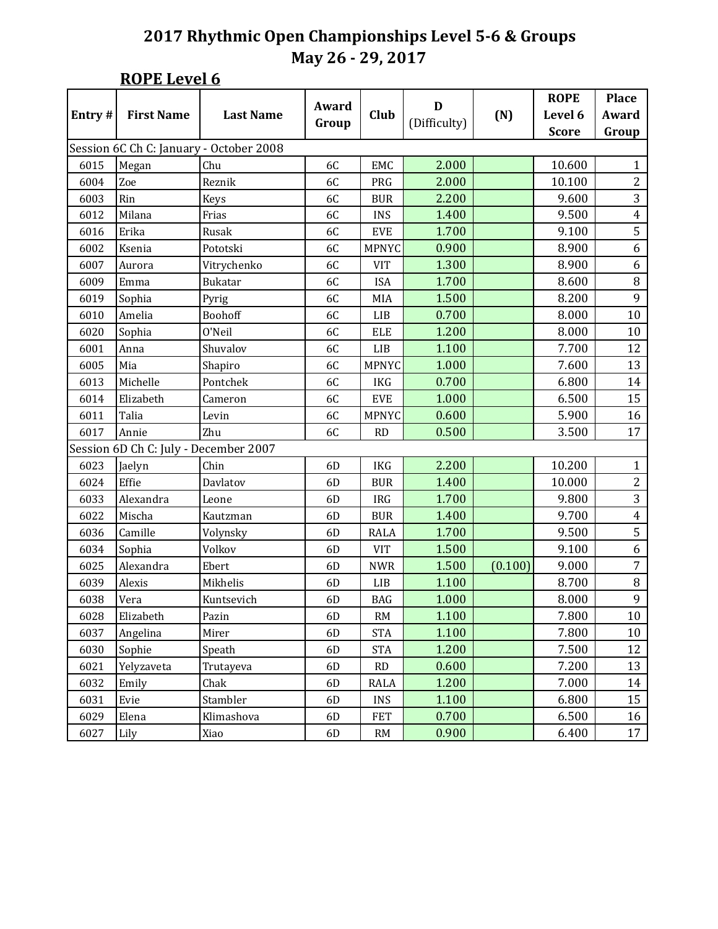|        |                                       |                                         |       |               |              |         | <b>ROPE</b>  | Place                   |
|--------|---------------------------------------|-----------------------------------------|-------|---------------|--------------|---------|--------------|-------------------------|
| Entry# | <b>First Name</b>                     | <b>Last Name</b>                        | Award | Club          | D            | (N)     | Level 6      | Award                   |
|        |                                       |                                         | Group |               | (Difficulty) |         | <b>Score</b> | Group                   |
|        |                                       | Session 6C Ch C: January - October 2008 |       |               |              |         |              |                         |
| 6015   | Megan                                 | Chu                                     | 6C    | EMC           | 2.000        |         | 10.600       | $\mathbf{1}$            |
| 6004   | Zoe                                   | Reznik                                  | 6C    | PRG           | 2.000        |         | 10.100       | $\overline{2}$          |
| 6003   | Rin                                   | Keys                                    | 6C    | <b>BUR</b>    | 2.200        |         | 9.600        | 3                       |
| 6012   | Milana                                | Frias                                   | 6C    | <b>INS</b>    | 1.400        |         | 9.500        | $\overline{4}$          |
| 6016   | Erika                                 | Rusak                                   | 6C    | <b>EVE</b>    | 1.700        |         | 9.100        | 5                       |
| 6002   | Ksenia                                | Pototski                                | 6C    | <b>MPNYC</b>  | 0.900        |         | 8.900        | 6                       |
| 6007   | Aurora                                | Vitrychenko                             | 6C    | <b>VIT</b>    | 1.300        |         | 8.900        | 6                       |
| 6009   | Emma                                  | <b>Bukatar</b>                          | 6C    | <b>ISA</b>    | 1.700        |         | 8.600        | $\, 8$                  |
| 6019   | Sophia                                | Pyrig                                   | 6C    | MIA           | 1.500        |         | 8.200        | 9                       |
| 6010   | Amelia                                | Boohoff                                 | 6C    | LIB           | 0.700        |         | 8.000        | 10                      |
| 6020   | Sophia                                | O'Neil                                  | 6C    | <b>ELE</b>    | 1.200        |         | 8.000        | 10                      |
| 6001   | Anna                                  | Shuvalov                                | 6C    | LIB           | 1.100        |         | 7.700        | 12                      |
| 6005   | Mia                                   | Shapiro                                 | 6C    | <b>MPNYC</b>  | 1.000        |         | 7.600        | 13                      |
| 6013   | Michelle                              | Pontchek                                | 6C    | <b>IKG</b>    | 0.700        |         | 6.800        | 14                      |
| 6014   | Elizabeth                             | Cameron                                 | 6C    | <b>EVE</b>    | 1.000        |         | 6.500        | 15                      |
| 6011   | Talia                                 | Levin                                   | 6C    | <b>MPNYC</b>  | 0.600        |         | 5.900        | 16                      |
| 6017   | Annie                                 | Zhu                                     | 6C    | RD            | 0.500        |         | 3.500        | 17                      |
|        | Session 6D Ch C: July - December 2007 |                                         |       |               |              |         |              |                         |
| 6023   | Jaelyn                                | Chin                                    | 6D    | <b>IKG</b>    | 2.200        |         | 10.200       | $\mathbf{1}$            |
| 6024   | Effie                                 | Davlatov                                | 6D    | <b>BUR</b>    | 1.400        |         | 10.000       | $\overline{2}$          |
| 6033   | Alexandra                             | Leone                                   | 6D    | <b>IRG</b>    | 1.700        |         | 9.800        | $\overline{3}$          |
| 6022   | Mischa                                | Kautzman                                | 6D    | <b>BUR</b>    | 1.400        |         | 9.700        | $\overline{\mathbf{4}}$ |
| 6036   | Camille                               | Volynsky                                | 6D    | <b>RALA</b>   | 1.700        |         | 9.500        | 5                       |
| 6034   | Sophia                                | Volkov                                  | 6D    | <b>VIT</b>    | 1.500        |         | 9.100        | 6                       |
| 6025   | Alexandra                             | Ebert                                   | 6D    | <b>NWR</b>    | 1.500        | (0.100) | 9.000        | $\overline{7}$          |
| 6039   | Alexis                                | Mikhelis                                | 6D    | LIB           | 1.100        |         | 8.700        | $\, 8$                  |
| 6038   | Vera                                  | Kuntsevich                              | 6D    | <b>BAG</b>    | 1.000        |         | 8.000        | 9                       |
| 6028   | Elizabeth                             | Pazin                                   | 6D    | RM            | 1.100        |         | 7.800        | 10 <sup>1</sup>         |
| 6037   | Angelina                              | Mirer                                   | 6D    | <b>STA</b>    | 1.100        |         | 7.800        | 10                      |
| 6030   | Sophie                                | Speath                                  | 6D    | <b>STA</b>    | 1.200        |         | 7.500        | 12                      |
| 6021   | Yelyzaveta                            | Trutayeva                               | 6D    | RD            | 0.600        |         | 7.200        | 13                      |
| 6032   | Emily                                 | Chak                                    | 6D    | RALA          | 1.200        |         | 7.000        | 14                      |
| 6031   | Evie                                  | Stambler                                | 6D    | <b>INS</b>    | 1.100        |         | 6.800        | 15                      |
| 6029   | Elena                                 | Klimashova                              | 6D    | <b>FET</b>    | 0.700        |         | 6.500        | 16                      |
| 6027   | Lily                                  | Xiao                                    | 6D    | $\mathbf{RM}$ | 0.900        |         | 6.400        | 17                      |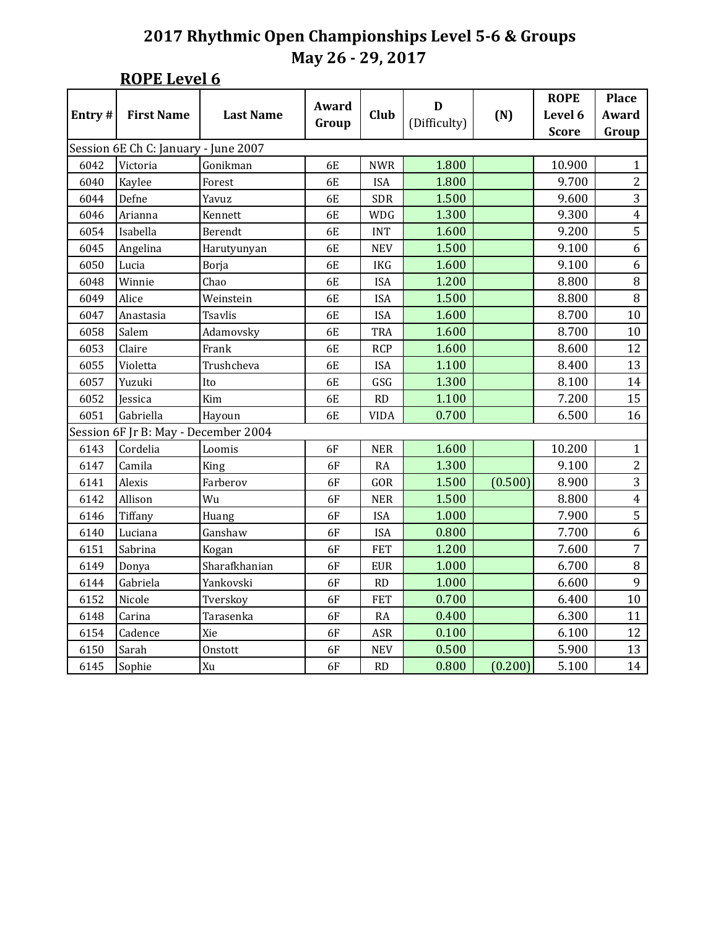| Entry# | <b>First Name</b>                    | <b>Last Name</b> | Award<br>Group | <b>Club</b> | D<br>(Difficulty) | (N)     | <b>ROPE</b><br>Level 6<br><b>Score</b> | <b>Place</b><br>Award<br>Group |
|--------|--------------------------------------|------------------|----------------|-------------|-------------------|---------|----------------------------------------|--------------------------------|
|        | Session 6E Ch C: January - June 2007 |                  |                |             |                   |         |                                        |                                |
| 6042   | Victoria                             | Gonikman         | 6E             | <b>NWR</b>  | 1.800             |         | 10.900                                 | $\mathbf{1}$                   |
| 6040   | Kaylee                               | Forest           | <b>6E</b>      | <b>ISA</b>  | 1.800             |         | 9.700                                  | $\overline{2}$                 |
| 6044   | Defne                                | Yavuz            | 6E             | <b>SDR</b>  | 1.500             |         | 9.600                                  | $\overline{3}$                 |
| 6046   | Arianna                              | Kennett          | 6E             | <b>WDG</b>  | 1.300             |         | 9.300                                  | $\overline{4}$                 |
| 6054   | Isabella                             | Berendt          | 6E             | <b>INT</b>  | 1.600             |         | 9.200                                  | 5                              |
| 6045   | Angelina                             | Harutyunyan      | 6E             | <b>NEV</b>  | 1.500             |         | 9.100                                  | 6                              |
| 6050   | Lucia                                | Borja            | <b>6E</b>      | <b>IKG</b>  | 1.600             |         | 9.100                                  | 6                              |
| 6048   | Winnie                               | Chao             | 6E             | <b>ISA</b>  | 1.200             |         | 8.800                                  | 8                              |
| 6049   | Alice                                | Weinstein        | 6E             | <b>ISA</b>  | 1.500             |         | 8.800                                  | 8                              |
| 6047   | Anastasia                            | <b>Tsavlis</b>   | 6E             | <b>ISA</b>  | 1.600             |         | 8.700                                  | $10\,$                         |
| 6058   | Salem                                | Adamovsky        | 6E             | TRA         | 1.600             |         | 8.700                                  | $10\,$                         |
| 6053   | Claire                               | Frank            | 6E             | <b>RCP</b>  | 1.600             |         | 8.600                                  | 12                             |
| 6055   | Violetta                             | Trushcheva       | 6E             | <b>ISA</b>  | 1.100             |         | 8.400                                  | 13                             |
| 6057   | Yuzuki                               | Ito              | 6E             | GSG         | 1.300             |         | 8.100                                  | 14                             |
| 6052   | Jessica                              | Kim              | 6E             | RD          | 1.100             |         | 7.200                                  | 15                             |
| 6051   | Gabriella                            | Hayoun           | 6E             | <b>VIDA</b> | 0.700             |         | 6.500                                  | 16                             |
|        | Session 6F Jr B: May - December 2004 |                  |                |             |                   |         |                                        |                                |
| 6143   | Cordelia                             | Loomis           | 6F             | <b>NER</b>  | 1.600             |         | 10.200                                 | $\mathbf{1}$                   |
| 6147   | Camila                               | King             | 6F             | <b>RA</b>   | 1.300             |         | 9.100                                  | $\overline{c}$                 |
| 6141   | Alexis                               | Farberov         | 6F             | GOR         | 1.500             | (0.500) | 8.900                                  | $\overline{3}$                 |
| 6142   | Allison                              | Wu               | <b>6F</b>      | <b>NER</b>  | 1.500             |         | 8.800                                  | $\overline{4}$                 |
| 6146   | Tiffany                              | Huang            | 6F             | <b>ISA</b>  | 1.000             |         | 7.900                                  | $\overline{5}$                 |
| 6140   | Luciana                              | Ganshaw          | <b>6F</b>      | <b>ISA</b>  | 0.800             |         | 7.700                                  | 6                              |
| 6151   | Sabrina                              | Kogan            | <b>6F</b>      | <b>FET</b>  | 1.200             |         | 7.600                                  | $\overline{7}$                 |
| 6149   | Donya                                | Sharafkhanian    | <b>6F</b>      | <b>EUR</b>  | 1.000             |         | 6.700                                  | 8                              |
| 6144   | Gabriela                             | Yankovski        | <b>6F</b>      | RD          | 1.000             |         | 6.600                                  | 9                              |
| 6152   | Nicole                               | Tverskoy         | 6F             | <b>FET</b>  | 0.700             |         | 6.400                                  | $10\,$                         |
| 6148   | Carina                               | Tarasenka        | <b>6F</b>      | RA          | 0.400             |         | 6.300                                  | 11                             |
| 6154   | Cadence                              | Xie              | <b>6F</b>      | <b>ASR</b>  | 0.100             |         | 6.100                                  | 12                             |
| 6150   | Sarah                                | Onstott          | <b>6F</b>      | <b>NEV</b>  | 0.500             |         | 5.900                                  | 13                             |
| 6145   | Sophie                               | Xu               | 6F             | RD          | 0.800             | (0.200) | 5.100                                  | 14                             |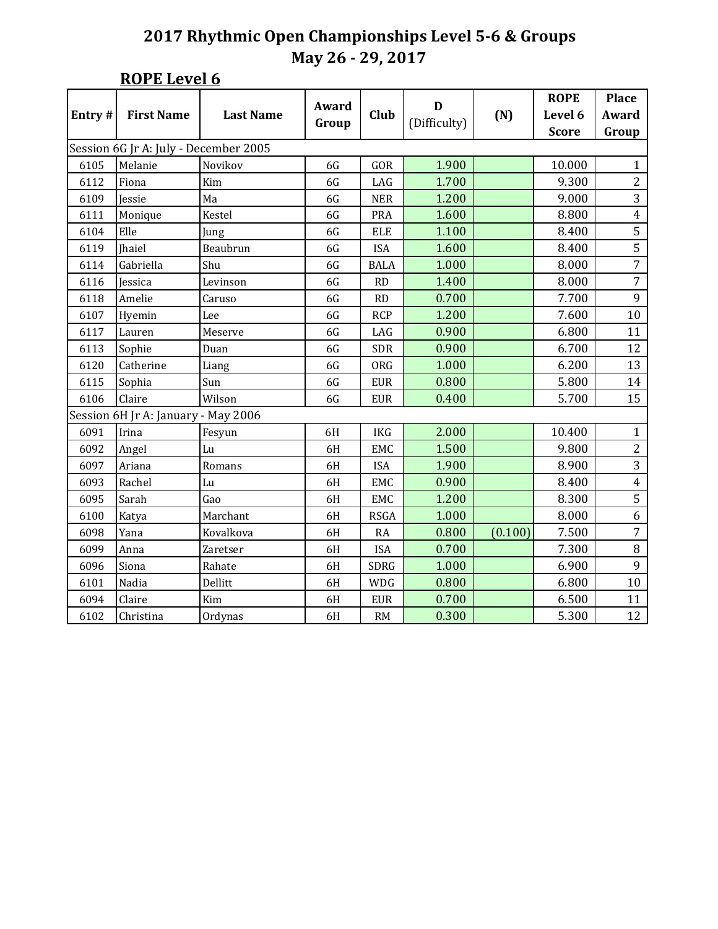| Entry# | <b>First Name</b>                     | <b>Last Name</b> | Award<br>Group | Club        | D<br>(Difficulty) | (N)     | <b>ROPE</b><br>Level 6 | <b>Place</b><br>Award |
|--------|---------------------------------------|------------------|----------------|-------------|-------------------|---------|------------------------|-----------------------|
|        |                                       |                  |                |             |                   |         | <b>Score</b>           | Group                 |
|        | Session 6G Jr A: July - December 2005 |                  |                |             |                   |         |                        |                       |
| 6105   | Melanie                               | Novikov          | 6G             | GOR         | 1.900             |         | 10.000                 | $\mathbf{1}$          |
| 6112   | Fiona                                 | Kim              | 6G             | LAG         | 1.700             |         | 9.300                  | $\overline{2}$        |
| 6109   | Jessie                                | Ma               | 6G             | <b>NER</b>  | 1.200             |         | 9.000                  | $\overline{3}$        |
| 6111   | Monique                               | Kestel           | 6G             | <b>PRA</b>  | 1.600             |         | 8.800                  | $\overline{4}$        |
| 6104   | Elle                                  | Jung             | 6G             | <b>ELE</b>  | 1.100             |         | 8.400                  | $\overline{5}$        |
| 6119   | <b>Ihaiel</b>                         | Beaubrun         | 6G             | <b>ISA</b>  | 1.600             |         | 8.400                  | $\overline{5}$        |
| 6114   | Gabriella                             | Shu              | 6G             | <b>BALA</b> | 1.000             |         | 8.000                  | $\overline{7}$        |
| 6116   | Jessica                               | Levinson         | 6G             | RD          | 1.400             |         | 8.000                  | $\overline{7}$        |
| 6118   | Amelie                                | Caruso           | 6G             | RD          | 0.700             |         | 7.700                  | $\overline{9}$        |
| 6107   | Hyemin                                | Lee              | 6G             | <b>RCP</b>  | 1.200             |         | 7.600                  | 10                    |
| 6117   | Lauren                                | Meserve          | 6G             | LAG         | 0.900             |         | 6.800                  | 11                    |
| 6113   | Sophie                                | Duan             | 6G             | <b>SDR</b>  | 0.900             |         | 6.700                  | 12                    |
| 6120   | Catherine                             | Liang            | 6G             | <b>ORG</b>  | 1.000             |         | 6.200                  | 13                    |
| 6115   | Sophia                                | Sun              | 6G             | <b>EUR</b>  | 0.800             |         | 5.800                  | 14                    |
| 6106   | Claire                                | Wilson           | 6G             | <b>EUR</b>  | 0.400             |         | 5.700                  | 15                    |
|        | Session 6H Jr A: January - May 2006   |                  |                |             |                   |         |                        |                       |
| 6091   | Irina                                 | Fesyun           | 6H             | <b>IKG</b>  | 2.000             |         | 10.400                 | $\mathbf{1}$          |
| 6092   | Angel                                 | Lu               | 6H             | <b>EMC</b>  | 1.500             |         | 9.800                  | $\overline{2}$        |
| 6097   | Ariana                                | Romans           | 6H             | <b>ISA</b>  | 1.900             |         | 8.900                  | $\overline{3}$        |
| 6093   | Rachel                                | Lu               | 6H             | <b>EMC</b>  | 0.900             |         | 8.400                  | $\overline{4}$        |
| 6095   | Sarah                                 | Gao              | 6H             | EMC         | 1.200             |         | 8.300                  | $\overline{5}$        |
| 6100   | Katya                                 | Marchant         | 6H             | <b>RSGA</b> | 1.000             |         | 8.000                  | 6                     |
| 6098   | Yana                                  | Kovalkova        | 6H             | <b>RA</b>   | 0.800             | (0.100) | 7.500                  | 7                     |
| 6099   | Anna                                  | Zaretser         | 6H             | <b>ISA</b>  | 0.700             |         | 7.300                  | $\overline{\bf 8}$    |
| 6096   | Siona                                 | Rahate           | 6H             | <b>SDRG</b> | 1.000             |         | 6.900                  | 9                     |
| 6101   | Nadia                                 | Dellitt          | 6H             | <b>WDG</b>  | 0.800             |         | 6.800                  | 10                    |
| 6094   | Claire                                | Kim              | 6H             | <b>EUR</b>  | 0.700             |         | 6.500                  | 11                    |
| 6102   | Christina                             | Ordynas          | 6H             | RM          | 0.300             |         | 5.300                  | 12                    |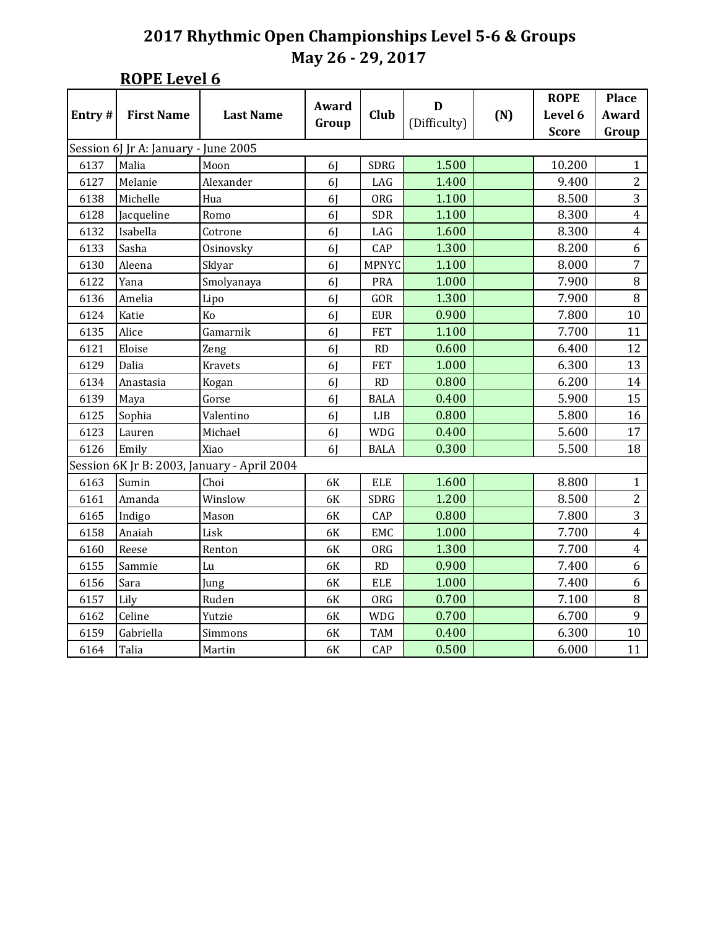| Entry# | <b>First Name</b>                    | <b>Last Name</b>                            | Award<br>Group | <b>Club</b>  | D<br>(Difficulty) | (N) | <b>ROPE</b><br>Level 6<br><b>Score</b> | <b>Place</b><br>Award<br>Group |
|--------|--------------------------------------|---------------------------------------------|----------------|--------------|-------------------|-----|----------------------------------------|--------------------------------|
|        | Session 6J Jr A: January - June 2005 |                                             |                |              |                   |     |                                        |                                |
| 6137   | Malia                                | Moon                                        | 6J             | <b>SDRG</b>  | 1.500             |     | 10.200                                 | $\mathbf{1}$                   |
| 6127   | Melanie                              | Alexander                                   | 6 <sub>l</sub> | LAG          | 1.400             |     | 9.400                                  | $\overline{2}$                 |
| 6138   | Michelle                             | Hua                                         | 6 <sub>l</sub> | <b>ORG</b>   | 1.100             |     | 8.500                                  | 3                              |
| 6128   | Jacqueline                           | Romo                                        | 6 <sub>l</sub> | <b>SDR</b>   | 1.100             |     | 8.300                                  | $\overline{4}$                 |
| 6132   | Isabella                             | Cotrone                                     | 6J             | LAG          | 1.600             |     | 8.300                                  | $\overline{4}$                 |
| 6133   | Sasha                                | Osinovsky                                   | 6 <sub>l</sub> | CAP          | 1.300             |     | 8.200                                  | 6                              |
| 6130   | Aleena                               | Sklyar                                      | 6 <sub>l</sub> | <b>MPNYC</b> | 1.100             |     | 8.000                                  | $\overline{7}$                 |
| 6122   | Yana                                 | Smolyanaya                                  | 6 <sub>l</sub> | <b>PRA</b>   | 1.000             |     | 7.900                                  | $\overline{8}$                 |
| 6136   | Amelia                               | Lipo                                        | 6 <sub>l</sub> | GOR          | 1.300             |     | 7.900                                  | 8                              |
| 6124   | Katie                                | Ko                                          | 6J             | <b>EUR</b>   | 0.900             |     | 7.800                                  | $10\,$                         |
| 6135   | Alice                                | Gamarnik                                    | 6J             | <b>FET</b>   | 1.100             |     | 7.700                                  | 11                             |
| 6121   | Eloise                               | Zeng                                        | 6J             | RD           | 0.600             |     | 6.400                                  | 12                             |
| 6129   | Dalia                                | Kravets                                     | 6 <sub>l</sub> | <b>FET</b>   | 1.000             |     | 6.300                                  | 13                             |
| 6134   | Anastasia                            | Kogan                                       | 6 <sub>l</sub> | <b>RD</b>    | 0.800             |     | 6.200                                  | 14                             |
| 6139   | Maya                                 | Gorse                                       | 6 <sub>l</sub> | <b>BALA</b>  | 0.400             |     | 5.900                                  | 15                             |
| 6125   | Sophia                               | Valentino                                   | 6J             | LIB          | 0.800             |     | 5.800                                  | 16                             |
| 6123   | Lauren                               | Michael                                     | 6 <sub>l</sub> | <b>WDG</b>   | 0.400             |     | 5.600                                  | 17                             |
| 6126   | Emily                                | Xiao                                        | 6 <sub>l</sub> | <b>BALA</b>  | 0.300             |     | 5.500                                  | 18                             |
|        |                                      | Session 6K Jr B: 2003, January - April 2004 |                |              |                   |     |                                        |                                |
| 6163   | Sumin                                | Choi                                        | 6K             | <b>ELE</b>   | 1.600             |     | 8.800                                  | $\mathbf{1}$                   |
| 6161   | Amanda                               | Winslow                                     | 6K             | <b>SDRG</b>  | 1.200             |     | 8.500                                  | $\overline{2}$                 |
| 6165   | Indigo                               | Mason                                       | 6K             | CAP          | 0.800             |     | 7.800                                  | $\overline{3}$                 |
| 6158   | Anaiah                               | Lisk                                        | 6K             | <b>EMC</b>   | 1.000             |     | 7.700                                  | $\overline{\mathbf{4}}$        |
| 6160   | Reese                                | Renton                                      | 6K             | ORG          | 1.300             |     | 7.700                                  | $\overline{4}$                 |
| 6155   | Sammie                               | Lu                                          | 6K             | RD           | 0.900             |     | 7.400                                  | 6                              |
| 6156   | Sara                                 | Jung                                        | 6K             | <b>ELE</b>   | 1.000             |     | 7.400                                  | 6                              |
| 6157   | Lily                                 | Ruden                                       | 6K             | <b>ORG</b>   | 0.700             |     | 7.100                                  | $\, 8$                         |
| 6162   | Celine                               | Yutzie                                      | 6K             | <b>WDG</b>   | 0.700             |     | 6.700                                  | 9                              |
| 6159   | Gabriella                            | Simmons                                     | 6K             | <b>TAM</b>   | 0.400             |     | 6.300                                  | 10                             |
| 6164   | Talia                                | Martin                                      | 6K             | CAP          | 0.500             |     | 6.000                                  | 11                             |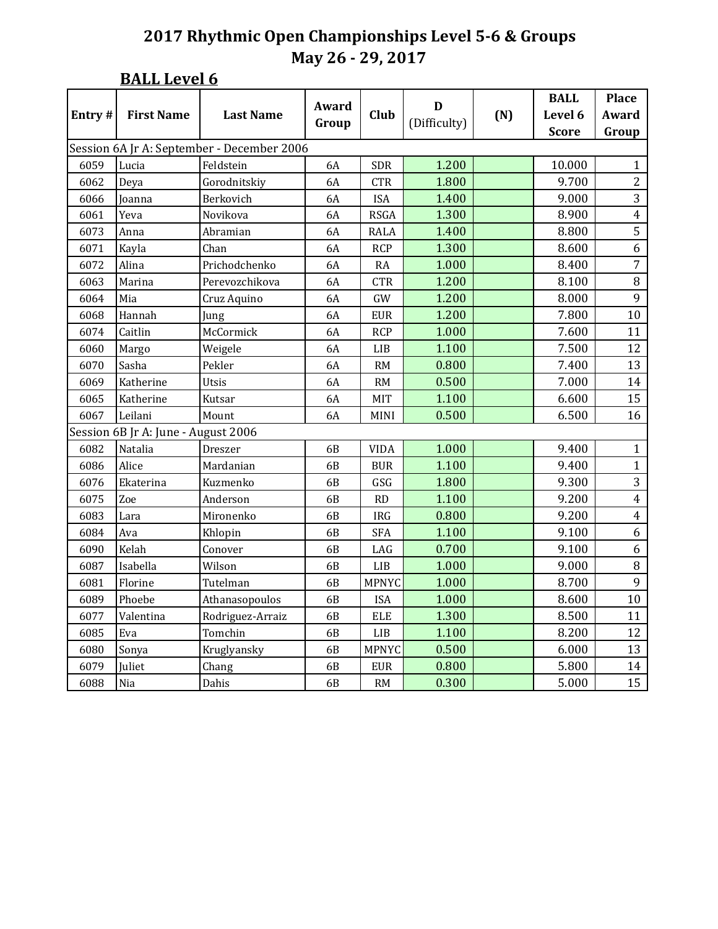|        | <b>BALL Level 6</b>                 |                                            |                |              |                   |     |                                        |                                |
|--------|-------------------------------------|--------------------------------------------|----------------|--------------|-------------------|-----|----------------------------------------|--------------------------------|
| Entry# | <b>First Name</b>                   | <b>Last Name</b>                           | Award<br>Group | Club         | D<br>(Difficulty) | (N) | <b>BALL</b><br>Level 6<br><b>Score</b> | <b>Place</b><br>Award<br>Group |
|        |                                     | Session 6A Jr A: September - December 2006 |                |              |                   |     |                                        |                                |
| 6059   | Lucia                               | Feldstein                                  | 6A             | <b>SDR</b>   | 1.200             |     | 10.000                                 | $\mathbf{1}$                   |
| 6062   | Deya                                | Gorodnitskiy                               | 6A             | <b>CTR</b>   | 1.800             |     | 9.700                                  | $\overline{c}$                 |
| 6066   | Joanna                              | Berkovich                                  | 6A             | <b>ISA</b>   | 1.400             |     | 9.000                                  | 3                              |
| 6061   | Yeva                                | Novikova                                   | 6A             | <b>RSGA</b>  | 1.300             |     | 8.900                                  | $\overline{4}$                 |
| 6073   | Anna                                | Abramian                                   | 6A             | <b>RALA</b>  | 1.400             |     | 8.800                                  | $\overline{5}$                 |
| 6071   | Kayla                               | Chan                                       | 6A             | <b>RCP</b>   | 1.300             |     | 8.600                                  | 6                              |
| 6072   | Alina                               | Prichodchenko                              | 6A             | RA           | 1.000             |     | 8.400                                  | $\overline{7}$                 |
| 6063   | Marina                              | Perevozchikova                             | 6A             | <b>CTR</b>   | 1.200             |     | 8.100                                  | 8                              |
| 6064   | Mia                                 | Cruz Aquino                                | 6A             | GW           | 1.200             |     | 8.000                                  | 9                              |
| 6068   | Hannah                              | Jung                                       | 6A             | <b>EUR</b>   | 1.200             |     | 7.800                                  | 10                             |
| 6074   | Caitlin                             | McCormick                                  | 6A             | <b>RCP</b>   | 1.000             |     | 7.600                                  | 11                             |
| 6060   | Margo                               | Weigele                                    | 6A             | LIB          | 1.100             |     | 7.500                                  | 12                             |
| 6070   | Sasha                               | Pekler                                     | 6A             | RM           | 0.800             |     | 7.400                                  | 13                             |
| 6069   | Katherine                           | Utsis                                      | 6A             | RM           | 0.500             |     | 7.000                                  | 14                             |
| 6065   | Katherine                           | Kutsar                                     | 6A             | MIT          | 1.100             |     | 6.600                                  | 15                             |
| 6067   | Leilani                             | Mount                                      | 6A             | <b>MINI</b>  | 0.500             |     | 6.500                                  | 16                             |
|        | Session 6B Jr A: June - August 2006 |                                            |                |              |                   |     |                                        |                                |
| 6082   | Natalia                             | Dreszer                                    | 6B             | <b>VIDA</b>  | 1.000             |     | 9.400                                  | $\mathbf{1}$                   |
| 6086   | Alice                               | Mardanian                                  | 6B             | <b>BUR</b>   | 1.100             |     | 9.400                                  | $\mathbf{1}$                   |
| 6076   | Ekaterina                           | Kuzmenko                                   | 6B             | GSG          | 1.800             |     | 9.300                                  | 3                              |
| 6075   | Zoe                                 | Anderson                                   | 6B             | RD           | 1.100             |     | 9.200                                  | $\overline{4}$                 |
| 6083   | Lara                                | Mironenko                                  | 6B             | <b>IRG</b>   | 0.800             |     | 9.200                                  | $\overline{4}$                 |
| 6084   | Ava                                 | Khlopin                                    | 6B             | <b>SFA</b>   | 1.100             |     | 9.100                                  | 6                              |
| 6090   | Kelah                               | Conover                                    | 6B             | LAG          | 0.700             |     | 9.100                                  | 6                              |
| 6087   | Isabella                            | Wilson                                     | 6B             | LIB          | 1.000             |     | 9.000                                  | $\, 8$                         |
| 6081   | Florine                             | Tutelman                                   | 6B             | <b>MPNYC</b> | 1.000             |     | 8.700                                  | 9                              |
| 6089   | Phoebe                              | Athanasopoulos                             | 6B             | <b>ISA</b>   | 1.000             |     | 8.600                                  | 10                             |
| 6077   | Valentina                           | Rodriguez-Arraiz                           | 6B             | ELE          | 1.300             |     | 8.500                                  | 11                             |
| 6085   | Eva                                 | Tomchin                                    | 6B             | LIB          | 1.100             |     | 8.200                                  | 12                             |
| 6080   | Sonya                               | Kruglyansky                                | 6B             | MPNYC        | 0.500             |     | 6.000                                  | 13                             |
| 6079   | Juliet                              | Chang                                      | 6B             | EUR          | 0.800             |     | 5.800                                  | 14                             |
| 6088   | Nia                                 | Dahis                                      | 6B             | RM           | 0.300             |     | 5.000                                  | 15                             |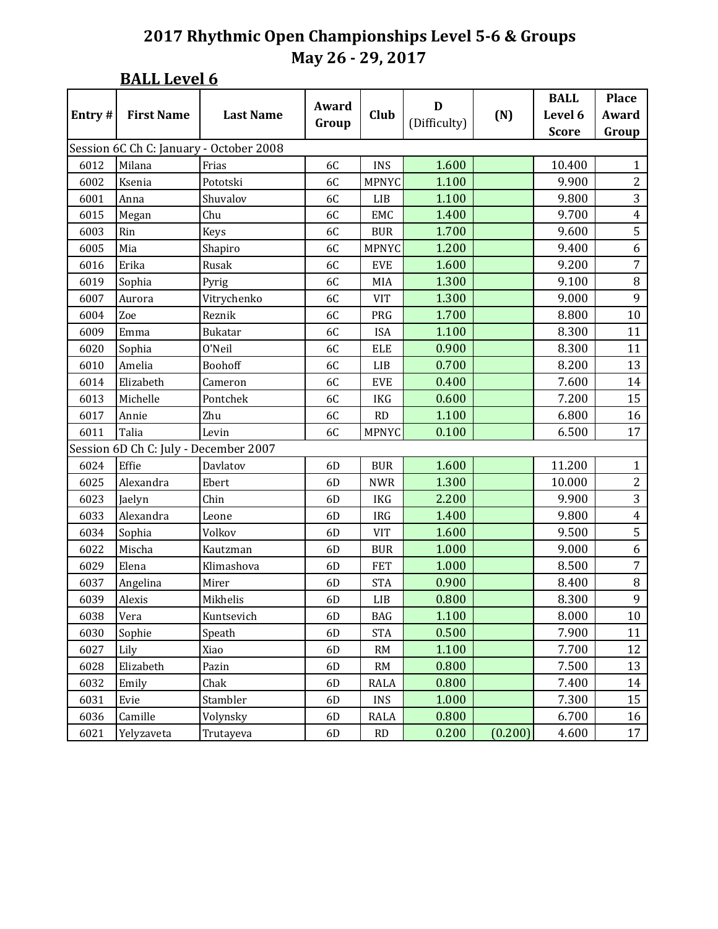# **BALL** Level 6

|        |                                       |                                         | Award          |              | D            |         | <b>BALL</b>  | <b>Place</b>            |
|--------|---------------------------------------|-----------------------------------------|----------------|--------------|--------------|---------|--------------|-------------------------|
| Entry# | <b>First Name</b>                     | <b>Last Name</b>                        | Group          | Club         | (Difficulty) | (N)     | Level 6      | Award                   |
|        |                                       |                                         |                |              |              |         | <b>Score</b> | Group                   |
|        |                                       | Session 6C Ch C: January - October 2008 |                |              |              |         |              |                         |
| 6012   | Milana                                | Frias                                   | 6C             | <b>INS</b>   | 1.600        |         | 10.400       | $\mathbf{1}$            |
| 6002   | Ksenia                                | Pototski                                | 6C             | <b>MPNYC</b> | 1.100        |         | 9.900        | $\overline{2}$          |
| 6001   | Anna                                  | Shuvalov                                | 6C             | LIB          | 1.100        |         | 9.800        | 3                       |
| 6015   | Megan                                 | Chu                                     | 6C             | EMC          | 1.400        |         | 9.700        | $\overline{4}$          |
| 6003   | Rin                                   | <b>Keys</b>                             | 6C             | <b>BUR</b>   | 1.700        |         | 9.600        | 5                       |
| 6005   | Mia                                   | Shapiro                                 | 6C             | <b>MPNYC</b> | 1.200        |         | 9.400        | 6                       |
| 6016   | Erika                                 | Rusak                                   | 6C             | <b>EVE</b>   | 1.600        |         | 9.200        | $\overline{7}$          |
| 6019   | Sophia                                | Pyrig                                   | 6C             | MIA          | 1.300        |         | 9.100        | $\, 8$                  |
| 6007   | Aurora                                | Vitrychenko                             | 6C             | <b>VIT</b>   | 1.300        |         | 9.000        | 9                       |
| 6004   | Zoe                                   | Reznik                                  | 6C             | PRG          | 1.700        |         | 8.800        | $10\,$                  |
| 6009   | Emma                                  | <b>Bukatar</b>                          | 6C             | <b>ISA</b>   | 1.100        |         | 8.300        | 11                      |
| 6020   | Sophia                                | O'Neil                                  | 6C             | <b>ELE</b>   | 0.900        |         | 8.300        | 11                      |
| 6010   | Amelia                                | Boohoff                                 | 6C             | ${\rm LIB}$  | 0.700        |         | 8.200        | 13                      |
| 6014   | Elizabeth                             | Cameron                                 | 6C             | <b>EVE</b>   | 0.400        |         | 7.600        | 14                      |
| 6013   | Michelle                              | Pontchek                                | 6C             | IKG          | 0.600        |         | 7.200        | 15                      |
| 6017   | Annie                                 | Zhu                                     | 6C             | RD           | 1.100        |         | 6.800        | 16                      |
| 6011   | Talia                                 | Levin                                   | 6C             | <b>MPNYC</b> | 0.100        |         | 6.500        | 17                      |
|        | Session 6D Ch C: July - December 2007 |                                         |                |              |              |         |              |                         |
| 6024   | Effie                                 | Davlatov                                | 6D             | <b>BUR</b>   | 1.600        |         | 11.200       | $\mathbf{1}$            |
| 6025   | Alexandra                             | Ebert                                   | 6D             | <b>NWR</b>   | 1.300        |         | 10.000       | $\overline{2}$          |
| 6023   | Jaelyn                                | Chin                                    | 6 <sub>D</sub> | <b>IKG</b>   | 2.200        |         | 9.900        | $\overline{3}$          |
| 6033   | Alexandra                             | Leone                                   | 6D             | <b>IRG</b>   | 1.400        |         | 9.800        | $\overline{\mathbf{4}}$ |
| 6034   | Sophia                                | Volkov                                  | 6D             | <b>VIT</b>   | 1.600        |         | 9.500        | $\overline{5}$          |
| 6022   | Mischa                                | Kautzman                                | 6D             | <b>BUR</b>   | 1.000        |         | 9.000        | 6                       |
| 6029   | Elena                                 | Klimashova                              | 6D             | <b>FET</b>   | 1.000        |         | 8.500        | $\overline{7}$          |
| 6037   | Angelina                              | Mirer                                   | 6 <sub>D</sub> | <b>STA</b>   | 0.900        |         | 8.400        | $\, 8$                  |
| 6039   | Alexis                                | Mikhelis                                | 6D             | LIB          | 0.800        |         | 8.300        | 9                       |
| 6038   | Vera                                  | Kuntsevich                              | 6D             | BAG          | 1.100        |         | 8.000        | $10\,$                  |
| 6030   | Sophie                                | Speath                                  | 6D             | <b>STA</b>   | 0.500        |         | 7.900        | 11                      |
| 6027   | Lily                                  | Xiao                                    | 6D             | RM           | 1.100        |         | 7.700        | 12                      |
| 6028   | Elizabeth                             | Pazin                                   | 6D             | $\rm RM$     | 0.800        |         | 7.500        | 13                      |
| 6032   | Emily                                 | Chak                                    | 6D             | RALA         | 0.800        |         | 7.400        | 14                      |
| 6031   | Evie                                  | Stambler                                | 6D             | <b>INS</b>   | 1.000        |         | 7.300        | 15                      |
| 6036   | Camille                               | Volynsky                                | 6D             | RALA         | 0.800        |         | 6.700        | 16                      |
| 6021   | Yelyzaveta                            | Trutayeva                               | 6D             | RD           | 0.200        | (0.200) | 4.600        | 17                      |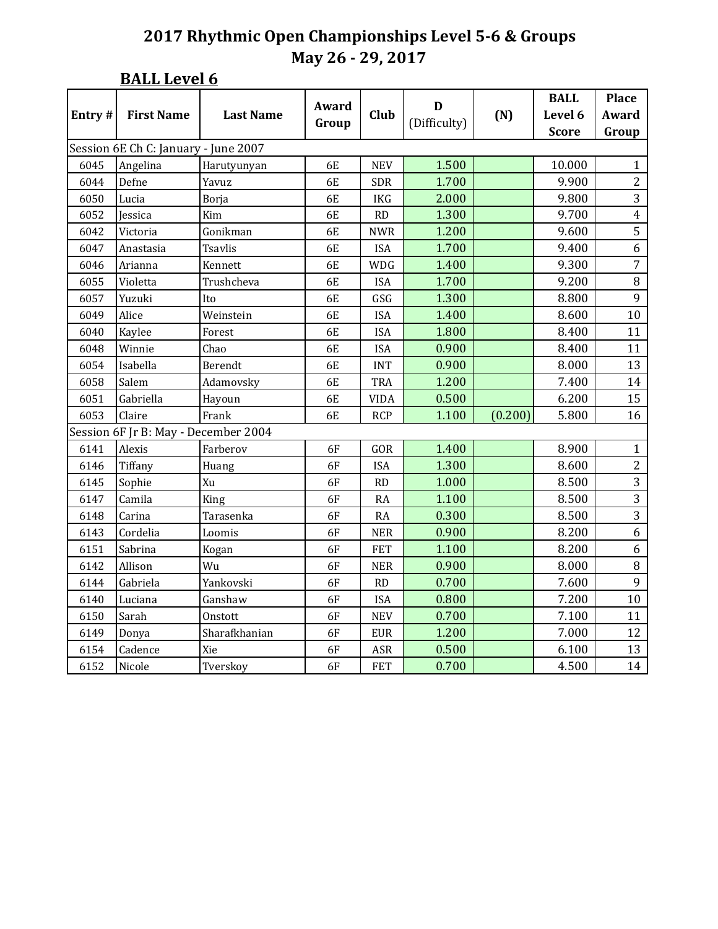|        | <b>BALL Level 6</b>                  |                  |                |             |                   |         |                                        |                                |
|--------|--------------------------------------|------------------|----------------|-------------|-------------------|---------|----------------------------------------|--------------------------------|
| Entry# | <b>First Name</b>                    | <b>Last Name</b> | Award<br>Group | Club        | D<br>(Difficulty) | (N)     | <b>BALL</b><br>Level 6<br><b>Score</b> | <b>Place</b><br>Award<br>Group |
|        | Session 6E Ch C: January - June 2007 |                  |                |             |                   |         |                                        |                                |
| 6045   | Angelina                             | Harutyunyan      | 6E             | <b>NEV</b>  | 1.500             |         | 10.000                                 | $\mathbf{1}$                   |
| 6044   | Defne                                | Yavuz            | <b>6E</b>      | SDR         | 1.700             |         | 9.900                                  | $\overline{2}$                 |
| 6050   | Lucia                                | Borja            | 6E             | IKG         | 2.000             |         | 9.800                                  | 3                              |
| 6052   | Jessica                              | Kim              | 6E             | RD          | 1.300             |         | 9.700                                  | $\overline{4}$                 |
| 6042   | Victoria                             | Gonikman         | 6E             | <b>NWR</b>  | 1.200             |         | 9.600                                  | 5                              |
| 6047   | Anastasia                            | <b>Tsavlis</b>   | 6E             | <b>ISA</b>  | 1.700             |         | 9.400                                  | 6                              |
| 6046   | Arianna                              | Kennett          | 6E             | <b>WDG</b>  | 1.400             |         | 9.300                                  | $\overline{7}$                 |
| 6055   | Violetta                             | Trushcheva       | 6E             | <b>ISA</b>  | 1.700             |         | 9.200                                  | $\, 8$                         |
| 6057   | Yuzuki                               | Ito              | <b>6E</b>      | GSG         | 1.300             |         | 8.800                                  | 9                              |
| 6049   | Alice                                | Weinstein        | 6E             | <b>ISA</b>  | 1.400             |         | 8.600                                  | 10                             |
| 6040   | Kaylee                               | Forest           | 6E             | <b>ISA</b>  | 1.800             |         | 8.400                                  | 11                             |
| 6048   | Winnie                               | Chao             | 6E             | <b>ISA</b>  | 0.900             |         | 8.400                                  | 11                             |
| 6054   | Isabella                             | Berendt          | 6E             | <b>INT</b>  | 0.900             |         | 8.000                                  | 13                             |
| 6058   | Salem                                | Adamovsky        | 6E             | <b>TRA</b>  | 1.200             |         | 7.400                                  | 14                             |
| 6051   | Gabriella                            | Hayoun           | 6E             | <b>VIDA</b> | 0.500             |         | 6.200                                  | 15                             |
| 6053   | Claire                               | Frank            | 6E             | <b>RCP</b>  | 1.100             | (0.200) | 5.800                                  | 16                             |
|        | Session 6F Jr B: May - December 2004 |                  |                |             |                   |         |                                        |                                |
| 6141   | Alexis                               | Farberov         | 6F             | GOR         | 1.400             |         | 8.900                                  | $\mathbf{1}$                   |
| 6146   | Tiffany                              | Huang            | 6F             | <b>ISA</b>  | 1.300             |         | 8.600                                  | $\overline{2}$                 |
| 6145   | Sophie                               | Xu               | <b>6F</b>      | RD          | 1.000             |         | 8.500                                  | 3                              |
| 6147   | Camila                               | King             | <b>6F</b>      | <b>RA</b>   | 1.100             |         | 8.500                                  | 3                              |
| 6148   | Carina                               | Tarasenka        | 6F             | RA          | 0.300             |         | 8.500                                  | 3                              |
| 6143   | Cordelia                             | Loomis           | <b>6F</b>      | <b>NER</b>  | 0.900             |         | 8.200                                  | $\boldsymbol{6}$               |
| 6151   | Sabrina                              | Kogan            | <b>6F</b>      | <b>FET</b>  | 1.100             |         | 8.200                                  | 6                              |
| 6142   | Allison                              | Wu               | 6F             | <b>NER</b>  | 0.900             |         | 8.000                                  | $\, 8$                         |
| 6144   | Gabriela                             | Yankovski        | 6F             | <b>RD</b>   | 0.700             |         | 7.600                                  | 9                              |
| 6140   | Luciana                              | Ganshaw          | 6F             | <b>ISA</b>  | 0.800             |         | 7.200                                  | 10                             |
| 6150   | Sarah                                | Onstott          | 6F             | <b>NEV</b>  | 0.700             |         | 7.100                                  | 11                             |
| 6149   | Donya                                | Sharafkhanian    | 6F             | <b>EUR</b>  | 1.200             |         | 7.000                                  | 12                             |
| 6154   | Cadence                              | Xie              | <b>6F</b>      | <b>ASR</b>  | 0.500             |         | 6.100                                  | 13                             |
| 6152   | Nicole                               | Tverskoy         | 6F             | <b>FET</b>  | 0.700             |         | 4.500                                  | 14                             |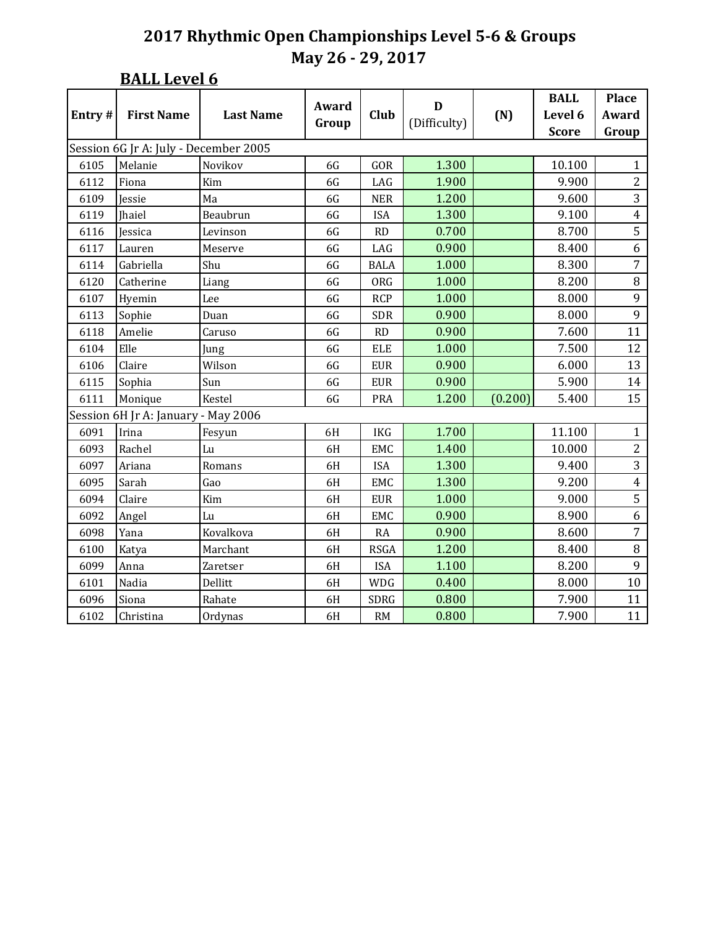|        | <b>BALL Level 6</b>                   |                  |                |             |                   |         |                                        |                                |  |  |  |
|--------|---------------------------------------|------------------|----------------|-------------|-------------------|---------|----------------------------------------|--------------------------------|--|--|--|
| Entry# | <b>First Name</b>                     | <b>Last Name</b> | Award<br>Group | Club        | D<br>(Difficulty) | (N)     | <b>BALL</b><br>Level 6<br><b>Score</b> | <b>Place</b><br>Award<br>Group |  |  |  |
|        | Session 6G Jr A: July - December 2005 |                  |                |             |                   |         |                                        |                                |  |  |  |
| 6105   | Melanie                               | Novikov          | 6G             | GOR         | 1.300             |         | 10.100                                 | $\mathbf{1}$                   |  |  |  |
| 6112   | Fiona                                 | Kim              | 6G             | LAG         | 1.900             |         | 9.900                                  | $\overline{2}$                 |  |  |  |
| 6109   | Jessie                                | Ma               | 6G             | <b>NER</b>  | 1.200             |         | 9.600                                  | 3                              |  |  |  |
| 6119   | Jhaiel                                | Beaubrun         | 6G             | <b>ISA</b>  | 1.300             |         | 9.100                                  | $\overline{4}$                 |  |  |  |
| 6116   | Jessica                               | Levinson         | 6G             | RD          | 0.700             |         | 8.700                                  | $\overline{5}$                 |  |  |  |
| 6117   | Lauren                                | Meserve          | 6G             | LAG         | 0.900             |         | 8.400                                  | $\boldsymbol{6}$               |  |  |  |
| 6114   | Gabriella                             | Shu              | 6G             | <b>BALA</b> | 1.000             |         | 8.300                                  | $\overline{7}$                 |  |  |  |
| 6120   | Catherine                             | Liang            | 6G             | <b>ORG</b>  | 1.000             |         | 8.200                                  | $\, 8$                         |  |  |  |
| 6107   | Hyemin                                | Lee              | 6G             | <b>RCP</b>  | 1.000             |         | 8.000                                  | 9                              |  |  |  |
| 6113   | Sophie                                | Duan             | 6G             | <b>SDR</b>  | 0.900             |         | 8.000                                  | 9                              |  |  |  |
| 6118   | Amelie                                | Caruso           | 6G             | RD          | 0.900             |         | 7.600                                  | 11                             |  |  |  |
| 6104   | Elle                                  | Jung             | 6G             | <b>ELE</b>  | 1.000             |         | 7.500                                  | 12                             |  |  |  |
| 6106   | Claire                                | Wilson           | 6G             | <b>EUR</b>  | 0.900             |         | 6.000                                  | 13                             |  |  |  |
| 6115   | Sophia                                | Sun              | 6G             | <b>EUR</b>  | 0.900             |         | 5.900                                  | 14                             |  |  |  |
| 6111   | Monique                               | Kestel           | 6G             | <b>PRA</b>  | 1.200             | (0.200) | 5.400                                  | 15                             |  |  |  |
|        | Session 6H Jr A: January - May 2006   |                  |                |             |                   |         |                                        |                                |  |  |  |
| 6091   | Irina                                 | Fesyun           | 6H             | <b>IKG</b>  | 1.700             |         | 11.100                                 | $\mathbf{1}$                   |  |  |  |
| 6093   | Rachel                                | Lu               | 6H             | <b>EMC</b>  | 1.400             |         | 10.000                                 | $\overline{2}$                 |  |  |  |
| 6097   | Ariana                                | Romans           | 6H             | <b>ISA</b>  | 1.300             |         | 9.400                                  | 3                              |  |  |  |
| 6095   | Sarah                                 | Gao              | 6H             | <b>EMC</b>  | 1.300             |         | 9.200                                  | $\pmb{4}$                      |  |  |  |
| 6094   | Claire                                | Kim              | 6H             | <b>EUR</b>  | 1.000             |         | 9.000                                  | $\overline{5}$                 |  |  |  |
| 6092   | Angel                                 | Lu               | 6H             | <b>EMC</b>  | 0.900             |         | 8.900                                  | 6                              |  |  |  |
| 6098   | Yana                                  | Kovalkova        | 6H             | RA          | 0.900             |         | 8.600                                  | $\overline{7}$                 |  |  |  |
| 6100   | Katya                                 | Marchant         | 6H             | <b>RSGA</b> | 1.200             |         | 8.400                                  | $\, 8$                         |  |  |  |
| 6099   | Anna                                  | Zaretser         | 6H             | <b>ISA</b>  | 1.100             |         | 8.200                                  | 9                              |  |  |  |
| 6101   | Nadia                                 | Dellitt          | 6H             | <b>WDG</b>  | 0.400             |         | 8.000                                  | $10\,$                         |  |  |  |
| 6096   | Siona                                 | Rahate           | 6H             | <b>SDRG</b> | 0.800             |         | 7.900                                  | 11                             |  |  |  |
| 6102   | Christina                             | Ordynas          | 6H             | RM          | 0.800             |         | 7.900                                  | 11                             |  |  |  |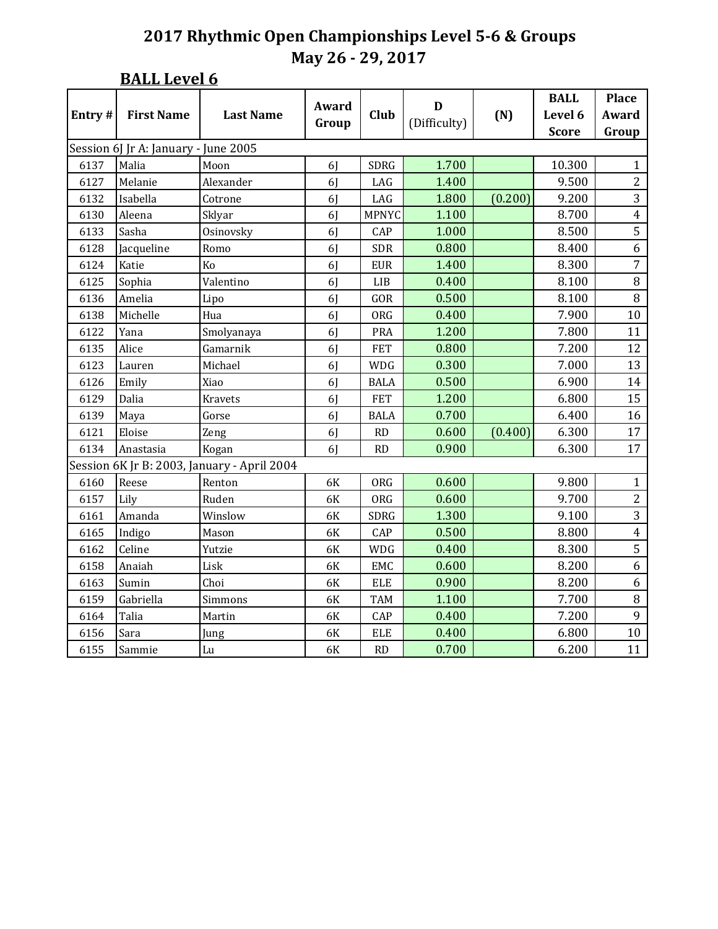|        | <b>BALL Level 6</b>                  |                                             |                |              |                   |         |                                        |                                |  |  |
|--------|--------------------------------------|---------------------------------------------|----------------|--------------|-------------------|---------|----------------------------------------|--------------------------------|--|--|
| Entry# | <b>First Name</b>                    | <b>Last Name</b>                            | Award<br>Group | <b>Club</b>  | D<br>(Difficulty) | (N)     | <b>BALL</b><br>Level 6<br><b>Score</b> | <b>Place</b><br>Award<br>Group |  |  |
|        | Session 6J Jr A: January - June 2005 |                                             |                |              |                   |         |                                        |                                |  |  |
| 6137   | Malia                                | Moon                                        | 6 <sub>l</sub> | <b>SDRG</b>  | 1.700             |         | 10.300                                 | $\mathbf{1}$                   |  |  |
| 6127   | Melanie                              | Alexander                                   | 6 <sub>l</sub> | LAG          | 1.400             |         | 9.500                                  | $\overline{2}$                 |  |  |
| 6132   | Isabella                             | Cotrone                                     | 6 <sub>l</sub> | LAG          | 1.800             | (0.200) | 9.200                                  | $\overline{3}$                 |  |  |
| 6130   | Aleena                               | Sklyar                                      | 6J             | <b>MPNYC</b> | 1.100             |         | 8.700                                  | $\overline{4}$                 |  |  |
| 6133   | Sasha                                | Osinovsky                                   | 6J             | CAP          | 1.000             |         | 8.500                                  | $\overline{5}$                 |  |  |
| 6128   | Jacqueline                           | Romo                                        | 6 <sub>l</sub> | <b>SDR</b>   | 0.800             |         | 8.400                                  | 6                              |  |  |
| 6124   | Katie                                | Ko                                          | 6 <sub>l</sub> | <b>EUR</b>   | 1.400             |         | 8.300                                  | $\overline{7}$                 |  |  |
| 6125   | Sophia                               | Valentino                                   | 6 <sub>l</sub> | LIB          | 0.400             |         | 8.100                                  | $\, 8$                         |  |  |
| 6136   | Amelia                               | Lipo                                        | 6 <sub>l</sub> | GOR          | 0.500             |         | 8.100                                  | $\overline{8}$                 |  |  |
| 6138   | Michelle                             | Hua                                         | 6J             | <b>ORG</b>   | 0.400             |         | 7.900                                  | 10                             |  |  |
| 6122   | Yana                                 | Smolyanaya                                  | 6 <sub>l</sub> | PRA          | 1.200             |         | 7.800                                  | 11                             |  |  |
| 6135   | Alice                                | Gamarnik                                    | 6 <sub>l</sub> | <b>FET</b>   | 0.800             |         | 7.200                                  | 12                             |  |  |
| 6123   | Lauren                               | Michael                                     | 6 <sub>l</sub> | <b>WDG</b>   | 0.300             |         | 7.000                                  | 13                             |  |  |
| 6126   | Emily                                | Xiao                                        | 6J             | <b>BALA</b>  | 0.500             |         | 6.900                                  | 14                             |  |  |
| 6129   | Dalia                                | <b>Kravets</b>                              | 6J             | <b>FET</b>   | 1.200             |         | 6.800                                  | 15                             |  |  |
| 6139   | Maya                                 | Gorse                                       | 6 <sub>l</sub> | <b>BALA</b>  | 0.700             |         | 6.400                                  | 16                             |  |  |
| 6121   | Eloise                               | Zeng                                        | 6J             | RD           | 0.600             | (0.400) | 6.300                                  | 17                             |  |  |
| 6134   | Anastasia                            | Kogan                                       | 6 <sub>l</sub> | <b>RD</b>    | 0.900             |         | 6.300                                  | 17                             |  |  |
|        |                                      | Session 6K Jr B: 2003, January - April 2004 |                |              |                   |         |                                        |                                |  |  |
| 6160   | Reese                                | Renton                                      | 6K             | ORG          | 0.600             |         | 9.800                                  | $\mathbf{1}$                   |  |  |
| 6157   | Lily                                 | Ruden                                       | 6K             | ORG          | 0.600             |         | 9.700                                  | $\overline{c}$                 |  |  |
| 6161   | Amanda                               | Winslow                                     | 6K             | <b>SDRG</b>  | 1.300             |         | 9.100                                  | $\overline{3}$                 |  |  |
| 6165   | Indigo                               | Mason                                       | 6K             | CAP          | 0.500             |         | 8.800                                  | $\overline{4}$                 |  |  |
| 6162   | Celine                               | Yutzie                                      | 6K             | <b>WDG</b>   | 0.400             |         | 8.300                                  | $\overline{5}$                 |  |  |
| 6158   | Anaiah                               | Lisk                                        | 6K             | EMC          | 0.600             |         | 8.200                                  | 6                              |  |  |
| 6163   | Sumin                                | Choi                                        | 6K             | <b>ELE</b>   | 0.900             |         | 8.200                                  | 6                              |  |  |
| 6159   | Gabriella                            | Simmons                                     | <b>6K</b>      | <b>TAM</b>   | 1.100             |         | 7.700                                  | $\, 8$                         |  |  |
| 6164   | Talia                                | Martin                                      | 6K             | CAP          | 0.400             |         | 7.200                                  | $\mathsf g$                    |  |  |
| 6156   | Sara                                 | Jung                                        | 6K             | <b>ELE</b>   | 0.400             |         | 6.800                                  | 10                             |  |  |
| 6155   | Sammie                               | Lu                                          | 6K             | RD           | 0.700             |         | 6.200                                  | 11                             |  |  |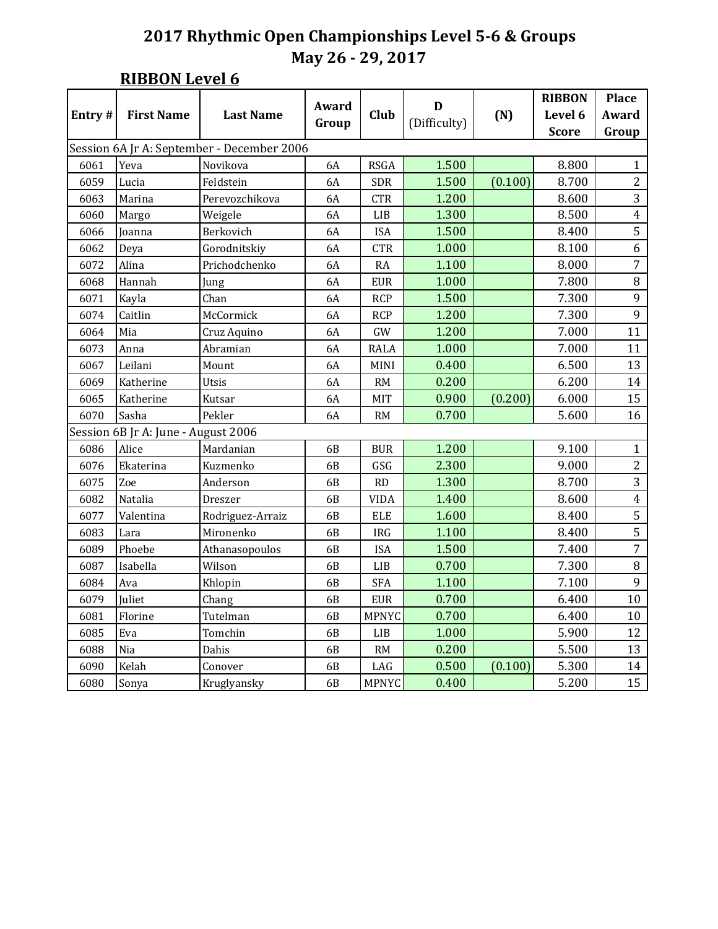| Entry# |                                     |                                                        | Award          |              | D            |         | <b>RIBBON</b> | <b>Place</b>            |
|--------|-------------------------------------|--------------------------------------------------------|----------------|--------------|--------------|---------|---------------|-------------------------|
|        | <b>First Name</b>                   | <b>Last Name</b>                                       | Group          | Club         | (Difficulty) | (N)     | Level 6       | Award                   |
|        |                                     |                                                        |                |              |              |         | <b>Score</b>  | Group                   |
| 6061   | Yeva                                | Session 6A Jr A: September - December 2006<br>Novikova | 6A             | <b>RSGA</b>  | 1.500        |         | 8.800         | 1                       |
|        |                                     |                                                        |                |              | 1.500        |         |               | $\overline{2}$          |
| 6059   | Lucia                               | Feldstein                                              | 6A             | SDR          |              | (0.100) | 8.700         |                         |
| 6063   | Marina                              | Perevozchikova                                         | 6A             | <b>CTR</b>   | 1.200        |         | 8.600         | $\overline{3}$          |
| 6060   | Margo                               | Weigele                                                | 6A             | LIB          | 1.300        |         | 8.500         | $\overline{4}$          |
| 6066   | Joanna                              | Berkovich                                              | <b>6A</b>      | <b>ISA</b>   | 1.500        |         | 8.400         | 5                       |
| 6062   | Deya                                | Gorodnitskiy                                           | <b>6A</b>      | <b>CTR</b>   | 1.000        |         | 8.100         | 6                       |
| 6072   | Alina                               | Prichodchenko                                          | 6A             | RA           | 1.100        |         | 8.000         | $\overline{7}$          |
| 6068   | Hannah                              | Jung                                                   | 6A             | <b>EUR</b>   | 1.000        |         | 7.800         | $\overline{8}$          |
| 6071   | Kayla                               | Chan                                                   | 6A             | <b>RCP</b>   | 1.500        |         | 7.300         | $\overline{9}$          |
| 6074   | Caitlin                             | McCormick                                              | 6A             | <b>RCP</b>   | 1.200        |         | 7.300         | 9                       |
| 6064   | Mia                                 | Cruz Aquino                                            | 6A             | GW           | 1.200        |         | 7.000         | 11                      |
| 6073   | Anna                                | Abramian                                               | <b>6A</b>      | <b>RALA</b>  | 1.000        |         | 7.000         | 11                      |
| 6067   | Leilani                             | Mount                                                  | <b>6A</b>      | MINI         | 0.400        |         | 6.500         | 13                      |
| 6069   | Katherine                           | Utsis                                                  | <b>6A</b>      | RM           | 0.200        |         | 6.200         | 14                      |
| 6065   | Katherine                           | Kutsar                                                 | 6A             | MIT          | 0.900        | (0.200) | 6.000         | 15                      |
| 6070   | Sasha                               | Pekler                                                 | 6A             | <b>RM</b>    | 0.700        |         | 5.600         | 16                      |
|        | Session 6B Jr A: June - August 2006 |                                                        |                |              |              |         |               |                         |
| 6086   | Alice                               | Mardanian                                              | 6 <sub>B</sub> | <b>BUR</b>   | 1.200        |         | 9.100         | $\mathbf{1}$            |
| 6076   | Ekaterina                           | Kuzmenko                                               | 6B             | GSG          | 2.300        |         | 9.000         | $\overline{2}$          |
| 6075   | Zoe                                 | Anderson                                               | 6B             | RD           | 1.300        |         | 8.700         | 3                       |
| 6082   | Natalia                             | Dreszer                                                | 6B             | <b>VIDA</b>  | 1.400        |         | 8.600         | $\overline{\mathbf{4}}$ |
| 6077   | Valentina                           | Rodriguez-Arraiz                                       | 6B             | <b>ELE</b>   | 1.600        |         | 8.400         | $\overline{5}$          |
| 6083   | Lara                                | Mironenko                                              | 6 <sub>B</sub> | <b>IRG</b>   | 1.100        |         | 8.400         | $\overline{5}$          |
| 6089   | Phoebe                              | Athanasopoulos                                         | 6B             | <b>ISA</b>   | 1.500        |         | 7.400         | $\overline{7}$          |
| 6087   | Isabella                            | Wilson                                                 | 6B             | LIB          | 0.700        |         | 7.300         | 8                       |
| 6084   | Ava                                 | Khlopin                                                | 6B             | <b>SFA</b>   | 1.100        |         | 7.100         | 9                       |
| 6079   | Juliet                              | Chang                                                  | 6B             | <b>EUR</b>   | 0.700        |         | 6.400         | 10                      |
| 6081   | Florine                             | Tutelman                                               | 6B             | <b>MPNYC</b> | 0.700        |         | 6.400         | 10                      |
| 6085   | Eva                                 | Tomchin                                                | 6B             | LIB          | 1.000        |         | 5.900         | 12                      |
| 6088   | Nia                                 | Dahis                                                  | 6B             | RM           | 0.200        |         | 5.500         | 13                      |
| 6090   | Kelah                               | Conover                                                | 6B             | LAG          | 0.500        | (0.100) | 5.300         | 14                      |
| 6080   | Sonya                               | Kruglyansky                                            | 6B             | <b>MPNYC</b> | 0.400        |         | 5.200         | 15                      |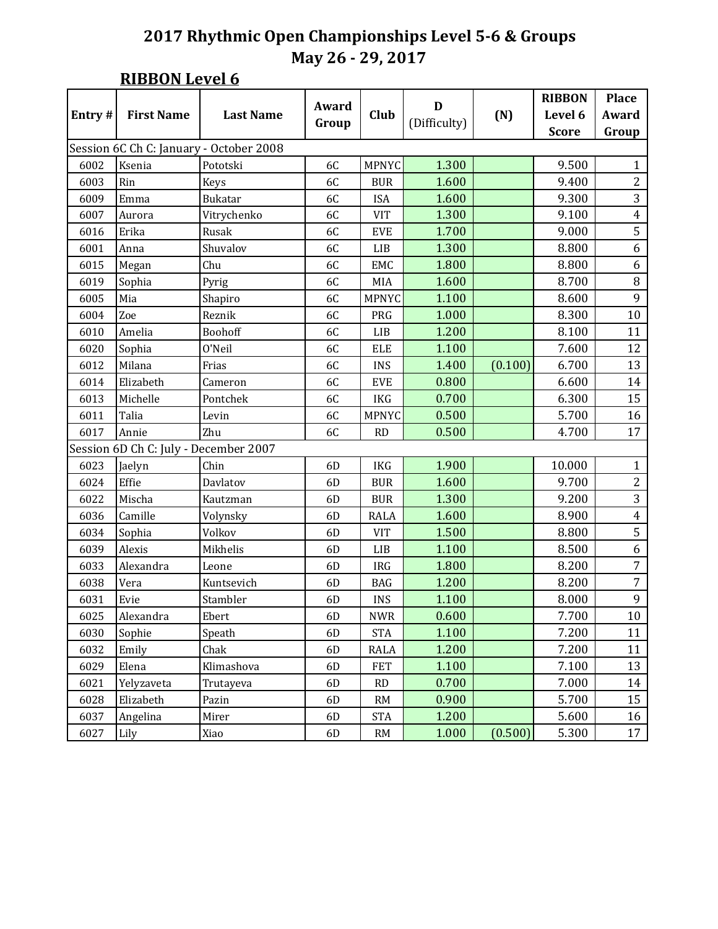|        |                                       |                                         |                | D            |              | <b>RIBBON</b> | <b>Place</b> |                         |
|--------|---------------------------------------|-----------------------------------------|----------------|--------------|--------------|---------------|--------------|-------------------------|
| Entry# | <b>First Name</b>                     | <b>Last Name</b>                        | Award          | Club         |              | (N)           | Level 6      | Award                   |
|        |                                       |                                         | Group          |              | (Difficulty) |               | <b>Score</b> | Group                   |
|        |                                       | Session 6C Ch C: January - October 2008 |                |              |              |               |              |                         |
| 6002   | Ksenia                                | Pototski                                | 6C             | <b>MPNYC</b> | 1.300        |               | 9.500        | $\mathbf{1}$            |
| 6003   | Rin                                   | Keys                                    | 6C             | <b>BUR</b>   | 1.600        |               | 9.400        | $\overline{2}$          |
| 6009   | Emma                                  | <b>Bukatar</b>                          | 6C             | <b>ISA</b>   | 1.600        |               | 9.300        | $\overline{3}$          |
| 6007   | Aurora                                | Vitrychenko                             | 6C             | <b>VIT</b>   | 1.300        |               | 9.100        | $\overline{\mathbf{4}}$ |
| 6016   | Erika                                 | Rusak                                   | 6C             | <b>EVE</b>   | 1.700        |               | 9.000        | $\overline{5}$          |
| 6001   | Anna                                  | Shuvalov                                | 6C             | LIB          | 1.300        |               | 8.800        | 6                       |
| 6015   | Megan                                 | Chu                                     | 6C             | EMC          | 1.800        |               | 8.800        | 6                       |
| 6019   | Sophia                                | Pyrig                                   | 6C             | MIA          | 1.600        |               | 8.700        | $\, 8$                  |
| 6005   | Mia                                   | Shapiro                                 | 6C             | <b>MPNYC</b> | 1.100        |               | 8.600        | $\overline{9}$          |
| 6004   | Zoe                                   | Reznik                                  | 6C             | PRG          | 1.000        |               | 8.300        | 10                      |
| 6010   | Amelia                                | Boohoff                                 | 6C             | LIB          | 1.200        |               | 8.100        | 11                      |
| 6020   | Sophia                                | O'Neil                                  | 6C             | ELE          | 1.100        |               | 7.600        | 12                      |
| 6012   | Milana                                | Frias                                   | 6C             | <b>INS</b>   | 1.400        | (0.100)       | 6.700        | 13                      |
| 6014   | Elizabeth                             | Cameron                                 | 6C             | <b>EVE</b>   | 0.800        |               | 6.600        | 14                      |
| 6013   | Michelle                              | Pontchek                                | 6C             | <b>IKG</b>   | 0.700        |               | 6.300        | 15                      |
| 6011   | Talia                                 | Levin                                   | 6C             | <b>MPNYC</b> | 0.500        |               | 5.700        | 16                      |
| 6017   | Annie                                 | Zhu                                     | 6C             | RD           | 0.500        |               | 4.700        | 17                      |
|        | Session 6D Ch C: July - December 2007 |                                         |                |              |              |               |              |                         |
| 6023   | Jaelyn                                | Chin                                    | 6 <sub>D</sub> | <b>IKG</b>   | 1.900        |               | 10.000       | $\mathbf{1}$            |
| 6024   | Effie                                 | Davlatov                                | 6D             | <b>BUR</b>   | 1.600        |               | 9.700        | $\overline{2}$          |
| 6022   | Mischa                                | Kautzman                                | 6D             | <b>BUR</b>   | 1.300        |               | 9.200        | $\overline{3}$          |
| 6036   | Camille                               | Volynsky                                | 6D             | <b>RALA</b>  | 1.600        |               | 8.900        | $\overline{4}$          |
| 6034   | Sophia                                | Volkov                                  | 6D             | <b>VIT</b>   | 1.500        |               | 8.800        | $\overline{5}$          |
| 6039   | Alexis                                | Mikhelis                                | 6D             | LIB          | 1.100        |               | 8.500        | 6                       |
| 6033   | Alexandra                             | Leone                                   | 6D             | <b>IRG</b>   | 1.800        |               | 8.200        | $\overline{7}$          |
| 6038   | Vera                                  | Kuntsevich                              | 6D             | <b>BAG</b>   | 1.200        |               | 8.200        | $\overline{7}$          |
| 6031   | Evie                                  | Stambler                                | 6D             | <b>INS</b>   | 1.100        |               | 8.000        | 9                       |
| 6025   | Alexandra                             | Ebert                                   | 6D             | <b>NWR</b>   | 0.600        |               | 7.700        | 10 <sup>1</sup>         |
| 6030   | Sophie                                | Speath                                  | 6D             | <b>STA</b>   | 1.100        |               | 7.200        | 11                      |
| 6032   | Emily                                 | Chak                                    | 6D             | <b>RALA</b>  | 1.200        |               | 7.200        | 11                      |
| 6029   | Elena                                 | Klimashova                              | 6D             | <b>FET</b>   | 1.100        |               | 7.100        | 13                      |
| 6021   | Yelyzaveta                            | Trutayeva                               | 6D             | RD           | 0.700        |               | 7.000        | 14                      |
| 6028   | Elizabeth                             | Pazin                                   | 6D             | RM           | 0.900        |               | 5.700        | 15                      |
| 6037   | Angelina                              | Mirer                                   | 6D             | <b>STA</b>   | 1.200        |               | 5.600        | 16                      |
| 6027   | Lily                                  | Xiao                                    | 6D             | RM           | 1.000        | (0.500)       | 5.300        | 17                      |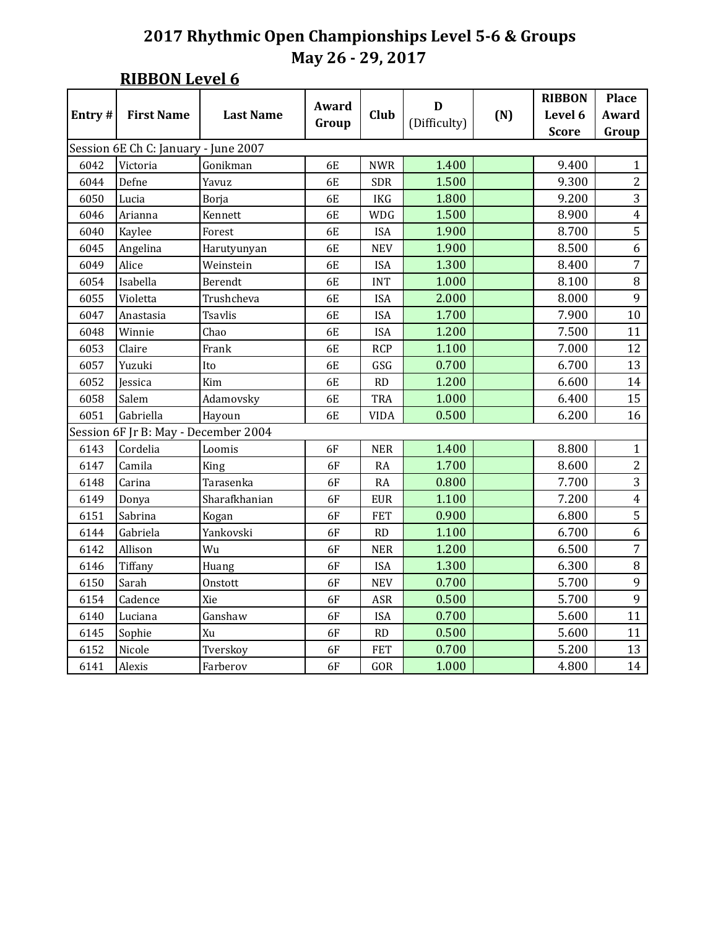|        |                                      |                  |           |             |                   |     | <b>RIBBON</b> | <b>Place</b>            |
|--------|--------------------------------------|------------------|-----------|-------------|-------------------|-----|---------------|-------------------------|
| Entry# | <b>First Name</b>                    | <b>Last Name</b> | Award     | <b>Club</b> | D<br>(Difficulty) | (N) | Level 6       | Award                   |
|        |                                      |                  | Group     |             |                   |     | <b>Score</b>  | Group                   |
|        | Session 6E Ch C: January - June 2007 |                  |           |             |                   |     |               |                         |
| 6042   | Victoria                             | Gonikman         | 6E        | <b>NWR</b>  | 1.400             |     | 9.400         | 1                       |
| 6044   | Defne                                | Yavuz            | 6E        | <b>SDR</b>  | 1.500             |     | 9.300         | $\overline{2}$          |
| 6050   | Lucia                                | Borja            | 6E        | <b>IKG</b>  | 1.800             |     | 9.200         | $\overline{3}$          |
| 6046   | Arianna                              | Kennett          | 6E        | <b>WDG</b>  | 1.500             |     | 8.900         | $\overline{4}$          |
| 6040   | Kaylee                               | Forest           | 6E        | <b>ISA</b>  | 1.900             |     | 8.700         | $\overline{5}$          |
| 6045   | Angelina                             | Harutyunyan      | 6E        | <b>NEV</b>  | 1.900             |     | 8.500         | 6                       |
| 6049   | Alice                                | Weinstein        | 6E        | <b>ISA</b>  | 1.300             |     | 8.400         | $\overline{7}$          |
| 6054   | Isabella                             | Berendt          | 6E        | <b>INT</b>  | 1.000             |     | 8.100         | 8                       |
| 6055   | Violetta                             | Trushcheva       | 6E        | <b>ISA</b>  | 2.000             |     | 8.000         | 9                       |
| 6047   | Anastasia                            | <b>Tsavlis</b>   | 6E        | <b>ISA</b>  | 1.700             |     | 7.900         | $10\,$                  |
| 6048   | Winnie                               | Chao             | 6E        | <b>ISA</b>  | 1.200             |     | 7.500         | 11                      |
| 6053   | Claire                               | Frank            | 6E        | <b>RCP</b>  | 1.100             |     | 7.000         | 12                      |
| 6057   | Yuzuki                               | Ito              | 6E        | GSG         | 0.700             |     | 6.700         | 13                      |
| 6052   | Jessica                              | Kim              | 6E        | RD          | 1.200             |     | 6.600         | 14                      |
| 6058   | Salem                                | Adamovsky        | 6E        | <b>TRA</b>  | 1.000             |     | 6.400         | 15                      |
| 6051   | Gabriella                            | Hayoun           | 6E        | <b>VIDA</b> | 0.500             |     | 6.200         | 16                      |
|        | Session 6F Jr B: May - December 2004 |                  |           |             |                   |     |               |                         |
| 6143   | Cordelia                             | Loomis           | 6F        | <b>NER</b>  | 1.400             |     | 8.800         | $\mathbf{1}$            |
| 6147   | Camila                               | King             | 6F        | RA          | 1.700             |     | 8.600         | $\overline{2}$          |
| 6148   | Carina                               | Tarasenka        | 6F        | <b>RA</b>   | 0.800             |     | 7.700         | $\overline{3}$          |
| 6149   | Donya                                | Sharafkhanian    | 6F        | <b>EUR</b>  | 1.100             |     | 7.200         | $\overline{\mathbf{4}}$ |
| 6151   | Sabrina                              | Kogan            | <b>6F</b> | <b>FET</b>  | 0.900             |     | 6.800         | $\overline{5}$          |
| 6144   | Gabriela                             | Yankovski        | <b>6F</b> | RD          | 1.100             |     | 6.700         | 6                       |
| 6142   | Allison                              | Wu               | <b>6F</b> | <b>NER</b>  | 1.200             |     | 6.500         | $\overline{7}$          |
| 6146   | Tiffany                              | Huang            | <b>6F</b> | <b>ISA</b>  | 1.300             |     | 6.300         | 8                       |
| 6150   | Sarah                                | Onstott          | <b>6F</b> | <b>NEV</b>  | 0.700             |     | 5.700         | $\overline{9}$          |
| 6154   | Cadence                              | Xie              | 6F        | ASR         | 0.500             |     | 5.700         | 9                       |
| 6140   | Luciana                              | Ganshaw          | <b>6F</b> | <b>ISA</b>  | 0.700             |     | 5.600         | 11                      |
| 6145   | Sophie                               | Xu               | 6F        | RD          | 0.500             |     | 5.600         | 11                      |
| 6152   | Nicole                               | Tverskoy         | 6F        | <b>FET</b>  | 0.700             |     | 5.200         | 13                      |
| 6141   | Alexis                               | Farberov         | 6F        | GOR         | 1.000             |     | 4.800         | 14                      |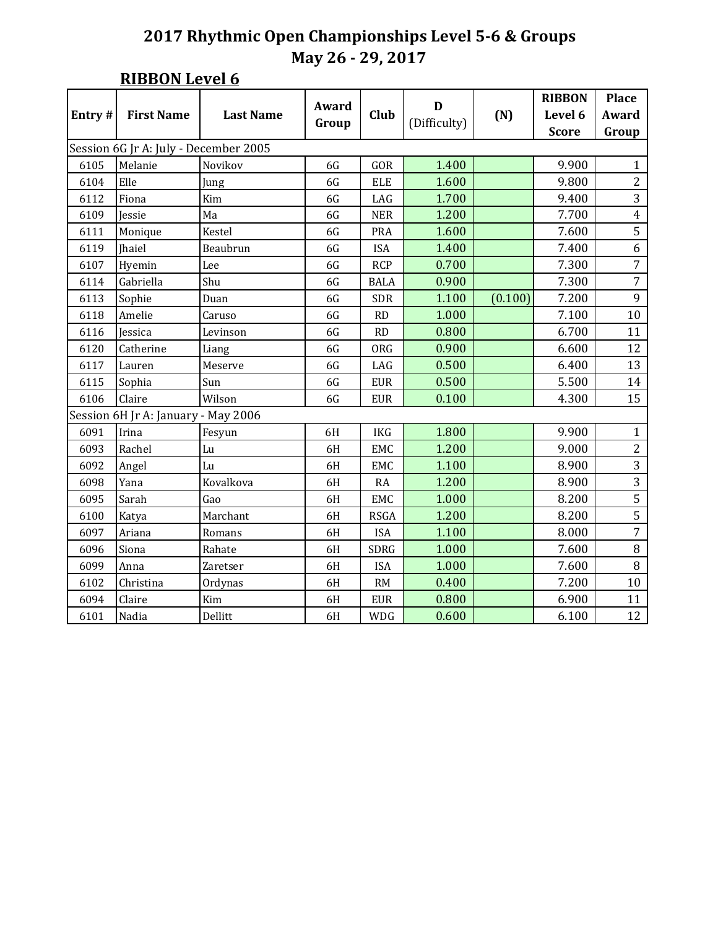| Entry# | <b>First Name</b>                     | <b>Last Name</b> | Award<br>Group | Club          | D<br>(Difficulty) | (N)     | <b>RIBBON</b><br>Level 6<br><b>Score</b> | <b>Place</b><br>Award<br>Group |
|--------|---------------------------------------|------------------|----------------|---------------|-------------------|---------|------------------------------------------|--------------------------------|
|        | Session 6G Jr A: July - December 2005 |                  |                |               |                   |         |                                          |                                |
| 6105   | Melanie                               | Novikov          | 6G             | GOR           | 1.400             |         | 9.900                                    | $\mathbf{1}$                   |
| 6104   | Elle                                  | Jung             | 6G             | <b>ELE</b>    | 1.600             |         | 9.800                                    | $\overline{2}$                 |
| 6112   | Fiona                                 | Kim              | 6G             | LAG           | 1.700             |         | 9.400                                    | $\overline{3}$                 |
| 6109   | Jessie                                | Ma               | 6G             | <b>NER</b>    | 1.200             |         | 7.700                                    | $\overline{4}$                 |
| 6111   | Monique                               | Kestel           | 6G             | <b>PRA</b>    | 1.600             |         | 7.600                                    | $\overline{5}$                 |
| 6119   | <b>Jhaiel</b>                         | Beaubrun         | 6G             | <b>ISA</b>    | 1.400             |         | 7.400                                    | 6                              |
| 6107   | Hyemin                                | Lee              | 6G             | <b>RCP</b>    | 0.700             |         | 7.300                                    | $\overline{7}$                 |
| 6114   | Gabriella                             | Shu              | 6G             | <b>BALA</b>   | 0.900             |         | 7.300                                    | $\overline{7}$                 |
| 6113   | Sophie                                | Duan             | 6G             | <b>SDR</b>    | 1.100             | (0.100) | 7.200                                    | 9                              |
| 6118   | Amelie                                | Caruso           | 6G             | RD            | 1.000             |         | 7.100                                    | 10                             |
| 6116   | Jessica                               | Levinson         | 6G             | RD            | 0.800             |         | 6.700                                    | 11                             |
| 6120   | Catherine                             | Liang            | 6G             | <b>ORG</b>    | 0.900             |         | 6.600                                    | 12                             |
| 6117   | Lauren                                | Meserve          | 6G             | LAG           | 0.500             |         | 6.400                                    | 13                             |
| 6115   | Sophia                                | Sun              | 6G             | <b>EUR</b>    | 0.500             |         | 5.500                                    | 14                             |
| 6106   | Claire                                | Wilson           | 6G             | <b>EUR</b>    | 0.100             |         | 4.300                                    | 15                             |
|        | Session 6H Jr A: January - May 2006   |                  |                |               |                   |         |                                          |                                |
| 6091   | Irina                                 | Fesyun           | 6H             | <b>IKG</b>    | 1.800             |         | 9.900                                    | $\mathbf{1}$                   |
| 6093   | Rachel                                | Lu               | 6H             | EMC           | 1.200             |         | 9.000                                    | $\overline{2}$                 |
| 6092   | Angel                                 | Lu               | 6H             | EMC           | 1.100             |         | 8.900                                    | $\overline{3}$                 |
| 6098   | Yana                                  | Kovalkova        | 6H             | <b>RA</b>     | 1.200             |         | 8.900                                    | 3                              |
| 6095   | Sarah                                 | Gao              | 6H             | EMC           | 1.000             |         | 8.200                                    | $\overline{5}$                 |
| 6100   | Katya                                 | Marchant         | 6H             | <b>RSGA</b>   | 1.200             |         | 8.200                                    | $\overline{5}$                 |
| 6097   | Ariana                                | Romans           | 6H             | <b>ISA</b>    | 1.100             |         | 8.000                                    | $\overline{7}$                 |
| 6096   | Siona                                 | Rahate           | 6H             | <b>SDRG</b>   | 1.000             |         | 7.600                                    | 8                              |
| 6099   | Anna                                  | Zaretser         | 6H             | <b>ISA</b>    | 1.000             |         | 7.600                                    | $\, 8$                         |
| 6102   | Christina                             | Ordynas          | 6H             | $\mathbf{RM}$ | 0.400             |         | 7.200                                    | $10\,$                         |
| 6094   | Claire                                | Kim              | 6H             | <b>EUR</b>    | 0.800             |         | 6.900                                    | 11                             |
| 6101   | Nadia                                 | Dellitt          | 6H             | <b>WDG</b>    | 0.600             |         | 6.100                                    | 12                             |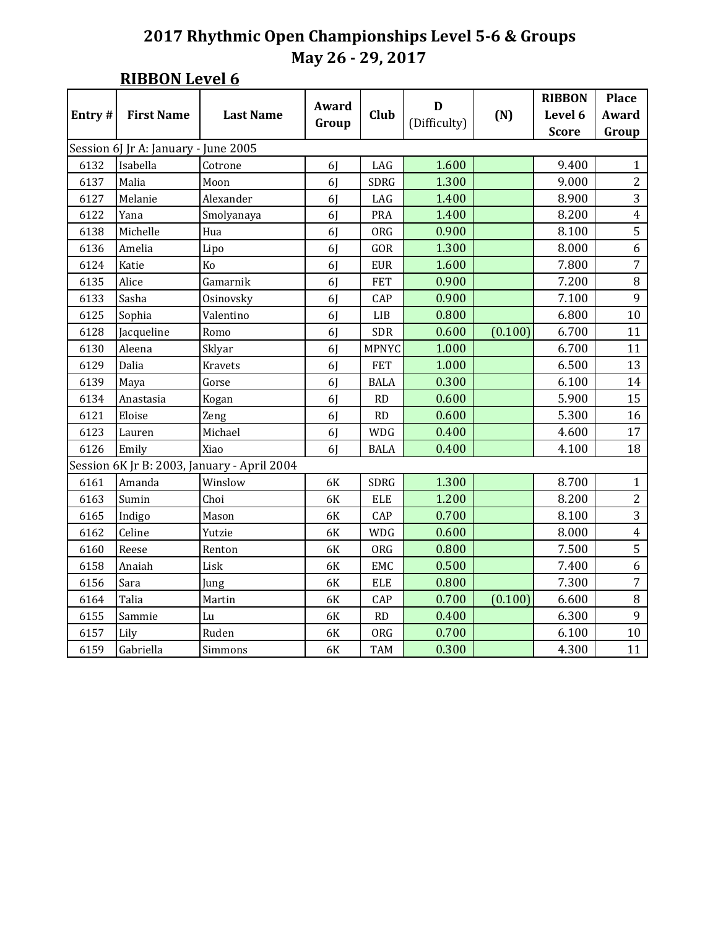|        |                                      |                                             | Award          |              | D            |         | <b>RIBBON</b> | <b>Place</b>   |
|--------|--------------------------------------|---------------------------------------------|----------------|--------------|--------------|---------|---------------|----------------|
| Entry# | <b>First Name</b>                    | <b>Last Name</b>                            | Group          | <b>Club</b>  | (Difficulty) | (N)     | Level 6       | Award          |
|        |                                      |                                             |                |              |              |         | <b>Score</b>  | Group          |
|        | Session 6J Jr A: January - June 2005 |                                             |                |              |              |         |               |                |
| 6132   | Isabella                             | Cotrone                                     | 6J             | $\rm LAG$    | 1.600        |         | 9.400         | $\mathbf{1}$   |
| 6137   | Malia                                | Moon                                        | 6J             | <b>SDRG</b>  | 1.300        |         | 9.000         | $\overline{2}$ |
| 6127   | Melanie                              | Alexander                                   | 6J             | LAG          | 1.400        |         | 8.900         | $\overline{3}$ |
| 6122   | Yana                                 | Smolyanaya                                  | 6 <sub>l</sub> | <b>PRA</b>   | 1.400        |         | 8.200         | $\overline{4}$ |
| 6138   | Michelle                             | Hua                                         | 6 <sub>l</sub> | ORG          | 0.900        |         | 8.100         | $\overline{5}$ |
| 6136   | Amelia                               | Lipo                                        | 6J             | GOR          | 1.300        |         | 8.000         | 6              |
| 6124   | Katie                                | Ko                                          | 6 <sub>l</sub> | <b>EUR</b>   | 1.600        |         | 7.800         | $\overline{7}$ |
| 6135   | Alice                                | Gamarnik                                    | 6 <sub>l</sub> | <b>FET</b>   | 0.900        |         | 7.200         | $\, 8$         |
| 6133   | Sasha                                | Osinovsky                                   | 6 <sub>l</sub> | CAP          | 0.900        |         | 7.100         | 9              |
| 6125   | Sophia                               | Valentino                                   | 6J             | ${\rm LIB}$  | 0.800        |         | 6.800         | $10\,$         |
| 6128   | Jacqueline                           | Romo                                        | 6J             | <b>SDR</b>   | 0.600        | (0.100) | 6.700         | 11             |
| 6130   | Aleena                               | Sklyar                                      | 6J             | <b>MPNYC</b> | 1.000        |         | 6.700         | 11             |
| 6129   | Dalia                                | Kravets                                     | 6J             | <b>FET</b>   | 1.000        |         | 6.500         | 13             |
| 6139   | Maya                                 | Gorse                                       | 6J             | <b>BALA</b>  | 0.300        |         | 6.100         | 14             |
| 6134   | Anastasia                            | Kogan                                       | 6J             | RD           | 0.600        |         | 5.900         | 15             |
| 6121   | Eloise                               | Zeng                                        | 6 <sub>l</sub> | RD           | 0.600        |         | 5.300         | 16             |
| 6123   | Lauren                               | Michael                                     | 6J             | <b>WDG</b>   | 0.400        |         | 4.600         | 17             |
| 6126   | Emily                                | Xiao                                        | 6 <sub>l</sub> | <b>BALA</b>  | 0.400        |         | 4.100         | 18             |
|        |                                      | Session 6K Jr B: 2003, January - April 2004 |                |              |              |         |               |                |
| 6161   | Amanda                               | Winslow                                     | 6K             | SDRG         | 1.300        |         | 8.700         | $\mathbf{1}$   |
| 6163   | Sumin                                | Choi                                        | 6K             | <b>ELE</b>   | 1.200        |         | 8.200         | $\overline{2}$ |
| 6165   | Indigo                               | Mason                                       | 6K             | CAP          | 0.700        |         | 8.100         | $\overline{3}$ |
| 6162   | Celine                               | Yutzie                                      | 6K             | <b>WDG</b>   | 0.600        |         | 8.000         | $\overline{4}$ |
| 6160   | Reese                                | Renton                                      | 6K             | ORG          | 0.800        |         | 7.500         | 5              |
| 6158   | Anaiah                               | Lisk                                        | 6K             | EMC          | 0.500        |         | 7.400         | 6              |
| 6156   | Sara                                 | Jung                                        | 6K             | <b>ELE</b>   | 0.800        |         | 7.300         | $\overline{7}$ |
| 6164   | Talia                                | Martin                                      | 6K             | CAP          | 0.700        | (0.100) | 6.600         | 8              |
| 6155   | Sammie                               | ${\rm Lu}$                                  | 6K             | RD           | 0.400        |         | 6.300         | 9              |
| 6157   | Lily                                 | Ruden                                       | 6K             | ORG          | 0.700        |         | 6.100         | 10             |
| 6159   | Gabriella                            | Simmons                                     | 6K             | <b>TAM</b>   | 0.300        |         | 4.300         | 11             |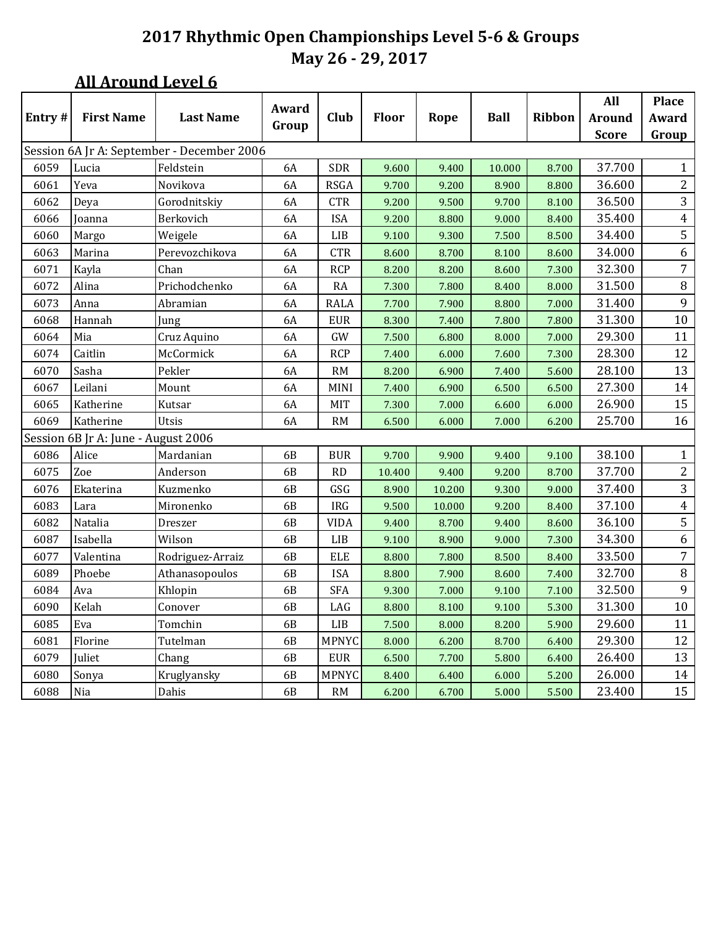|        |                                     |                                            | Award          |              |              |        |             |        | All           | <b>Place</b>     |
|--------|-------------------------------------|--------------------------------------------|----------------|--------------|--------------|--------|-------------|--------|---------------|------------------|
| Entry# | <b>First Name</b>                   | <b>Last Name</b>                           | Group          | Club         | <b>Floor</b> | Rope   | <b>Ball</b> | Ribbon | <b>Around</b> | Award            |
|        |                                     |                                            |                |              |              |        |             |        | <b>Score</b>  | Group            |
|        |                                     | Session 6A Jr A: September - December 2006 |                |              |              |        |             |        |               |                  |
| 6059   | Lucia                               | Feldstein                                  | 6A             | <b>SDR</b>   | 9.600        | 9.400  | 10.000      | 8.700  | 37.700        | 1                |
| 6061   | Yeva                                | Novikova                                   | <b>6A</b>      | <b>RSGA</b>  | 9.700        | 9.200  | 8.900       | 8.800  | 36.600        | $\overline{2}$   |
| 6062   | Deya                                | Gorodnitskiy                               | <b>6A</b>      | <b>CTR</b>   | 9.200        | 9.500  | 9.700       | 8.100  | 36.500        | 3                |
| 6066   | Joanna                              | Berkovich                                  | <b>6A</b>      | <b>ISA</b>   | 9.200        | 8.800  | 9.000       | 8.400  | 35.400        | $\overline{4}$   |
| 6060   | Margo                               | Weigele                                    | 6A             | LIB          | 9.100        | 9.300  | 7.500       | 8.500  | 34.400        | 5                |
| 6063   | Marina                              | Perevozchikova                             | <b>6A</b>      | <b>CTR</b>   | 8.600        | 8.700  | 8.100       | 8.600  | 34.000        | 6                |
| 6071   | Kayla                               | Chan                                       | <b>6A</b>      | <b>RCP</b>   | 8.200        | 8.200  | 8.600       | 7.300  | 32.300        | $\sqrt{ }$       |
| 6072   | Alina                               | Prichodchenko                              | 6A             | <b>RA</b>    | 7.300        | 7.800  | 8.400       | 8.000  | 31.500        | $\, 8$           |
| 6073   | Anna                                | Abramian                                   | <b>6A</b>      | <b>RALA</b>  | 7.700        | 7.900  | 8.800       | 7.000  | 31.400        | 9                |
| 6068   | Hannah                              | Jung                                       | 6A             | <b>EUR</b>   | 8.300        | 7.400  | 7.800       | 7.800  | 31.300        | $10\,$           |
| 6064   | Mia                                 | Cruz Aquino                                | <b>6A</b>      | GW           | 7.500        | 6.800  | 8.000       | 7.000  | 29.300        | 11               |
| 6074   | Caitlin                             | McCormick                                  | <b>6A</b>      | <b>RCP</b>   | 7.400        | 6.000  | 7.600       | 7.300  | 28.300        | 12               |
| 6070   | Sasha                               | Pekler                                     | <b>6A</b>      | <b>RM</b>    | 8.200        | 6.900  | 7.400       | 5.600  | 28.100        | 13               |
| 6067   | Leilani                             | Mount                                      | 6A             | MINI         | 7.400        | 6.900  | 6.500       | 6.500  | 27.300        | 14               |
| 6065   | Katherine                           | Kutsar                                     | <b>6A</b>      | <b>MIT</b>   | 7.300        | 7.000  | 6.600       | 6.000  | 26.900        | 15               |
| 6069   | Katherine                           | Utsis                                      | <b>6A</b>      | <b>RM</b>    | 6.500        | 6.000  | 7.000       | 6.200  | 25.700        | 16               |
|        | Session 6B Jr A: June - August 2006 |                                            |                |              |              |        |             |        |               |                  |
| 6086   | Alice                               | Mardanian                                  | 6 <sub>B</sub> | <b>BUR</b>   | 9.700        | 9.900  | 9.400       | 9.100  | 38.100        | $\mathbf{1}$     |
| 6075   | Zoe                                 | Anderson                                   | 6 <sub>B</sub> | <b>RD</b>    | 10.400       | 9.400  | 9.200       | 8.700  | 37.700        | $\boldsymbol{2}$ |
| 6076   | Ekaterina                           | Kuzmenko                                   | 6 <sub>B</sub> | GSG          | 8.900        | 10.200 | 9.300       | 9.000  | 37.400        | 3                |
| 6083   | Lara                                | Mironenko                                  | 6 <sub>B</sub> | <b>IRG</b>   | 9.500        | 10.000 | 9.200       | 8.400  | 37.100        | $\overline{4}$   |
| 6082   | Natalia                             | Dreszer                                    | 6B             | <b>VIDA</b>  | 9.400        | 8.700  | 9.400       | 8.600  | 36.100        | 5                |
| 6087   | Isabella                            | Wilson                                     | 6 <sub>B</sub> | LIB          | 9.100        | 8.900  | 9.000       | 7.300  | 34.300        | 6                |
| 6077   | Valentina                           | Rodriguez-Arraiz                           | 6 <sub>B</sub> | <b>ELE</b>   | 8.800        | 7.800  | 8.500       | 8.400  | 33.500        | $\overline{7}$   |
| 6089   | Phoebe                              | Athanasopoulos                             | 6B             | <b>ISA</b>   | 8.800        | 7.900  | 8.600       | 7.400  | 32.700        | $\, 8$           |
| 6084   | Ava                                 | Khlopin                                    | 6 <sub>B</sub> | <b>SFA</b>   | 9.300        | 7.000  | 9.100       | 7.100  | 32.500        | $\mathbf{9}$     |
| 6090   | Kelah                               | Conover                                    | 6 <sub>B</sub> | LAG          | 8.800        | 8.100  | 9.100       | 5.300  | 31.300        | 10               |
| 6085   | Eva                                 | Tomchin                                    | 6B             | LIB          | 7.500        | 8.000  | 8.200       | 5.900  | 29.600        | 11               |
| 6081   | Florine                             | Tutelman                                   | 6 <sub>B</sub> | <b>MPNYC</b> | 8.000        | 6.200  | 8.700       | 6.400  | 29.300        | 12               |
| 6079   | Juliet                              | Chang                                      | 6 <sub>B</sub> | <b>EUR</b>   | 6.500        | 7.700  | 5.800       | 6.400  | 26.400        | 13               |
| 6080   | Sonya                               | Kruglyansky                                | 6B             | <b>MPNYC</b> | 8.400        | 6.400  | 6.000       | 5.200  | 26.000        | 14               |
| 6088   | Nia                                 | Dahis                                      | 6B             | RM           | 6.200        | 6.700  | 5.000       | 5.500  | 23.400        | 15               |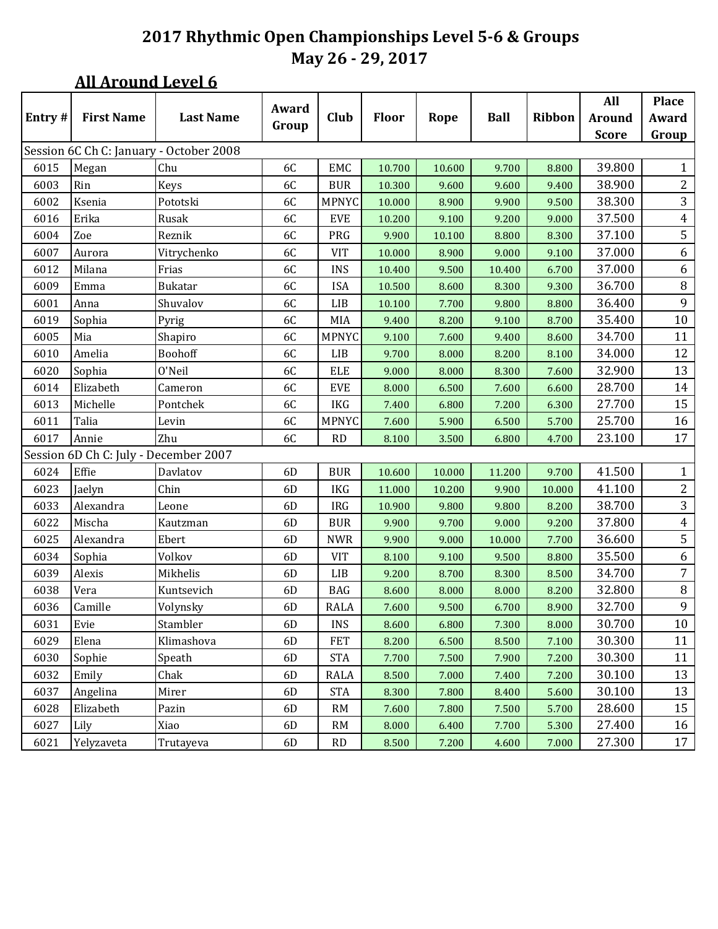|        |                                       |                                         | Award |              |        |        |             |        | All          | <b>Place</b>     |
|--------|---------------------------------------|-----------------------------------------|-------|--------------|--------|--------|-------------|--------|--------------|------------------|
| Entry# | <b>First Name</b>                     | <b>Last Name</b>                        | Group | Club         | Floor  | Rope   | <b>Ball</b> | Ribbon | Around       | Award            |
|        |                                       |                                         |       |              |        |        |             |        | <b>Score</b> | Group            |
|        |                                       | Session 6C Ch C: January - October 2008 |       |              |        |        |             |        |              |                  |
| 6015   | Megan                                 | Chu                                     | 6C    | EMC          | 10.700 | 10.600 | 9.700       | 8.800  | 39.800       | $\mathbf{1}$     |
| 6003   | Rin                                   | Keys                                    | 6C    | <b>BUR</b>   | 10.300 | 9.600  | 9.600       | 9.400  | 38.900       | $\overline{2}$   |
| 6002   | Ksenia                                | Pototski                                | 6C    | <b>MPNYC</b> | 10.000 | 8.900  | 9.900       | 9.500  | 38.300       | 3                |
| 6016   | Erika                                 | Rusak                                   | 6C    | <b>EVE</b>   | 10.200 | 9.100  | 9.200       | 9.000  | 37.500       | $\overline{4}$   |
| 6004   | Zoe                                   | Reznik                                  | 6C    | PRG          | 9.900  | 10.100 | 8.800       | 8.300  | 37.100       | 5                |
| 6007   | Aurora                                | Vitrychenko                             | 6C    | <b>VIT</b>   | 10.000 | 8.900  | 9.000       | 9.100  | 37.000       | 6                |
| 6012   | Milana                                | Frias                                   | 6C    | <b>INS</b>   | 10.400 | 9.500  | 10.400      | 6.700  | 37.000       | $\boldsymbol{6}$ |
| 6009   | Emma                                  | Bukatar                                 | 6C    | <b>ISA</b>   | 10.500 | 8.600  | 8.300       | 9.300  | 36.700       | $\, 8$           |
| 6001   | Anna                                  | Shuvalov                                | 6C    | LIB          | 10.100 | 7.700  | 9.800       | 8.800  | 36.400       | 9                |
| 6019   | Sophia                                | Pyrig                                   | 6C    | MIA          | 9.400  | 8.200  | 9.100       | 8.700  | 35.400       | 10               |
| 6005   | Mia                                   | Shapiro                                 | 6C    | <b>MPNYC</b> | 9.100  | 7.600  | 9.400       | 8.600  | 34.700       | 11               |
| 6010   | Amelia                                | Boohoff                                 | 6C    | LIB          | 9.700  | 8.000  | 8.200       | 8.100  | 34.000       | 12               |
| 6020   | Sophia                                | O'Neil                                  | 6C    | <b>ELE</b>   | 9.000  | 8.000  | 8.300       | 7.600  | 32.900       | 13               |
| 6014   | Elizabeth                             | Cameron                                 | 6C    | <b>EVE</b>   | 8.000  | 6.500  | 7.600       | 6.600  | 28.700       | 14               |
| 6013   | Michelle                              | Pontchek                                | 6C    | <b>IKG</b>   | 7.400  | 6.800  | 7.200       | 6.300  | 27.700       | 15               |
| 6011   | Talia                                 | Levin                                   | 6C    | <b>MPNYC</b> | 7.600  | 5.900  | 6.500       | 5.700  | 25.700       | 16               |
| 6017   | Annie                                 | Zhu                                     | 6C    | RD           | 8.100  | 3.500  | 6.800       | 4.700  | 23.100       | 17               |
|        | Session 6D Ch C: July - December 2007 |                                         |       |              |        |        |             |        |              |                  |
| 6024   | Effie                                 | Davlatov                                | 6D    | <b>BUR</b>   | 10.600 | 10.000 | 11.200      | 9.700  | 41.500       | $\mathbf{1}$     |
| 6023   | Jaelyn                                | Chin                                    | 6D    | <b>IKG</b>   | 11.000 | 10.200 | 9.900       | 10.000 | 41.100       | $\boldsymbol{2}$ |
| 6033   | Alexandra                             | Leone                                   | 6D    | <b>IRG</b>   | 10.900 | 9.800  | 9.800       | 8.200  | 38.700       | 3                |
| 6022   | Mischa                                | Kautzman                                | 6D    | <b>BUR</b>   | 9.900  | 9.700  | 9.000       | 9.200  | 37.800       | $\pmb{4}$        |
| 6025   | Alexandra                             | Ebert                                   | 6D    | <b>NWR</b>   | 9.900  | 9.000  | 10.000      | 7.700  | 36.600       | 5                |
| 6034   | Sophia                                | Volkov                                  | 6D    | <b>VIT</b>   | 8.100  | 9.100  | 9.500       | 8.800  | 35.500       | 6                |
| 6039   | Alexis                                | Mikhelis                                | 6D    | LIB          | 9.200  | 8.700  | 8.300       | 8.500  | 34.700       | $\overline{7}$   |
| 6038   | Vera                                  | Kuntsevich                              | 6D    | <b>BAG</b>   | 8.600  | 8.000  | 8.000       | 8.200  | 32.800       | $\, 8$           |
| 6036   | Camille                               | Volynsky                                | 6D    | <b>RALA</b>  | 7.600  | 9.500  | 6.700       | 8.900  | 32.700       | 9                |
| 6031   | Evie                                  | Stambler                                | 6D    | <b>INS</b>   | 8.600  | 6.800  | 7.300       | 8.000  | 30.700       | 10               |
| 6029   | Elena                                 | Klimashova                              | 6D    | <b>FET</b>   | 8.200  | 6.500  | 8.500       | 7.100  | 30.300       | 11               |
| 6030   | Sophie                                | Speath                                  | 6D    | <b>STA</b>   | 7.700  | 7.500  | 7.900       | 7.200  | 30.300       | 11               |
| 6032   | Emily                                 | Chak                                    | 6D    | <b>RALA</b>  | 8.500  | 7.000  | 7.400       | 7.200  | 30.100       | 13               |
| 6037   | Angelina                              | Mirer                                   | 6D    | <b>STA</b>   | 8.300  | 7.800  | 8.400       | 5.600  | 30.100       | 13               |
| 6028   | Elizabeth                             | Pazin                                   | 6D    | RM           | 7.600  | 7.800  | 7.500       | 5.700  | 28.600       | 15               |
| 6027   | Lily                                  | Xiao                                    | 6D    | RM           | 8.000  | 6.400  | 7.700       | 5.300  | 27.400       | 16               |
| 6021   | Yelyzaveta                            | Trutayeva                               | 6D    | RD           | 8.500  | 7.200  | 4.600       | 7.000  | 27.300       | 17               |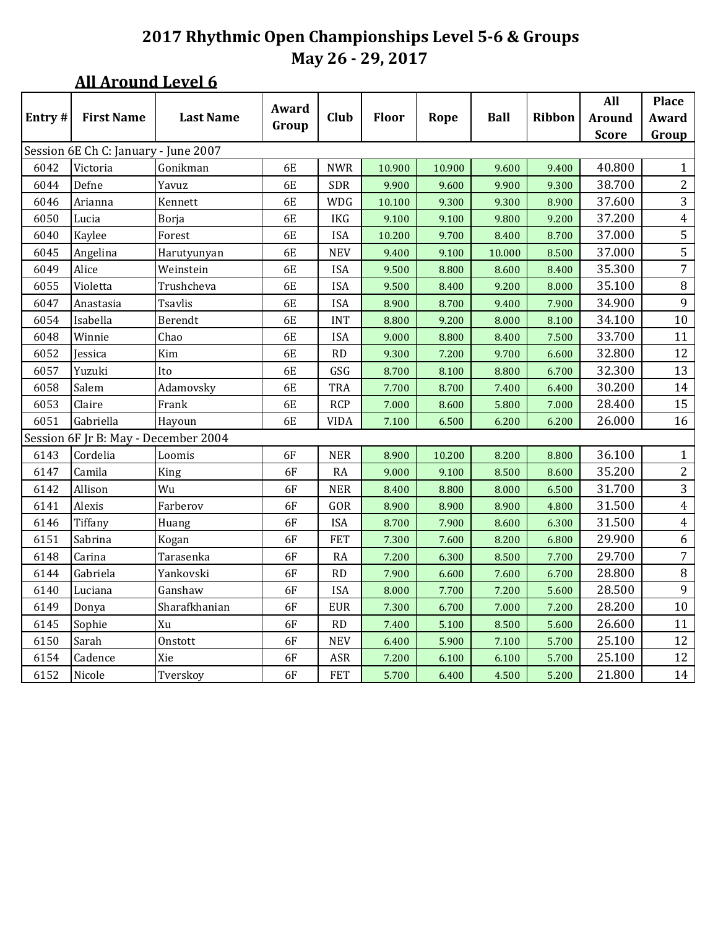|        |                                      |                  | Award     |             |              |        |             |        | All           | <b>Place</b>   |
|--------|--------------------------------------|------------------|-----------|-------------|--------------|--------|-------------|--------|---------------|----------------|
| Entry# | <b>First Name</b>                    | <b>Last Name</b> | Group     | Club        | <b>Floor</b> | Rope   | <b>Ball</b> | Ribbon | <b>Around</b> | Award          |
|        |                                      |                  |           |             |              |        |             |        | <b>Score</b>  | Group          |
|        | Session 6E Ch C: January - June 2007 |                  |           |             |              |        |             |        |               |                |
| 6042   | Victoria                             | Gonikman         | <b>6E</b> | <b>NWR</b>  | 10.900       | 10.900 | 9.600       | 9.400  | 40.800        | $\mathbf{1}$   |
| 6044   | Defne                                | Yavuz            | <b>6E</b> | SDR         | 9.900        | 9.600  | 9.900       | 9.300  | 38.700        | $\overline{c}$ |
| 6046   | Arianna                              | Kennett          | <b>6E</b> | <b>WDG</b>  | 10.100       | 9.300  | 9.300       | 8.900  | 37.600        | 3              |
| 6050   | Lucia                                | Borja            | 6E        | <b>IKG</b>  | 9.100        | 9.100  | 9.800       | 9.200  | 37.200        | $\overline{4}$ |
| 6040   | Kaylee                               | Forest           | <b>6E</b> | <b>ISA</b>  | 10.200       | 9.700  | 8.400       | 8.700  | 37.000        | 5              |
| 6045   | Angelina                             | Harutyunyan      | <b>6E</b> | <b>NEV</b>  | 9.400        | 9.100  | 10.000      | 8.500  | 37.000        | 5              |
| 6049   | Alice                                | Weinstein        | <b>6E</b> | <b>ISA</b>  | 9.500        | 8.800  | 8.600       | 8.400  | 35.300        | $\overline{7}$ |
| 6055   | Violetta                             | Trushcheva       | <b>6E</b> | <b>ISA</b>  | 9.500        | 8.400  | 9.200       | 8.000  | 35.100        | $\, 8$         |
| 6047   | Anastasia                            | <b>Tsavlis</b>   | <b>6E</b> | <b>ISA</b>  | 8.900        | 8.700  | 9.400       | 7.900  | 34.900        | 9              |
| 6054   | Isabella                             | Berendt          | <b>6E</b> | <b>INT</b>  | 8.800        | 9.200  | 8.000       | 8.100  | 34.100        | $10\,$         |
| 6048   | Winnie                               | Chao             | <b>6E</b> | <b>ISA</b>  | 9.000        | 8.800  | 8.400       | 7.500  | 33.700        | 11             |
| 6052   | Jessica                              | Kim              | <b>6E</b> | <b>RD</b>   | 9.300        | 7.200  | 9.700       | 6.600  | 32.800        | 12             |
| 6057   | Yuzuki                               | Ito              | <b>6E</b> | GSG         | 8.700        | 8.100  | 8.800       | 6.700  | 32.300        | 13             |
| 6058   | Salem                                | Adamovsky        | 6E        | TRA         | 7.700        | 8.700  | 7.400       | 6.400  | 30.200        | 14             |
| 6053   | Claire                               | Frank            | <b>6E</b> | <b>RCP</b>  | 7.000        | 8.600  | 5.800       | 7.000  | 28.400        | 15             |
| 6051   | Gabriella                            | Hayoun           | <b>6E</b> | <b>VIDA</b> | 7.100        | 6.500  | 6.200       | 6.200  | 26.000        | 16             |
|        | Session 6F Jr B: May - December 2004 |                  |           |             |              |        |             |        |               |                |
| 6143   | Cordelia                             | Loomis           | 6F        | <b>NER</b>  | 8.900        | 10.200 | 8.200       | 8.800  | 36.100        | $\mathbf{1}$   |
| 6147   | Camila                               | King             | 6F        | <b>RA</b>   | 9.000        | 9.100  | 8.500       | 8.600  | 35.200        | $\overline{c}$ |
| 6142   | Allison                              | Wu               | 6F        | <b>NER</b>  | 8.400        | 8.800  | 8.000       | 6.500  | 31.700        | 3              |
| 6141   | Alexis                               | Farberov         | 6F        | GOR         | 8.900        | 8.900  | 8.900       | 4.800  | 31.500        | $\overline{4}$ |
| 6146   | Tiffany                              | Huang            | 6F        | <b>ISA</b>  | 8.700        | 7.900  | 8.600       | 6.300  | 31.500        | $\overline{4}$ |
| 6151   | Sabrina                              | Kogan            | 6F        | <b>FET</b>  | 7.300        | 7.600  | 8.200       | 6.800  | 29.900        | 6              |
| 6148   | Carina                               | Tarasenka        | 6F        | <b>RA</b>   | 7.200        | 6.300  | 8.500       | 7.700  | 29.700        | $\overline{7}$ |
| 6144   | Gabriela                             | Yankovski        | 6F        | RD          | 7.900        | 6.600  | 7.600       | 6.700  | 28.800        | $\, 8$         |
| 6140   | Luciana                              | Ganshaw          | 6F        | <b>ISA</b>  | 8.000        | 7.700  | 7.200       | 5.600  | 28.500        | $\mathbf{9}$   |
| 6149   | Donya                                | Sharafkhanian    | 6F        | <b>EUR</b>  | 7.300        | 6.700  | 7.000       | 7.200  | 28.200        | 10             |
| 6145   | Sophie                               | Xu               | 6F        | <b>RD</b>   | 7.400        | 5.100  | 8.500       | 5.600  | 26.600        | 11             |
| 6150   | Sarah                                | Onstott          | 6F        | <b>NEV</b>  | 6.400        | 5.900  | 7.100       | 5.700  | 25.100        | 12             |
| 6154   | Cadence                              | Xie              | 6F        | <b>ASR</b>  | 7.200        | 6.100  | 6.100       | 5.700  | 25.100        | 12             |
| 6152   | Nicole                               | Tverskoy         | 6F        | <b>FET</b>  | 5.700        | 6.400  | 4.500       | 5.200  | 21.800        | 14             |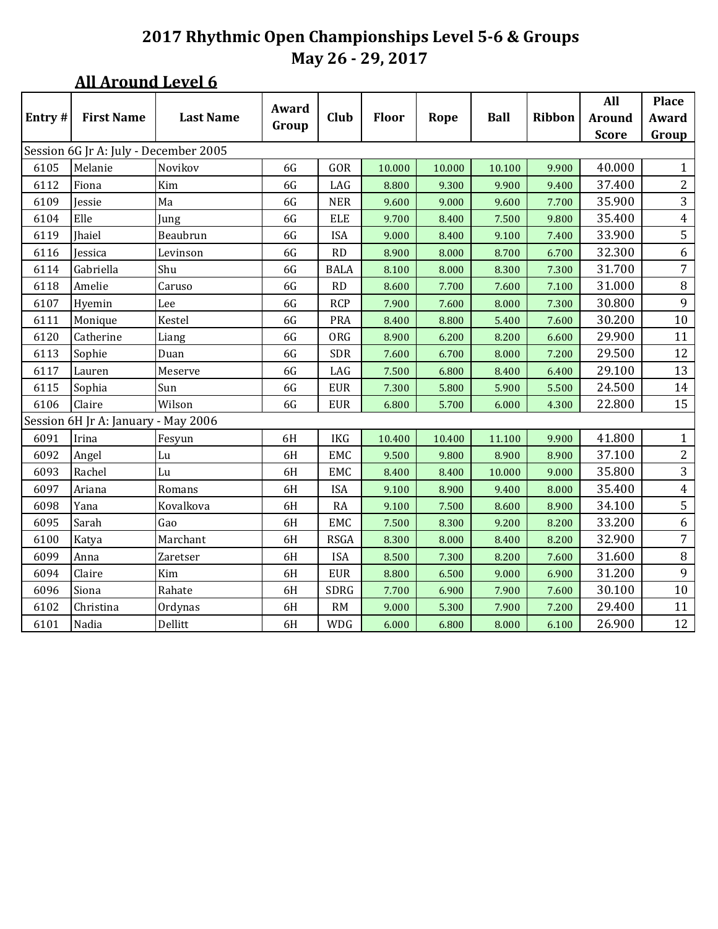|        |                                       |                  | Award |             |        |        |             |        | All           | <b>Place</b>     |
|--------|---------------------------------------|------------------|-------|-------------|--------|--------|-------------|--------|---------------|------------------|
| Entry# | <b>First Name</b>                     | <b>Last Name</b> | Group | <b>Club</b> | Floor  | Rope   | <b>Ball</b> | Ribbon | <b>Around</b> | Award            |
|        |                                       |                  |       |             |        |        |             |        | <b>Score</b>  | Group            |
|        | Session 6G Jr A: July - December 2005 |                  |       |             |        |        |             |        |               |                  |
| 6105   | Melanie                               | Novikov          | 6G    | GOR         | 10.000 | 10.000 | 10.100      | 9.900  | 40.000        | $\mathbf{1}$     |
| 6112   | Fiona                                 | Kim              | 6G    | LAG         | 8.800  | 9.300  | 9.900       | 9.400  | 37.400        | $\overline{c}$   |
| 6109   | Jessie                                | Ma               | 6G    | <b>NER</b>  | 9.600  | 9.000  | 9.600       | 7.700  | 35.900        | $\overline{3}$   |
| 6104   | Elle                                  | Jung             | 6G    | <b>ELE</b>  | 9.700  | 8.400  | 7.500       | 9.800  | 35.400        | $\overline{4}$   |
| 6119   | Jhaiel                                | Beaubrun         | 6G    | <b>ISA</b>  | 9.000  | 8.400  | 9.100       | 7.400  | 33.900        | 5                |
| 6116   | Jessica                               | Levinson         | 6G    | <b>RD</b>   | 8.900  | 8.000  | 8.700       | 6.700  | 32.300        | $\sqrt{6}$       |
| 6114   | Gabriella                             | Shu              | 6G    | <b>BALA</b> | 8.100  | 8.000  | 8.300       | 7.300  | 31.700        | $\overline{7}$   |
| 6118   | Amelie                                | Caruso           | 6G    | RD          | 8.600  | 7.700  | 7.600       | 7.100  | 31.000        | $\, 8$           |
| 6107   | Hyemin                                | Lee              | 6G    | <b>RCP</b>  | 7.900  | 7.600  | 8.000       | 7.300  | 30.800        | $\mathbf{9}$     |
| 6111   | Monique                               | Kestel           | 6G    | <b>PRA</b>  | 8.400  | 8.800  | 5.400       | 7.600  | 30.200        | $10\,$           |
| 6120   | Catherine                             | Liang            | 6G    | <b>ORG</b>  | 8.900  | 6.200  | 8.200       | 6.600  | 29.900        | 11               |
| 6113   | Sophie                                | Duan             | 6G    | <b>SDR</b>  | 7.600  | 6.700  | 8.000       | 7.200  | 29.500        | 12               |
| 6117   | Lauren                                | Meserve          | 6G    | LAG         | 7.500  | 6.800  | 8.400       | 6.400  | 29.100        | 13               |
| 6115   | Sophia                                | Sun              | 6G    | <b>EUR</b>  | 7.300  | 5.800  | 5.900       | 5.500  | 24.500        | 14               |
| 6106   | Claire                                | Wilson           | 6G    | <b>EUR</b>  | 6.800  | 5.700  | 6.000       | 4.300  | 22.800        | 15               |
|        | Session 6H Jr A: January - May 2006   |                  |       |             |        |        |             |        |               |                  |
| 6091   | Irina                                 | Fesyun           | 6H    | <b>IKG</b>  | 10.400 | 10.400 | 11.100      | 9.900  | 41.800        | $\mathbf{1}$     |
| 6092   | Angel                                 | Lu               | 6H    | EMC         | 9.500  | 9.800  | 8.900       | 8.900  | 37.100        | $\overline{c}$   |
| 6093   | Rachel                                | Lu               | 6H    | EMC         | 8.400  | 8.400  | 10.000      | 9.000  | 35.800        | 3                |
| 6097   | Ariana                                | Romans           | 6H    | <b>ISA</b>  | 9.100  | 8.900  | 9.400       | 8.000  | 35.400        | $\overline{4}$   |
| 6098   | Yana                                  | Kovalkova        | 6H    | <b>RA</b>   | 9.100  | 7.500  | 8.600       | 8.900  | 34.100        | 5                |
| 6095   | Sarah                                 | Gao              | 6H    | EMC         | 7.500  | 8.300  | 9.200       | 8.200  | 33.200        | $\boldsymbol{6}$ |
| 6100   | Katya                                 | Marchant         | 6H    | <b>RSGA</b> | 8.300  | 8.000  | 8.400       | 8.200  | 32.900        | $\overline{7}$   |
| 6099   | Anna                                  | Zaretser         | 6H    | <b>ISA</b>  | 8.500  | 7.300  | 8.200       | 7.600  | 31.600        | $\, 8$           |
| 6094   | Claire                                | Kim              | 6H    | <b>EUR</b>  | 8.800  | 6.500  | 9.000       | 6.900  | 31.200        | $\mathbf{9}$     |
| 6096   | Siona                                 | Rahate           | 6H    | <b>SDRG</b> | 7.700  | 6.900  | 7.900       | 7.600  | 30.100        | 10               |
| 6102   | Christina                             | Ordynas          | 6H    | RM          | 9.000  | 5.300  | 7.900       | 7.200  | 29.400        | 11               |
| 6101   | Nadia                                 | Dellitt          | 6H    | <b>WDG</b>  | 6.000  | 6.800  | 8.000       | 6.100  | 26.900        | 12               |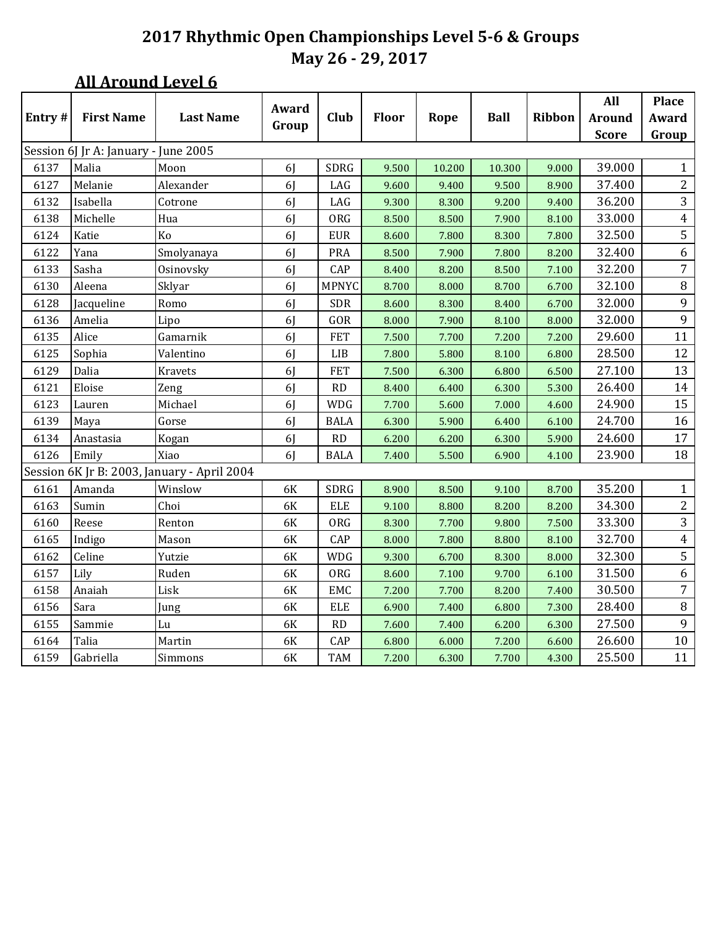|        |                                      |                                             | Award          |              |              |        |             |        | All           | <b>Place</b>     |
|--------|--------------------------------------|---------------------------------------------|----------------|--------------|--------------|--------|-------------|--------|---------------|------------------|
| Entry# | <b>First Name</b>                    | <b>Last Name</b>                            | Group          | Club         | <b>Floor</b> | Rope   | <b>Ball</b> | Ribbon | <b>Around</b> | Award            |
|        |                                      |                                             |                |              |              |        |             |        | <b>Score</b>  | Group            |
|        | Session 6J Jr A: January - June 2005 |                                             |                |              |              |        |             |        |               |                  |
| 6137   | Malia                                | Moon                                        | 6J             | <b>SDRG</b>  | 9.500        | 10.200 | 10.300      | 9.000  | 39.000        | $\mathbf{1}$     |
| 6127   | Melanie                              | Alexander                                   | 6 <sub>l</sub> | LAG          | 9.600        | 9.400  | 9.500       | 8.900  | 37.400        | $\overline{2}$   |
| 6132   | Isabella                             | Cotrone                                     | 6J             | LAG          | 9.300        | 8.300  | 9.200       | 9.400  | 36.200        | $\mathbf{3}$     |
| 6138   | Michelle                             | Hua                                         | 6 <sub>l</sub> | <b>ORG</b>   | 8.500        | 8.500  | 7.900       | 8.100  | 33.000        | $\overline{4}$   |
| 6124   | Katie                                | Ko                                          | 6 <sub>l</sub> | <b>EUR</b>   | 8.600        | 7.800  | 8.300       | 7.800  | 32.500        | 5                |
| 6122   | Yana                                 | Smolyanaya                                  | 6J             | PRA          | 8.500        | 7.900  | 7.800       | 8.200  | 32.400        | 6                |
| 6133   | Sasha                                | Osinovsky                                   | 6 <sub>l</sub> | CAP          | 8.400        | 8.200  | 8.500       | 7.100  | 32.200        | $\sqrt{7}$       |
| 6130   | Aleena                               | Sklyar                                      | 6 <sub>l</sub> | <b>MPNYC</b> | 8.700        | 8.000  | 8.700       | 6.700  | 32.100        | $\, 8$           |
| 6128   | Jacqueline                           | Romo                                        | 6J             | SDR          | 8.600        | 8.300  | 8.400       | 6.700  | 32.000        | $\mathbf{9}$     |
| 6136   | Amelia                               | Lipo                                        | 6 <sub>l</sub> | GOR          | 8.000        | 7.900  | 8.100       | 8.000  | 32.000        | 9                |
| 6135   | Alice                                | Gamarnik                                    | 6J             | <b>FET</b>   | 7.500        | 7.700  | 7.200       | 7.200  | 29.600        | 11               |
| 6125   | Sophia                               | Valentino                                   | 6 <sub>l</sub> | LIB          | 7.800        | 5.800  | 8.100       | 6.800  | 28.500        | 12               |
| 6129   | Dalia                                | Kravets                                     | 6 <sub>l</sub> | <b>FET</b>   | 7.500        | 6.300  | 6.800       | 6.500  | 27.100        | 13               |
| 6121   | Eloise                               | Zeng                                        | 6J             | RD           | 8.400        | 6.400  | 6.300       | 5.300  | 26.400        | 14               |
| 6123   | Lauren                               | Michael                                     | 6J             | <b>WDG</b>   | 7.700        | 5.600  | 7.000       | 4.600  | 24.900        | 15               |
| 6139   | Maya                                 | Gorse                                       | 6J             | <b>BALA</b>  | 6.300        | 5.900  | 6.400       | 6.100  | 24.700        | 16               |
| 6134   | Anastasia                            | Kogan                                       | 6 <sub>l</sub> | RD           | 6.200        | 6.200  | 6.300       | 5.900  | 24.600        | 17               |
| 6126   | Emily                                | Xiao                                        | 6J             | <b>BALA</b>  | 7.400        | 5.500  | 6.900       | 4.100  | 23.900        | 18               |
|        |                                      | Session 6K Jr B: 2003, January - April 2004 |                |              |              |        |             |        |               |                  |
| 6161   | Amanda                               | Winslow                                     | <b>6K</b>      | <b>SDRG</b>  | 8.900        | 8.500  | 9.100       | 8.700  | 35.200        | $\mathbf{1}$     |
| 6163   | Sumin                                | Choi                                        | 6K             | <b>ELE</b>   | 9.100        | 8.800  | 8.200       | 8.200  | 34.300        | $\mathbf{2}$     |
| 6160   | Reese                                | Renton                                      | 6K             | <b>ORG</b>   | 8.300        | 7.700  | 9.800       | 7.500  | 33.300        | 3                |
| 6165   | Indigo                               | Mason                                       | 6K             | CAP          | 8.000        | 7.800  | 8.800       | 8.100  | 32.700        | $\overline{4}$   |
| 6162   | Celine                               | Yutzie                                      | 6K             | <b>WDG</b>   | 9.300        | 6.700  | 8.300       | 8.000  | 32.300        | $\sqrt{5}$       |
| 6157   | Lily                                 | Ruden                                       | <b>6K</b>      | <b>ORG</b>   | 8.600        | 7.100  | 9.700       | 6.100  | 31.500        | $\boldsymbol{6}$ |
| 6158   | Anaiah                               | Lisk                                        | 6K             | EMC          | 7.200        | 7.700  | 8.200       | 7.400  | 30.500        | $\overline{7}$   |
| 6156   | Sara                                 | Jung                                        | 6K             | <b>ELE</b>   | 6.900        | 7.400  | 6.800       | 7.300  | 28.400        | $\, 8$           |
| 6155   | Sammie                               | Lu                                          | 6K             | RD           | 7.600        | 7.400  | 6.200       | 6.300  | 27.500        | $\mathbf{9}$     |
| 6164   | Talia                                | Martin                                      | 6K             | CAP          | 6.800        | 6.000  | 7.200       | 6.600  | 26.600        | 10               |
| 6159   | Gabriella                            | Simmons                                     | 6K             | <b>TAM</b>   | 7.200        | 6.300  | 7.700       | 4.300  | 25.500        | 11               |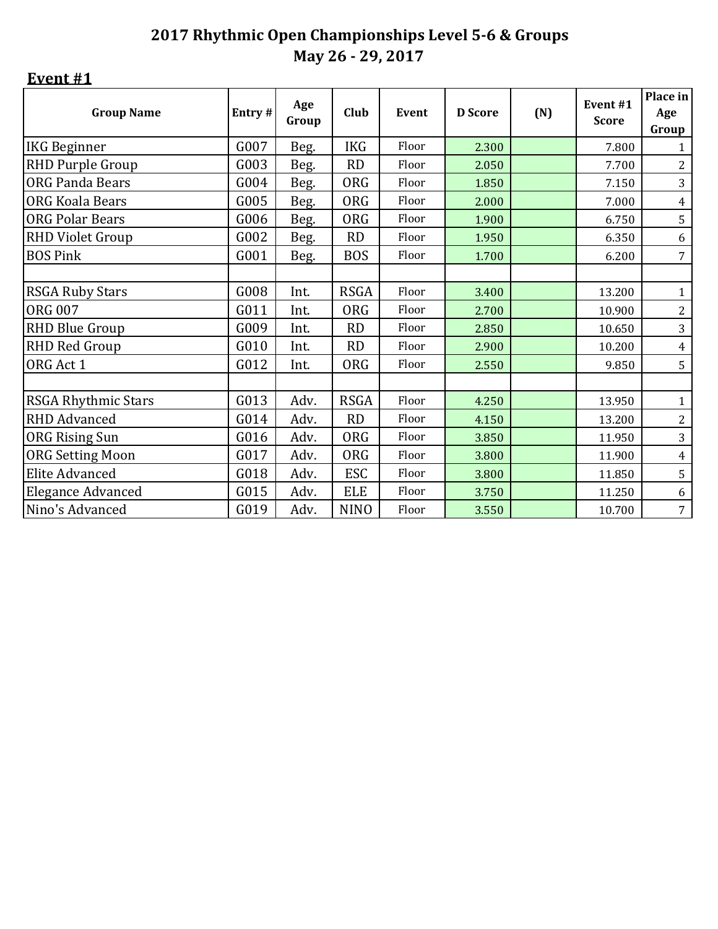#### **Event #1**

| <b>Group Name</b>        | Entry# | Age<br>Group | Club        | Event | <b>D</b> Score | (N) | Event #1<br><b>Score</b> | Place in<br>Age<br>Group |
|--------------------------|--------|--------------|-------------|-------|----------------|-----|--------------------------|--------------------------|
| <b>IKG Beginner</b>      | G007   | Beg.         | <b>IKG</b>  | Floor | 2.300          |     | 7.800                    | 1                        |
| RHD Purple Group         | G003   | Beg.         | <b>RD</b>   | Floor | 2.050          |     | 7.700                    | $\overline{2}$           |
| <b>ORG Panda Bears</b>   | G004   | Beg.         | <b>ORG</b>  | Floor | 1.850          |     | 7.150                    | $\overline{3}$           |
| <b>ORG Koala Bears</b>   | G005   | Beg.         | <b>ORG</b>  | Floor | 2.000          |     | 7.000                    | $\overline{4}$           |
| <b>ORG Polar Bears</b>   | G006   | Beg.         | <b>ORG</b>  | Floor | 1.900          |     | 6.750                    | $\sqrt{5}$               |
| <b>RHD Violet Group</b>  | G002   | Beg.         | <b>RD</b>   | Floor | 1.950          |     | 6.350                    | $6\,$                    |
| <b>BOS Pink</b>          | G001   | Beg.         | <b>BOS</b>  | Floor | 1.700          |     | 6.200                    | 7 <sup>7</sup>           |
|                          |        |              |             |       |                |     |                          |                          |
| <b>RSGA Ruby Stars</b>   | G008   | Int.         | <b>RSGA</b> | Floor | 3.400          |     | 13.200                   | $\mathbf{1}$             |
| <b>ORG 007</b>           | G011   | Int.         | <b>ORG</b>  | Floor | 2.700          |     | 10.900                   | $\mathbf{2}$             |
| RHD Blue Group           | G009   | Int.         | <b>RD</b>   | Floor | 2.850          |     | 10.650                   | $\overline{3}$           |
| <b>RHD Red Group</b>     | G010   | Int.         | <b>RD</b>   | Floor | 2.900          |     | 10.200                   | $\overline{4}$           |
| ORG Act 1                | G012   | Int.         | <b>ORG</b>  | Floor | 2.550          |     | 9.850                    | 5                        |
|                          |        |              |             |       |                |     |                          |                          |
| RSGA Rhythmic Stars      | G013   | Adv.         | <b>RSGA</b> | Floor | 4.250          |     | 13.950                   | $\mathbf{1}$             |
| <b>RHD Advanced</b>      | G014   | Adv.         | <b>RD</b>   | Floor | 4.150          |     | 13.200                   | $\mathbf{2}$             |
| <b>ORG Rising Sun</b>    | G016   | Adv.         | <b>ORG</b>  | Floor | 3.850          |     | 11.950                   | 3                        |
| <b>ORG Setting Moon</b>  | G017   | Adv.         | <b>ORG</b>  | Floor | 3.800          |     | 11.900                   | $\overline{4}$           |
| Elite Advanced           | G018   | Adv.         | <b>ESC</b>  | Floor | 3.800          |     | 11.850                   | $\overline{5}$           |
| <b>Elegance Advanced</b> | G015   | Adv.         | <b>ELE</b>  | Floor | 3.750          |     | 11.250                   | $6\,$                    |
| Nino's Advanced          | G019   | Adv.         | <b>NINO</b> | Floor | 3.550          |     | 10.700                   | $\sqrt{7}$               |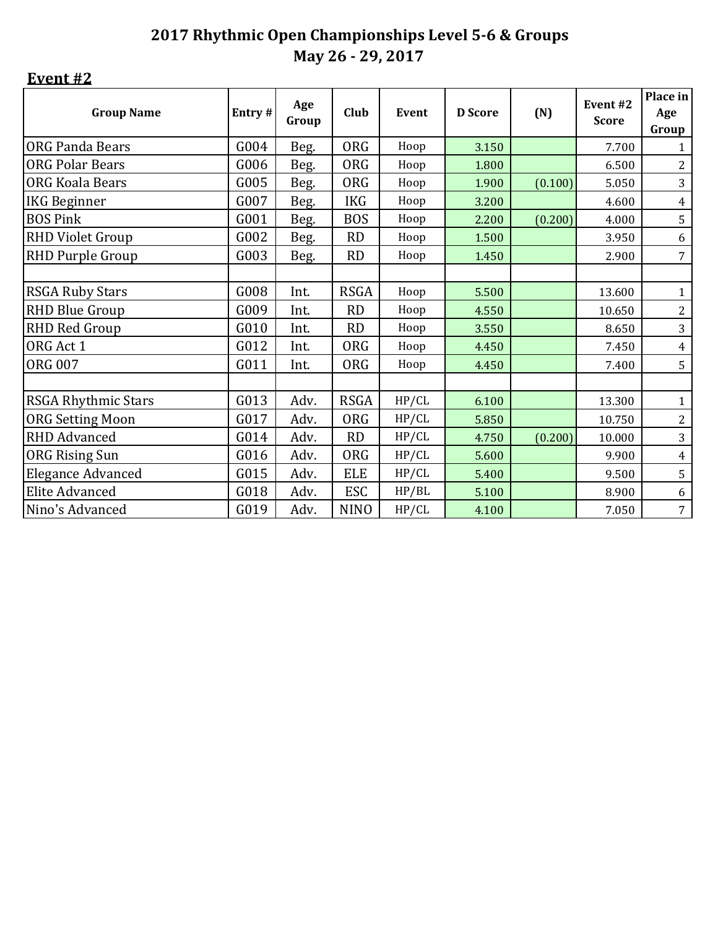#### **Event #2**

| <b>Group Name</b>          | Entry# | Age<br>Group | Club        | Event | <b>D</b> Score | (N)     | Event #2<br><b>Score</b> | Place in<br>Age<br>Group |
|----------------------------|--------|--------------|-------------|-------|----------------|---------|--------------------------|--------------------------|
| <b>ORG Panda Bears</b>     | G004   | Beg.         | <b>ORG</b>  | Hoop  | 3.150          |         | 7.700                    | $\mathbf{1}$             |
| <b>ORG Polar Bears</b>     | G006   | Beg.         | <b>ORG</b>  | Hoop  | 1.800          |         | 6.500                    | $\overline{2}$           |
| <b>ORG Koala Bears</b>     | G005   | Beg.         | <b>ORG</b>  | Hoop  | 1.900          | (0.100) | 5.050                    | 3                        |
| <b>IKG Beginner</b>        | G007   | Beg.         | <b>IKG</b>  | Hoop  | 3.200          |         | 4.600                    | $\overline{4}$           |
| <b>BOS Pink</b>            | G001   | Beg.         | <b>BOS</b>  | Hoop  | 2.200          | (0.200) | 4.000                    | 5                        |
| <b>RHD Violet Group</b>    | G002   | Beg.         | <b>RD</b>   | Hoop  | 1.500          |         | 3.950                    | 6                        |
| <b>RHD Purple Group</b>    | G003   | Beg.         | <b>RD</b>   | Hoop  | 1.450          |         | 2.900                    | $\overline{7}$           |
|                            |        |              |             |       |                |         |                          |                          |
| <b>RSGA Ruby Stars</b>     | G008   | Int.         | <b>RSGA</b> | Hoop  | 5.500          |         | 13.600                   | $\mathbf{1}$             |
| <b>RHD Blue Group</b>      | G009   | Int.         | <b>RD</b>   | Hoop  | 4.550          |         | 10.650                   | $\mathbf{2}$             |
| <b>RHD Red Group</b>       | G010   | Int.         | RD          | Hoop  | 3.550          |         | 8.650                    | 3                        |
| ORG Act 1                  | G012   | Int.         | <b>ORG</b>  | Hoop  | 4.450          |         | 7.450                    | $\overline{4}$           |
| <b>ORG 007</b>             | G011   | Int.         | <b>ORG</b>  | Hoop  | 4.450          |         | 7.400                    | 5                        |
|                            |        |              |             |       |                |         |                          |                          |
| <b>RSGA Rhythmic Stars</b> | G013   | Adv.         | <b>RSGA</b> | HP/CL | 6.100          |         | 13.300                   | $\mathbf{1}$             |
| <b>ORG Setting Moon</b>    | G017   | Adv.         | <b>ORG</b>  | HP/CL | 5.850          |         | 10.750                   | $\overline{c}$           |
| <b>RHD Advanced</b>        | G014   | Adv.         | <b>RD</b>   | HP/CL | 4.750          | (0.200) | 10.000                   | $\overline{3}$           |
| <b>ORG Rising Sun</b>      | G016   | Adv.         | <b>ORG</b>  | HP/CL | 5.600          |         | 9.900                    | $\overline{4}$           |
| Elegance Advanced          | G015   | Adv.         | <b>ELE</b>  | HP/CL | 5.400          |         | 9.500                    | 5                        |
| <b>Elite Advanced</b>      | G018   | Adv.         | <b>ESC</b>  | HP/BL | 5.100          |         | 8.900                    | 6                        |
| Nino's Advanced            | G019   | Adv.         | <b>NINO</b> | HP/CL | 4.100          |         | 7.050                    | $\overline{7}$           |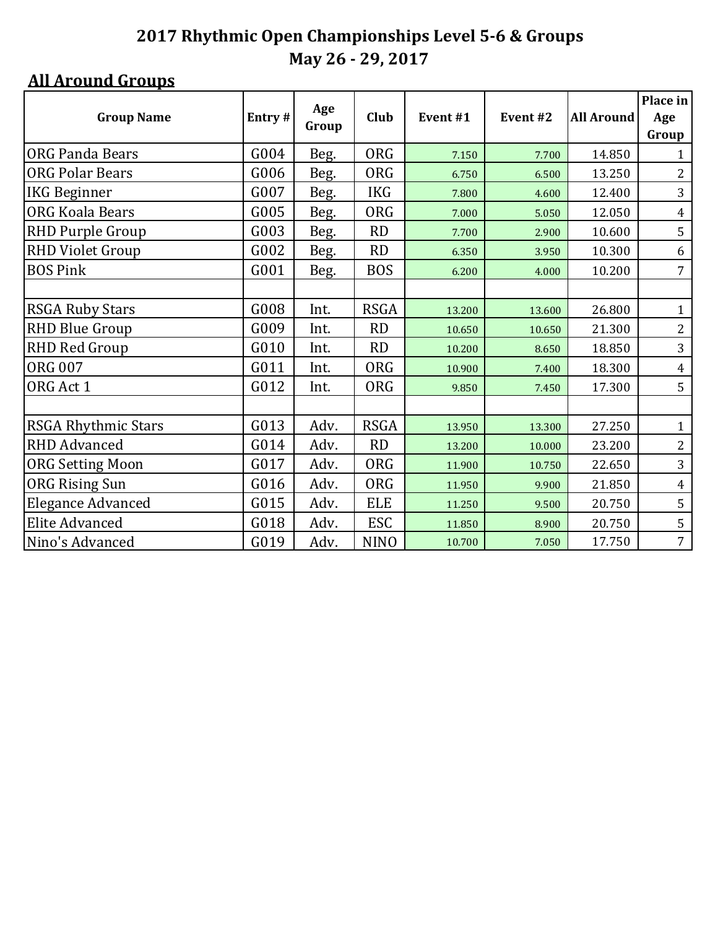#### **All Around Groups**

| <b>Group Name</b>          | Entry# | Age<br>Group | Club        | Event #1 | Event #2 | <b>All Around</b> | Place in<br>Age<br>Group |
|----------------------------|--------|--------------|-------------|----------|----------|-------------------|--------------------------|
| <b>ORG Panda Bears</b>     | G004   | Beg.         | <b>ORG</b>  | 7.150    | 7.700    | 14.850            | $\mathbf{1}$             |
| <b>ORG Polar Bears</b>     | G006   | Beg.         | <b>ORG</b>  | 6.750    | 6.500    | 13.250            | $\overline{2}$           |
| <b>IKG Beginner</b>        | G007   | Beg.         | <b>IKG</b>  | 7.800    | 4.600    | 12.400            | $\overline{3}$           |
| <b>ORG Koala Bears</b>     | G005   | Beg.         | ORG         | 7.000    | 5.050    | 12.050            | $\overline{4}$           |
| <b>RHD Purple Group</b>    | G003   | Beg.         | <b>RD</b>   | 7.700    | 2.900    | 10.600            | 5                        |
| <b>RHD Violet Group</b>    | G002   | Beg.         | <b>RD</b>   | 6.350    | 3.950    | 10.300            | 6                        |
| <b>BOS Pink</b>            | G001   | Beg.         | <b>BOS</b>  | 6.200    | 4.000    | 10.200            | $\overline{7}$           |
|                            |        |              |             |          |          |                   |                          |
| <b>RSGA Ruby Stars</b>     | G008   | Int.         | <b>RSGA</b> | 13.200   | 13.600   | 26.800            | $\mathbf{1}$             |
| <b>RHD Blue Group</b>      | G009   | Int.         | <b>RD</b>   | 10.650   | 10.650   | 21.300            | $\overline{2}$           |
| <b>RHD Red Group</b>       | G010   | Int.         | <b>RD</b>   | 10.200   | 8.650    | 18.850            | 3                        |
| <b>ORG 007</b>             | G011   | Int.         | ORG         | 10.900   | 7.400    | 18.300            | $\overline{4}$           |
| ORG Act 1                  | G012   | Int.         | <b>ORG</b>  | 9.850    | 7.450    | 17.300            | 5                        |
|                            |        |              |             |          |          |                   |                          |
| <b>RSGA Rhythmic Stars</b> | G013   | Adv.         | <b>RSGA</b> | 13.950   | 13.300   | 27.250            | $\mathbf{1}$             |
| <b>RHD Advanced</b>        | G014   | Adv.         | <b>RD</b>   | 13.200   | 10.000   | 23.200            | $\overline{2}$           |
| <b>ORG Setting Moon</b>    | G017   | Adv.         | ORG         | 11.900   | 10.750   | 22.650            | $\overline{3}$           |
| <b>ORG Rising Sun</b>      | G016   | Adv.         | ORG         | 11.950   | 9.900    | 21.850            | $\overline{4}$           |
| <b>Elegance Advanced</b>   | G015   | Adv.         | <b>ELE</b>  | 11.250   | 9.500    | 20.750            | 5                        |
| <b>Elite Advanced</b>      | G018   | Adv.         | <b>ESC</b>  | 11.850   | 8.900    | 20.750            | 5                        |
| Nino's Advanced            | G019   | Adv.         | <b>NINO</b> | 10.700   | 7.050    | 17.750            | $\overline{7}$           |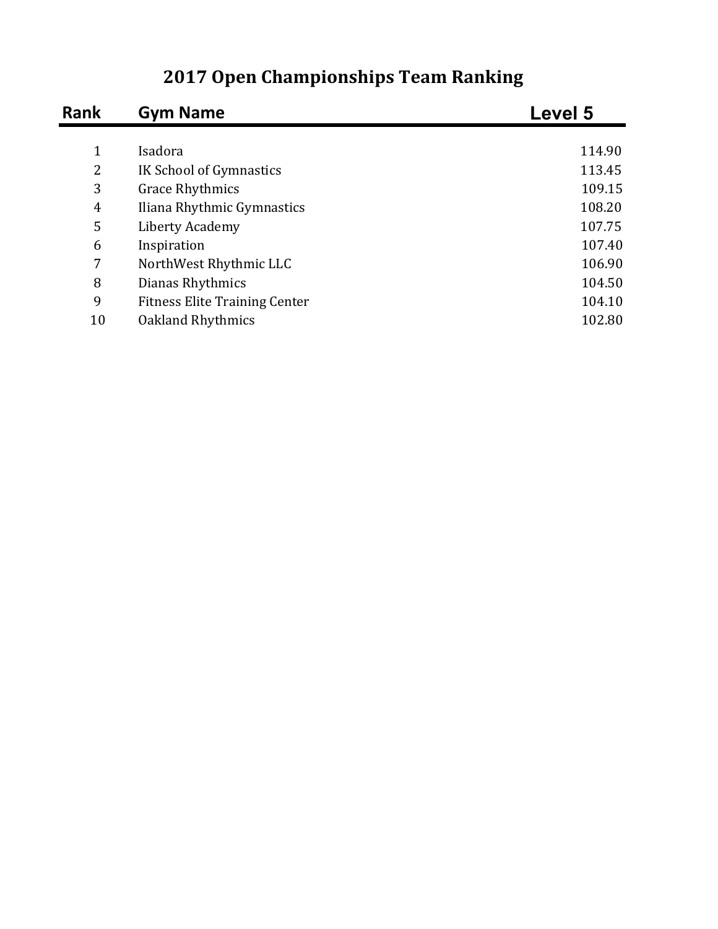| <b>Gym Name</b>                      | Level 5 |
|--------------------------------------|---------|
|                                      |         |
|                                      | 114.90  |
| IK School of Gymnastics              | 113.45  |
| Grace Rhythmics                      | 109.15  |
| Iliana Rhythmic Gymnastics           | 108.20  |
| Liberty Academy                      | 107.75  |
| Inspiration                          | 107.40  |
| NorthWest Rhythmic LLC               | 106.90  |
| Dianas Rhythmics                     | 104.50  |
| <b>Fitness Elite Training Center</b> | 104.10  |
| Oakland Rhythmics                    | 102.80  |
|                                      | Isadora |

# **2017 Open Championships Team Ranking**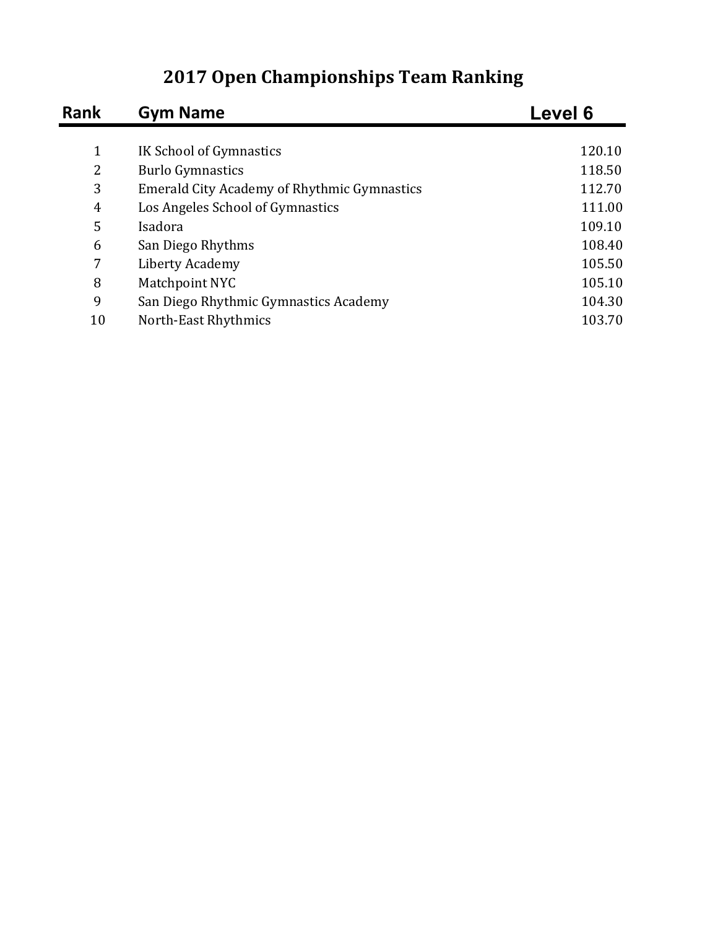# **2017 Open Championships Team Ranking**

| <b>Gym Name</b>                                    | Level 6                 |  |
|----------------------------------------------------|-------------------------|--|
|                                                    |                         |  |
|                                                    | 120.10                  |  |
| <b>Burlo Gymnastics</b>                            | 118.50                  |  |
| <b>Emerald City Academy of Rhythmic Gymnastics</b> | 112.70                  |  |
| Los Angeles School of Gymnastics                   | 111.00                  |  |
| Isadora                                            | 109.10                  |  |
| San Diego Rhythms                                  | 108.40                  |  |
| Liberty Academy                                    | 105.50                  |  |
| Matchpoint NYC                                     | 105.10                  |  |
| San Diego Rhythmic Gymnastics Academy              | 104.30                  |  |
| North-East Rhythmics                               | 103.70                  |  |
|                                                    | IK School of Gymnastics |  |